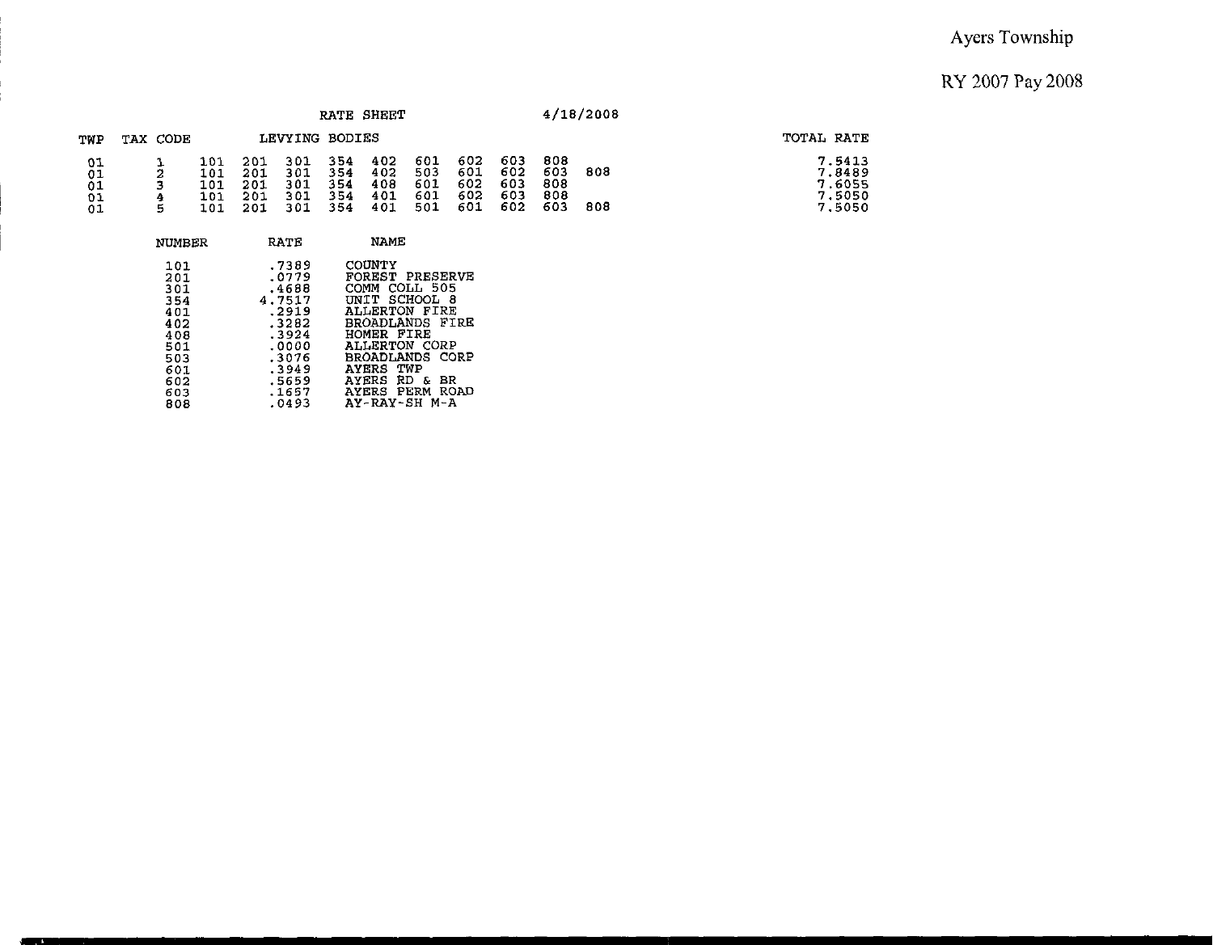|                            |                        |                                 |                                 |                                 |                                 | RATE SHEET                      |                                 |                                 |                                 |                                 | 4/18/2008  |                                                |
|----------------------------|------------------------|---------------------------------|---------------------------------|---------------------------------|---------------------------------|---------------------------------|---------------------------------|---------------------------------|---------------------------------|---------------------------------|------------|------------------------------------------------|
| TWP                        | TAX CODE               |                                 |                                 | LEVYING BODIES                  |                                 |                                 |                                 |                                 |                                 |                                 |            | TOTAL RATE                                     |
| 01<br>01<br>01<br>01<br>01 | e,<br>b<br>3<br>4<br>5 | 101<br>101<br>101<br>101<br>101 | 201<br>201<br>201<br>201<br>201 | 301<br>301<br>301<br>301<br>301 | 354<br>354<br>354<br>354<br>354 | 402<br>402<br>408<br>401<br>401 | 601<br>503<br>601<br>601<br>501 | 602<br>601<br>602<br>602<br>601 | 603<br>602<br>603<br>603<br>602 | 808<br>603<br>808<br>808<br>603 | 808<br>808 | 7.5413<br>7.8489<br>7.6055<br>7.5050<br>7.5050 |
|                            | <b>NUMBER</b>          |                                 |                                 | RATE                            |                                 | NAME                            |                                 |                                 |                                 |                                 |            |                                                |
|                            | 101<br>201             |                                 |                                 | .7389<br>.0779<br>.             |                                 | COUNTY<br><b>FOREST</b>         | <b>PRESERVE</b>                 |                                 |                                 |                                 |            |                                                |

| 201 | .0779  | FOREST PRESERVE        |
|-----|--------|------------------------|
| 301 | .4688  | COMM COLL 505          |
| 354 | 4.7517 | UNIT SCHOOL 8          |
| 401 | .2919  | ALLERTON FIRE          |
| 402 | .3282  | BROADLANDS FIRE        |
| 408 | .3924  | HOMER FIRE             |
| 501 | .0000  | ALLERTON CORP          |
| 503 | .3076  | <b>BROADLANDS CORP</b> |
| 601 | .3949  | <b>AYERS TWP</b>       |
| 602 | .5659  | AYERS RD & BR          |
| 603 | .1657  | AYERS PERM ROAD        |
| 808 | .0493  | AY-RAY-SH M-A          |
|     |        |                        |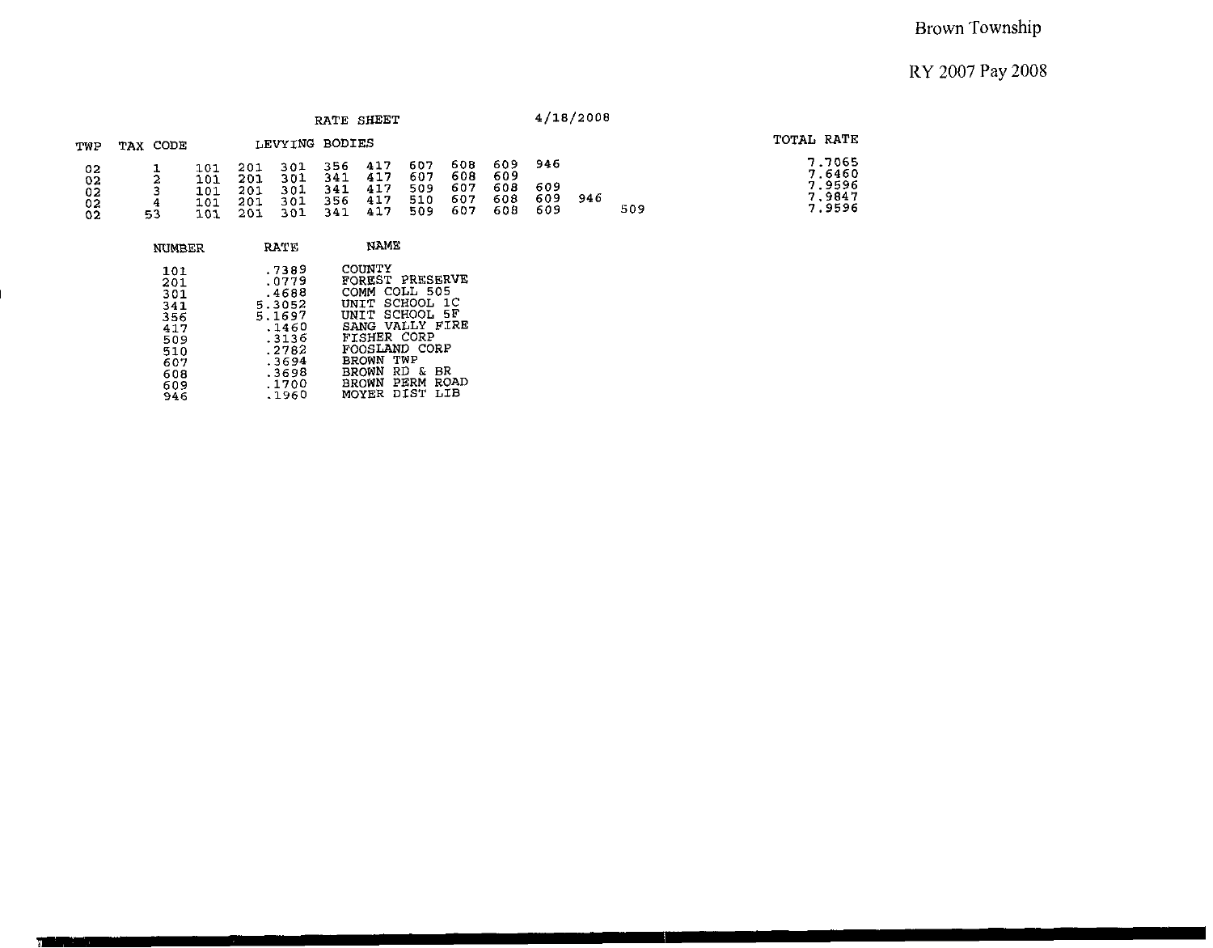|                            |          |                                 |                                 |                                 |                                 | RATE SHEET                      |                                 |                                 |                                 |                          | 4/18/2008 |     |            |                                                |
|----------------------------|----------|---------------------------------|---------------------------------|---------------------------------|---------------------------------|---------------------------------|---------------------------------|---------------------------------|---------------------------------|--------------------------|-----------|-----|------------|------------------------------------------------|
| TWP                        | TAX CODE |                                 |                                 | LEVYING BODIES                  |                                 |                                 |                                 |                                 |                                 |                          |           |     | TOTAL RATE |                                                |
| 02<br>02<br>02<br>02<br>02 | 4<br>53  | 101<br>101<br>101<br>101<br>101 | 201<br>201<br>201<br>201<br>201 | 301<br>301<br>301<br>301<br>301 | 356<br>341<br>341<br>356<br>341 | 417<br>417<br>417<br>417<br>417 | 607<br>607<br>509<br>510<br>509 | 608<br>608<br>607<br>607<br>607 | 609<br>609<br>608<br>608<br>608 | 946<br>609<br>609<br>609 | 946       | 509 |            | 7.7065<br>7.6460<br>7.9596<br>7.9847<br>7.9596 |

T

| NUMBER                                                                           | RATE                                                                                                       | NAME                                                                                                                                                                                                                              |
|----------------------------------------------------------------------------------|------------------------------------------------------------------------------------------------------------|-----------------------------------------------------------------------------------------------------------------------------------------------------------------------------------------------------------------------------------|
| 101<br>201<br>301<br>341<br>356<br>417<br>509<br>510<br>607<br>608<br>609<br>946 | .7389<br>.0779<br>.4688<br>5.3052<br>5.1697<br>.1460<br>.3136<br>.2782<br>.3694<br>.3698<br>.1700<br>.1960 | COUNTY<br>FOREST PRESERVE<br>COLL 505<br><b>COMM</b><br>UNIT SCHOOL 1C<br>UNIT SCHOOL 5F<br>SANG VALLY FIRE<br>FISHER CORP<br>FOOSLAND CORP<br>TWP<br><b>BROWN</b><br>RD &<br>BROWN<br>вR<br>ROAD<br>BROWN PERM<br>MOYER DIST LIB |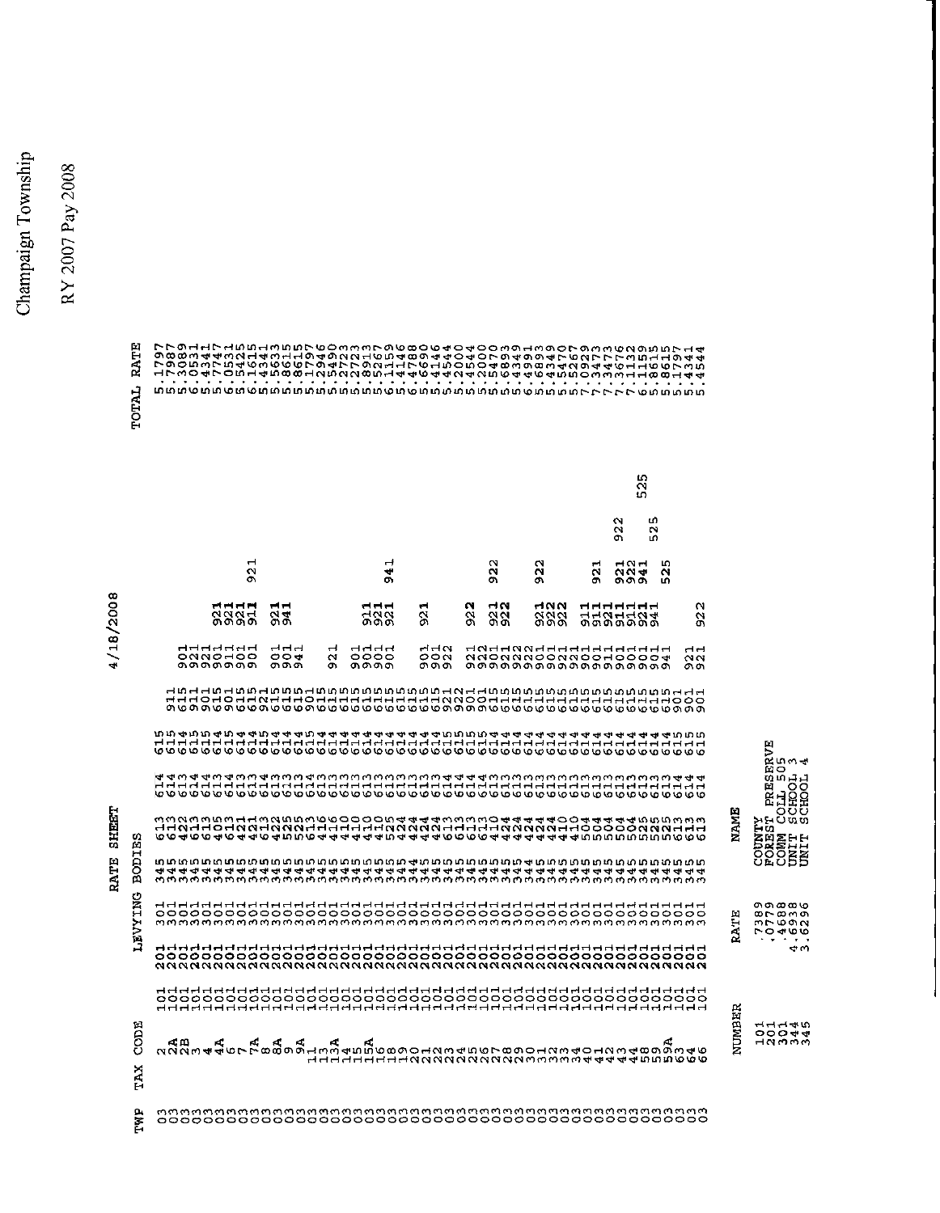Champaign Township

RY 2007 Pay 2008

|                         |            |                                                                         |                                                  |                                      |                                     |    |                               |  |                       |                    |                           |                   |              |                         |             |                                        |                   | $\mathbf{\Omega}$<br>$\sim$<br>ጣ        |                    | m.<br>$\sim$<br>Ю  |                                    |                                               |             |                                                    |     |  |
|-------------------------|------------|-------------------------------------------------------------------------|--------------------------------------------------|--------------------------------------|-------------------------------------|----|-------------------------------|--|-----------------------|--------------------|---------------------------|-------------------|--------------|-------------------------|-------------|----------------------------------------|-------------------|-----------------------------------------|--------------------|--------------------|------------------------------------|-----------------------------------------------|-------------|----------------------------------------------------|-----|--|
|                         |            |                                                                         |                                                  | $\blacksquare$<br>$\sim$<br>$\sigma$ |                                     |    |                               |  | ᆏ<br>₩<br>O)          |                    |                           |                   | N<br>N<br>o. |                         | W<br>$\sim$ | o.                                     | ᆏ<br>$\sim$<br>o. |                                         | ᆏᅁᆏ<br>N N<br>ጣ ጥጣ | LO.<br>$\sim$<br>m |                                    |                                               |             |                                                    |     |  |
| œ<br>0<br>$\frac{0}{2}$ |            |                                                                         | ਜ਼ਿਜ਼ਜ਼<br>N<br>თთთთ                             |                                      | ᆏᆏ<br>M<br>ው ወነ                     |    |                               |  | ਜਜਜ<br>H N N<br>ጣጣው   | r.<br>$\sim$<br>o. |                           | N<br>$\sim$<br>o. |              | НN<br>$\sim$<br>- 01:01 |             | HNN<br><b>MMM</b><br>നസെ               |                   | ਜ਼ਜ਼ਜ਼ਜ਼ਜ਼<br>44 <i>34404</i><br>თთთთთთ |                    |                    |                                    | $\mathbf{\Omega}$<br>$\mathbf{\hat{N}}$<br>o. |             |                                                    |     |  |
| $\frac{3}{4}$<br>╮<br>4 |            |                                                                         | addadad<br>ONNOHOO<br>_________<br>മ <b>െ</b> രണ |                                      | ᆔᆏᆏ<br>$\circ \circ \bullet$<br>ററെ |    | $\rightarrow$<br>$\sim$<br>o. |  | ਜ਼ਜ਼ਜ਼<br>0000<br>തരത |                    | $H$ $H$ $N$<br>೦೦೧<br>თთთ |                   |              |                         |             | dadaaaddaddadadad<br>aaoaaaooaaoodoooa |                   |                                         |                    |                    |                                    | नन<br>$\sim$<br>ጣጣ                            |             |                                                    |     |  |
|                         |            |                                                                         |                                                  |                                      |                                     |    |                               |  |                       |                    |                           |                   |              |                         |             |                                        |                   |                                         |                    |                    |                                    |                                               |             |                                                    |     |  |
|                         |            | <b>ՠՠ֍ՠՠ֍֎֎֍ՠ֍֎֍ՠ֍֍֍֍֍֎֍֍֎֍ՠ֍ՠՠՠՠՠ֍ՠ֍ՠ֍֎֍ՠ֍ՠ֍ՠ֍ՠ</b> ֍                  |                                                  |                                      |                                     |    |                               |  |                       |                    |                           |                   |              |                         |             |                                        |                   |                                         |                    |                    |                                    |                                               |             | 岡<br>⊳<br><b>GUM</b>                               |     |  |
|                         |            |                                                                         |                                                  |                                      |                                     |    |                               |  |                       |                    |                           |                   |              |                         |             |                                        |                   |                                         |                    |                    |                                    |                                               |             | 望つ<br>のいけば<br>ERTOO                                |     |  |
| <b>SHEET</b>            | ω<br>凹     | munuwww.44wdmowoooooow444wdwmo4444900444440004                          |                                                  |                                      |                                     |    |                               |  |                       |                    |                           |                   |              |                         |             |                                        |                   |                                         |                    |                    |                                    |                                               | NAME        | ouu<br>បច្ចុប<br>En                                |     |  |
| RATE                    | BODI       | លាលាលាលាលាលាលាលាលាលាលាលាលាលាលាលាងការាលាលាលាលាលាលាលាលាលាលាលាលាលាលាលាលាលា |                                                  |                                      |                                     |    |                               |  |                       |                    |                           |                   |              |                         |             |                                        |                   |                                         |                    |                    |                                    |                                               |             | <b>DENETH</b><br>COMMIT<br>COMMIT<br>COMMIT        |     |  |
|                         | <b>TNG</b> |                                                                         |                                                  |                                      |                                     |    |                               |  |                       |                    |                           |                   |              |                         |             |                                        |                   |                                         |                    |                    |                                    |                                               | Ŀ.<br>H     | თთთთა<br>$\infty$ r $\infty$ mon<br>mroon<br>00000 |     |  |
|                         | ГЛЯТ       |                                                                         |                                                  |                                      |                                     |    |                               |  |                       |                    |                           |                   |              |                         |             |                                        |                   |                                         |                    |                    |                                    |                                               | Ŕ.          | .                                                  | e w |  |
|                         |            |                                                                         |                                                  |                                      |                                     |    |                               |  |                       |                    |                           |                   |              |                         |             |                                        |                   |                                         |                    |                    |                                    |                                               | 旨           |                                                    |     |  |
|                         | CODE       | ≮m                                                                      |                                                  | K.                                   | A.                                  | r. | r.                            |  |                       |                    |                           |                   |              |                         |             |                                        |                   |                                         |                    |                    | HHHHHHHHMNNNNNNNNNMMMMMH4444MMM000 |                                               | <b>NUMB</b> | ユユユーラ<br>00044<br><b>HNMMM</b>                     |     |  |
|                         | TΆX        |                                                                         |                                                  |                                      |                                     |    |                               |  |                       |                    |                           |                   |              |                         |             |                                        |                   |                                         |                    |                    |                                    |                                               |             |                                                    |     |  |
|                         | Ë          |                                                                         |                                                  |                                      |                                     |    |                               |  |                       |                    |                           |                   |              |                         |             |                                        |                   |                                         |                    |                    |                                    |                                               |             |                                                    |     |  |

TOTAL RATE

N **m**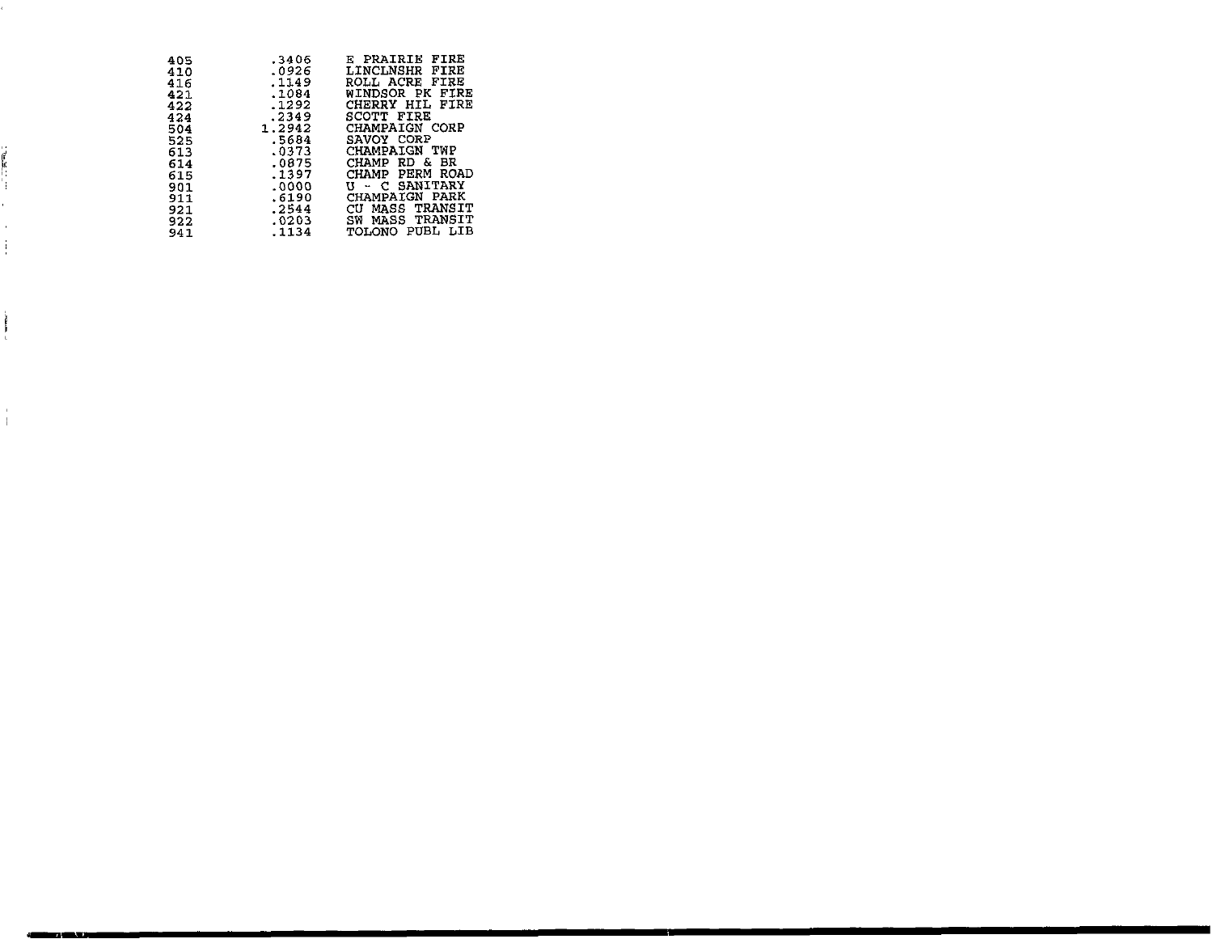| 405 | .3406  | FIRE<br>E PRAIRIE     |
|-----|--------|-----------------------|
| 410 | .0926  | LINCLNSHR FIRE        |
| 416 | .1149  | ROLL ACRE FIRE        |
| 421 | .1084  | WINDSOR PK FIRE       |
| 422 | .1292  | CHERRY HIL FIRE       |
| 424 | .2349  | SCOTT FIRE            |
| 504 | 1.2942 | CHAMPAIGN CORP        |
| 525 | .5684  | SAVOY CORP            |
| 613 | .0373  | CHAMPAIGN TWP         |
| 614 | .0875  | CHAMP RD & BR         |
| 615 | .1397  | CHAMP PERM ROAD       |
| 901 | .0000  | <b>U - C SANITARY</b> |
| 911 | .6190  | CHAMPAIGN PARK        |
|     | .2544  | CU MASS TRANSIT       |
| 921 |        |                       |
| 922 | .0203  | SW MASS TRANSIT       |
| 941 | .1134  | TOLONO PUBL LIB       |

J.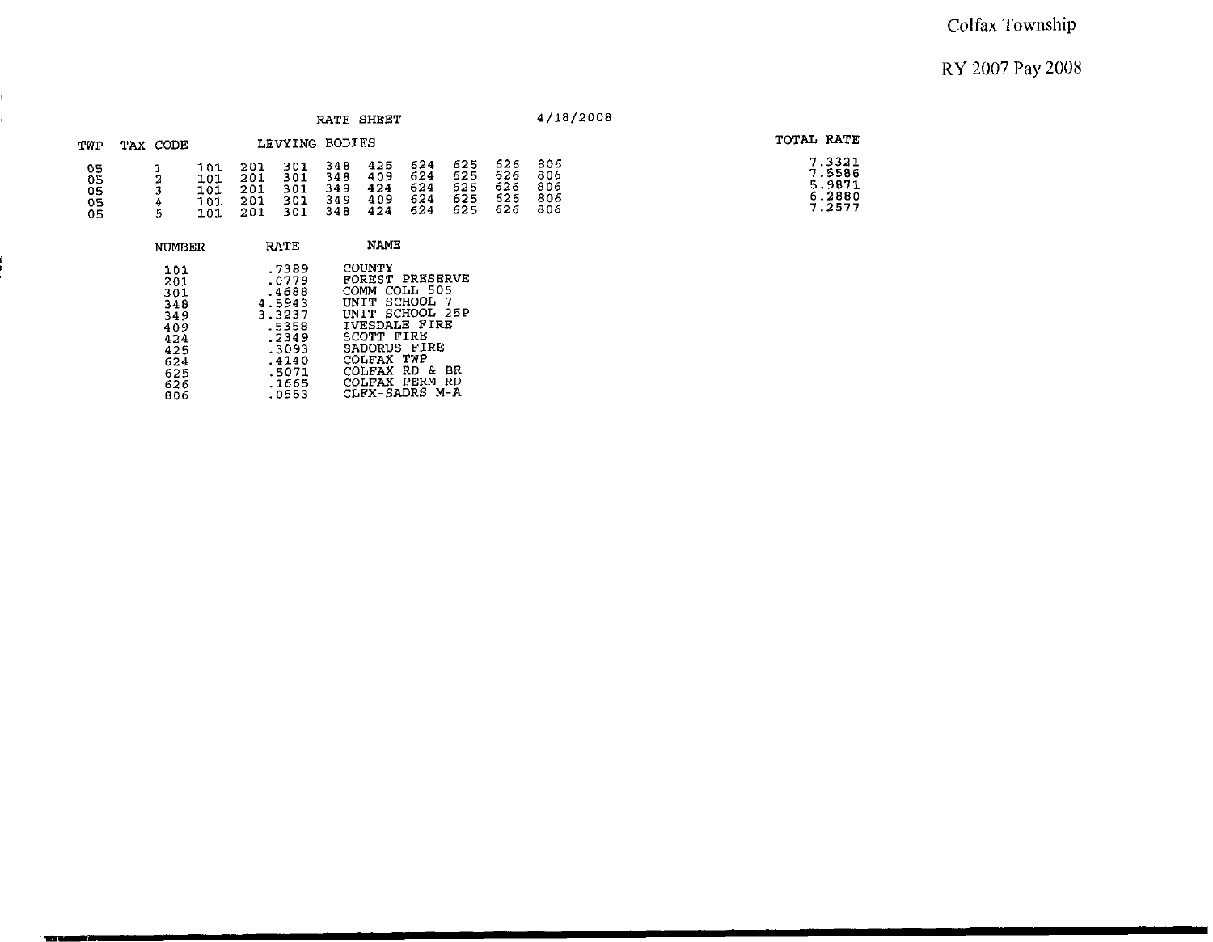|                            |          |                                                                                  |                                 |                                                                                                            | RATE SHEET                       |                                                                                                                                                                                                          |                                 |                                 |                                 | 4/18/2008                       |                                                |
|----------------------------|----------|----------------------------------------------------------------------------------|---------------------------------|------------------------------------------------------------------------------------------------------------|----------------------------------|----------------------------------------------------------------------------------------------------------------------------------------------------------------------------------------------------------|---------------------------------|---------------------------------|---------------------------------|---------------------------------|------------------------------------------------|
| TWP                        | TAX CODE |                                                                                  |                                 | LEVYING BODIES                                                                                             |                                  |                                                                                                                                                                                                          |                                 |                                 |                                 |                                 | TOTAL RATE                                     |
| 05<br>05<br>05<br>05<br>05 | 4<br>5   | 101<br>101<br>101<br>101<br>101                                                  | 201<br>201<br>201<br>201<br>201 | 301<br>301<br>301<br>301<br>301                                                                            | 348.<br>348<br>349<br>349<br>348 | 425<br>409<br>424<br>409<br>424                                                                                                                                                                          | 624<br>624<br>624<br>624<br>624 | 625<br>625<br>625<br>625<br>625 | 626<br>626<br>626<br>626<br>626 | 806<br>806<br>806<br>806<br>806 | 7.3321<br>7.5586<br>5.9871<br>6,2880<br>7.2577 |
|                            |          | <b>NUMBER</b>                                                                    |                                 | RATE                                                                                                       |                                  | NAME                                                                                                                                                                                                     |                                 |                                 |                                 |                                 |                                                |
|                            |          | 101<br>201<br>301<br>348<br>349<br>409<br>424<br>425<br>624<br>625<br>626<br>806 |                                 | .7389<br>.0779<br>.4688<br>4.5943<br>3.3237<br>.5358<br>.2349<br>.3093<br>.4140<br>.5071<br>.1665<br>.0553 |                                  | <b>COUNTY</b><br>FOREST PRESERVE<br>COMM COLL 505<br>UNIT SCHOOL 7<br>UNIT SCHOOL 25P<br>IVESDALE FIRE<br>SCOTT FIRE<br>SADORUS FIRE<br>COLFAX TWP<br>COLFAX RD & BR<br>COLFAX PERM RD<br>CLFX-SADRS M-A |                                 |                                 |                                 |                                 |                                                |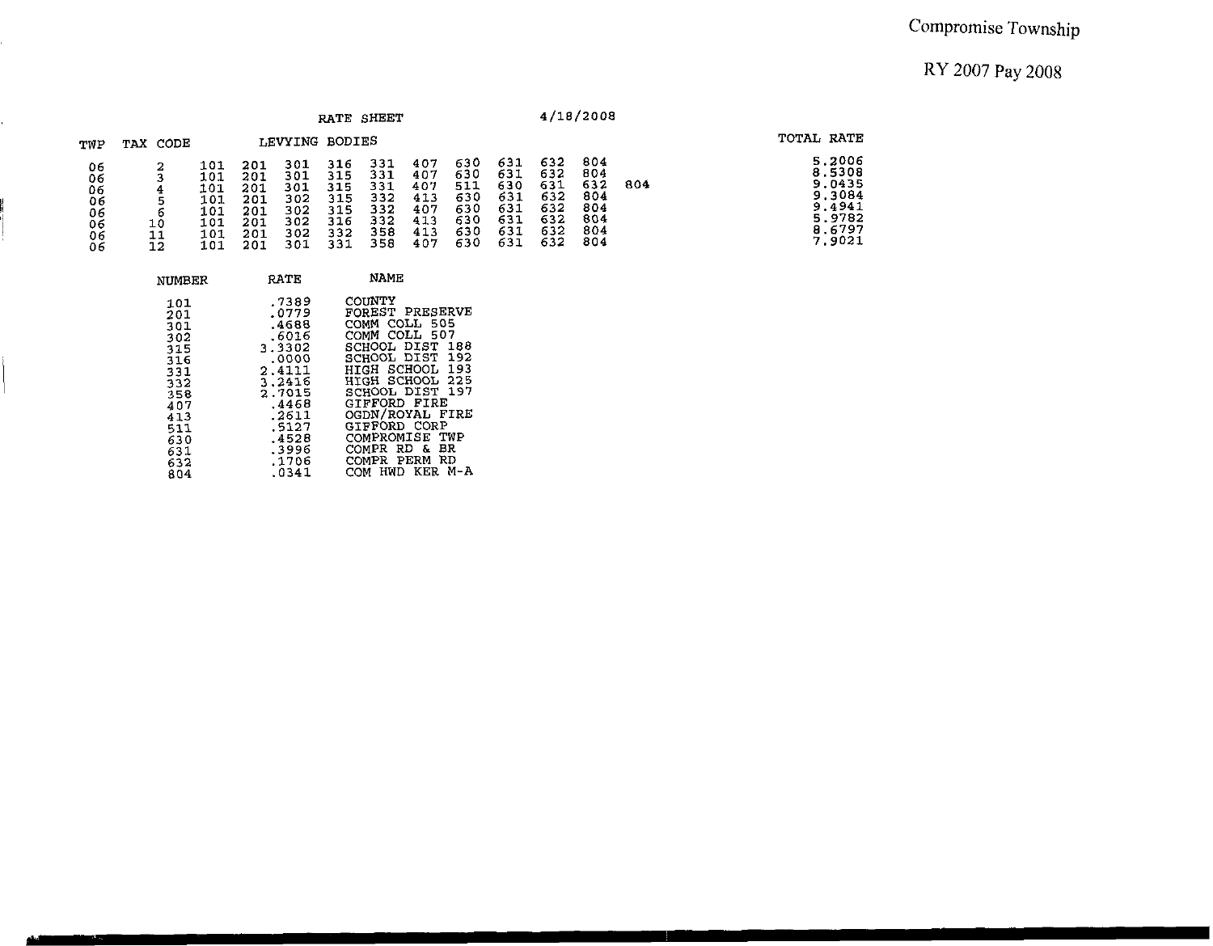|                                              |                |                                                      |                                                      |                                                      | RATE SHEET                                           |                                                      |                                                      |                                                      |                                                      |                                                      | 4/18/2008                                            |     |                                                                              |
|----------------------------------------------|----------------|------------------------------------------------------|------------------------------------------------------|------------------------------------------------------|------------------------------------------------------|------------------------------------------------------|------------------------------------------------------|------------------------------------------------------|------------------------------------------------------|------------------------------------------------------|------------------------------------------------------|-----|------------------------------------------------------------------------------|
| TWP                                          | TAX CODE       |                                                      |                                                      | LEVYING BODIES                                       |                                                      |                                                      |                                                      |                                                      |                                                      |                                                      |                                                      |     | TOTAL RATE                                                                   |
| 06<br>06<br>06<br>06<br>06<br>06<br>06<br>06 | 10<br>11<br>12 | 101<br>101<br>101<br>101<br>101<br>101<br>101<br>101 | 201<br>201<br>201<br>201<br>201<br>201<br>201<br>201 | 301<br>301<br>301<br>302<br>302<br>302<br>302<br>301 | 316<br>315<br>315<br>315<br>315<br>316<br>332<br>331 | 331<br>331<br>331<br>332<br>332<br>332<br>358<br>358 | 407<br>407<br>407<br>413<br>407<br>413<br>413<br>407 | 630<br>630<br>511<br>630<br>630<br>630<br>630<br>630 | 631<br>631<br>630<br>631<br>631<br>631<br>631<br>631 | 632<br>632<br>631<br>632<br>632<br>632<br>632<br>632 | 804<br>804<br>632<br>804<br>804<br>804<br>804<br>804 | 804 | 5.2006<br>8.5308<br>9.0435<br>9.3084<br>9.4941<br>5.9782<br>8.6797<br>7.9021 |

| NUMBER                                                                                                 | RATE.                                                                                                                                   | NAME                                                                                                                                                                                                                                                              |
|--------------------------------------------------------------------------------------------------------|-----------------------------------------------------------------------------------------------------------------------------------------|-------------------------------------------------------------------------------------------------------------------------------------------------------------------------------------------------------------------------------------------------------------------|
| 101<br>201<br>301<br>302<br>315<br>316<br>331<br>332<br>358<br>407<br>413<br>511<br>630<br>631<br>632. | .7389<br>.0779<br>.4688<br>.6016<br>3.3302<br>.0000<br>2.4111<br>3.2416<br>2.7015<br>.4468<br>.2611<br>.5127<br>.4528<br>.3996<br>.1706 | COUNTY<br>FOREST PRESERVE<br>COMM COLL 505<br>COMM COLL 507<br>SCHOOL DIST 188<br>SCHOOL DIST 192<br>HIGH SCHOOL 193<br>HTGH SCHOOL 225<br>SCHOOL DIST 197<br>GIFFORD FIRE<br>OGDN/ROYAL FIRE<br>GIFFORD CORP<br>COMPROMISE TWP<br>COMPR RD & BR<br>COMPR PERM RD |
| 804                                                                                                    | .0341                                                                                                                                   | COM HWD KER M-A                                                                                                                                                                                                                                                   |

ŕ.

i.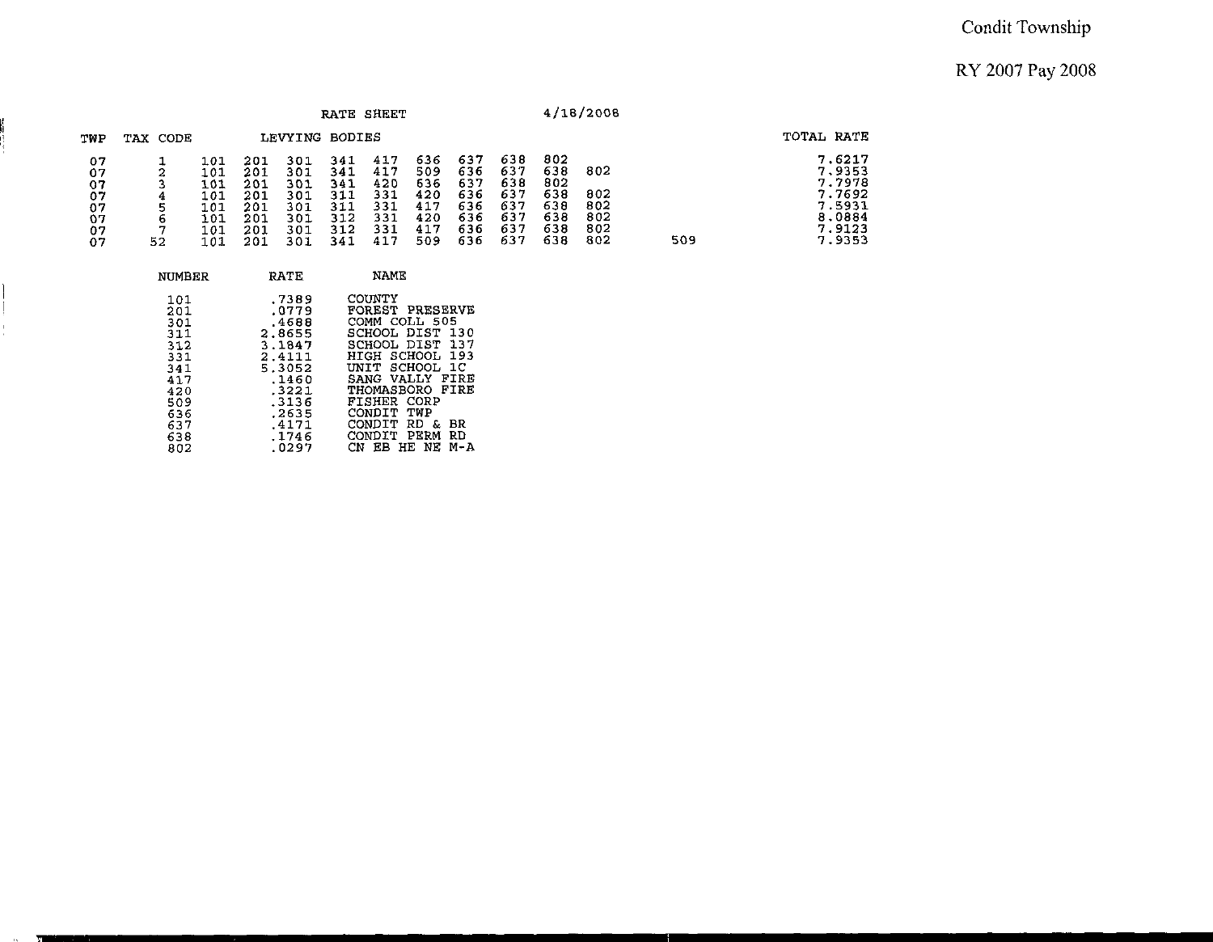#### **Condit Township**

#### **RY 2007 Pay** 2008

|                                              |              |                                                      |                                                      |                                                      | <b>RATE SHEET</b>                                    |                                                      |                                                      |                                                      |                                                      |                                                      | 4/18/2008                              |     |                                                                              |
|----------------------------------------------|--------------|------------------------------------------------------|------------------------------------------------------|------------------------------------------------------|------------------------------------------------------|------------------------------------------------------|------------------------------------------------------|------------------------------------------------------|------------------------------------------------------|------------------------------------------------------|----------------------------------------|-----|------------------------------------------------------------------------------|
| TWP                                          | TAX CODE     |                                                      |                                                      | LEVYING BODIES                                       |                                                      |                                                      |                                                      |                                                      |                                                      |                                                      |                                        |     | TOTAL RATE                                                                   |
| 07<br>07<br>07<br>07<br>07<br>07<br>07<br>07 | 6<br>7<br>52 | 101<br>101<br>101<br>101<br>101<br>101<br>101<br>101 | 201<br>201<br>201<br>201<br>201<br>201<br>201<br>201 | 301<br>301<br>301<br>301<br>301<br>301<br>301<br>301 | 341<br>341<br>341<br>311<br>311<br>312<br>312<br>341 | 417<br>417<br>420<br>331<br>331<br>331<br>331<br>417 | 636<br>509<br>636<br>420<br>417<br>420<br>417<br>509 | 637<br>636<br>637<br>636<br>636<br>636<br>636<br>636 | 638<br>637<br>638<br>637<br>637<br>637<br>637<br>637 | 802<br>638<br>802<br>638<br>638<br>638<br>638<br>638 | 802<br>802<br>802<br>802<br>802<br>802 | 509 | 7.6217<br>7.9353<br>7.7978<br>7.7692<br>7.5931<br>8,0884<br>7.9123<br>7.9353 |

| NUMBER                                                                            | RATE                                                                                                         | NAME                                                                                                                                                                                                                 |  |
|-----------------------------------------------------------------------------------|--------------------------------------------------------------------------------------------------------------|----------------------------------------------------------------------------------------------------------------------------------------------------------------------------------------------------------------------|--|
| 101<br>201<br>301<br>311<br>312<br>331<br>341<br>417<br>420<br>509.<br>636<br>637 | .7389<br>.0779<br>.4688<br>2.8655<br>3.1847<br>2.4111<br>5.3052<br>.1460<br>.3221<br>.3136<br>.2635<br>.4171 | COUNTY<br><b>FOREST PRESERVE</b><br>COMM COLL 505<br>SCHOOL DIST 130<br>SCHOOL DIST 137<br>HIGH SCHOOL 193<br>UNIT SCHOOL 1C<br>SANG VALLY FIRE<br>THOMASBORO FIRE<br>FISHER CORP<br>CONDIT TWP<br>CONDIT RD &<br>ВR |  |
| 638                                                                               | .1746                                                                                                        | CONDIT PERM<br>RD                                                                                                                                                                                                    |  |
| 802                                                                               | .0297                                                                                                        | CN EB HE NE M-A                                                                                                                                                                                                      |  |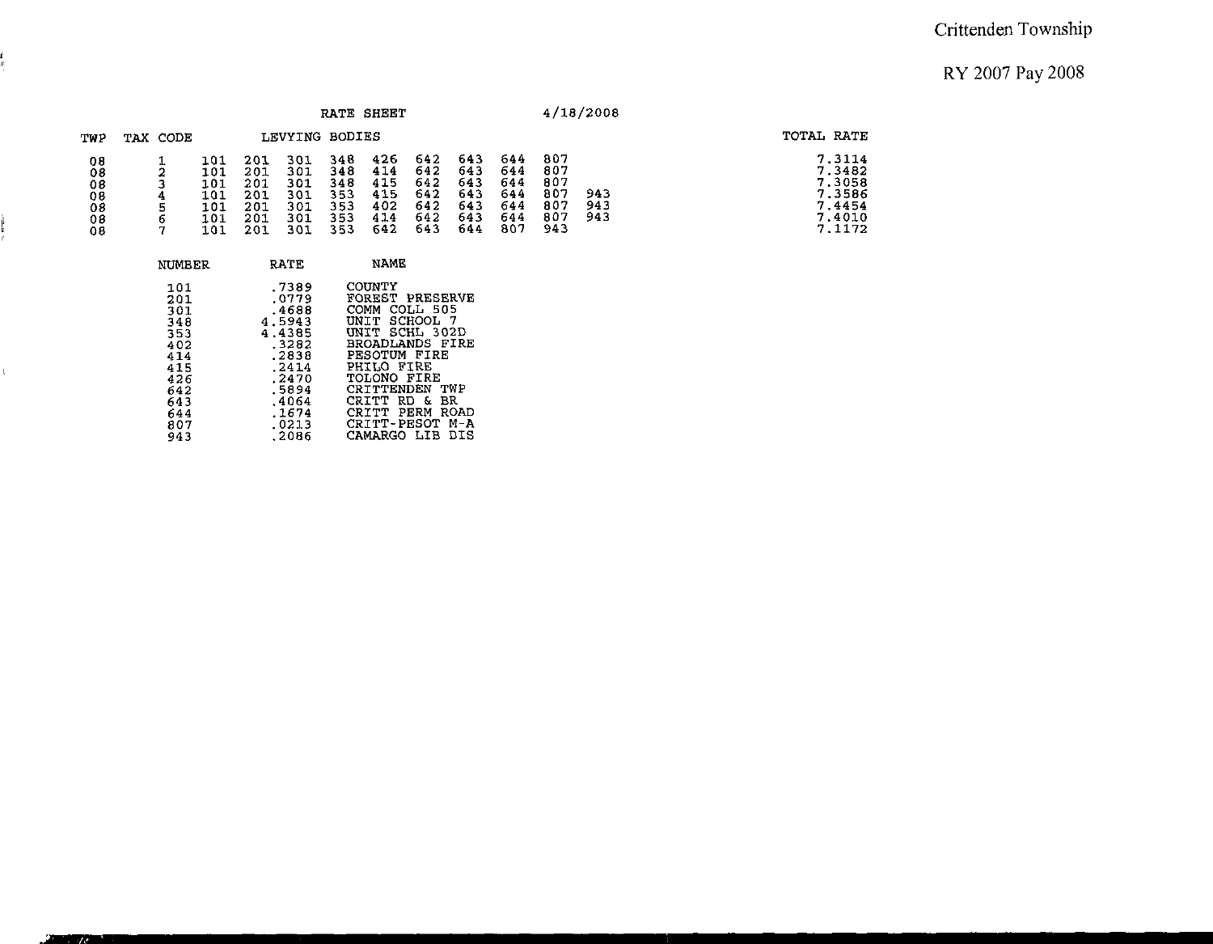$7.3114$ <br>  $7.3482$ <br>  $7.3058$ <br>  $7.4454$ <br>  $7.4010$ <br>  $7.1172$ 

|                                        |                  |                                                |                                        |                                               | RATE SHEET                             |                                               |                                               |                                                |                                               |                                               | 4/18/2008         |                                                                    |
|----------------------------------------|------------------|------------------------------------------------|----------------------------------------|-----------------------------------------------|----------------------------------------|-----------------------------------------------|-----------------------------------------------|------------------------------------------------|-----------------------------------------------|-----------------------------------------------|-------------------|--------------------------------------------------------------------|
| TWP                                    | TAX CODE         |                                                |                                        | LEVYING BODIES                                |                                        |                                               |                                               |                                                |                                               |                                               |                   | TOTAL RATE                                                         |
| 08<br>08<br>08<br>08<br>08<br>08<br>08 | ◠<br>4<br>6<br>− | 101<br>101<br>101<br>101<br>101<br>101<br>1.01 | 201<br>201<br>201<br>201<br>201<br>201 | 301<br>301<br>301<br>301<br>301<br>301<br>301 | 348<br>348<br>348<br>353<br>353<br>353 | 426<br>414<br>415<br>415<br>402<br>414<br>642 | 642<br>642<br>642<br>642<br>642<br>642<br>643 | 643<br>-643<br>643<br>643<br>643<br>643<br>644 | 644<br>644<br>644<br>644<br>644<br>644<br>807 | 807<br>807<br>807<br>807<br>807<br>807<br>943 | 943<br>943<br>943 | 7.3114<br>7.3482<br>7.3058<br>7.3586<br>7.4454<br>7.4010<br>7.1172 |

| NUMBER                                                                           | RATE                                                                                                         | NAME                                                                                                                                                                                                        |
|----------------------------------------------------------------------------------|--------------------------------------------------------------------------------------------------------------|-------------------------------------------------------------------------------------------------------------------------------------------------------------------------------------------------------------|
| 101<br>201<br>301<br>348<br>353<br>402<br>414<br>415<br>426<br>642<br>643<br>644 | .7389<br>.0779<br>.4688<br>4.5943<br>4.4385<br>.3282<br>.2838<br>. 24 14<br>.2470<br>.5894<br>.4064<br>.1674 | COUNTY<br>FOREST PRESERVE<br>COMM COLL 505<br>UNIT SCHOOL 7<br>UNIT SCHL 302D<br>BROADLANDS FIRE<br>PESOTUM FIRE<br>PHILO FIRE<br>TOLONO FIRE<br>CRITTENDEN<br>TWP<br>CR TTT.<br>RD & BR<br>CRITT PERM ROAD |
| 807<br>943                                                                       | .0213<br>.2086                                                                                               | CRITT-PESOT M-A<br>CAMARGO LIB DIS                                                                                                                                                                          |

è<br>F

 $\mathbb{C}^{\mathbb{Z}}$ 

 $\sqrt{2}$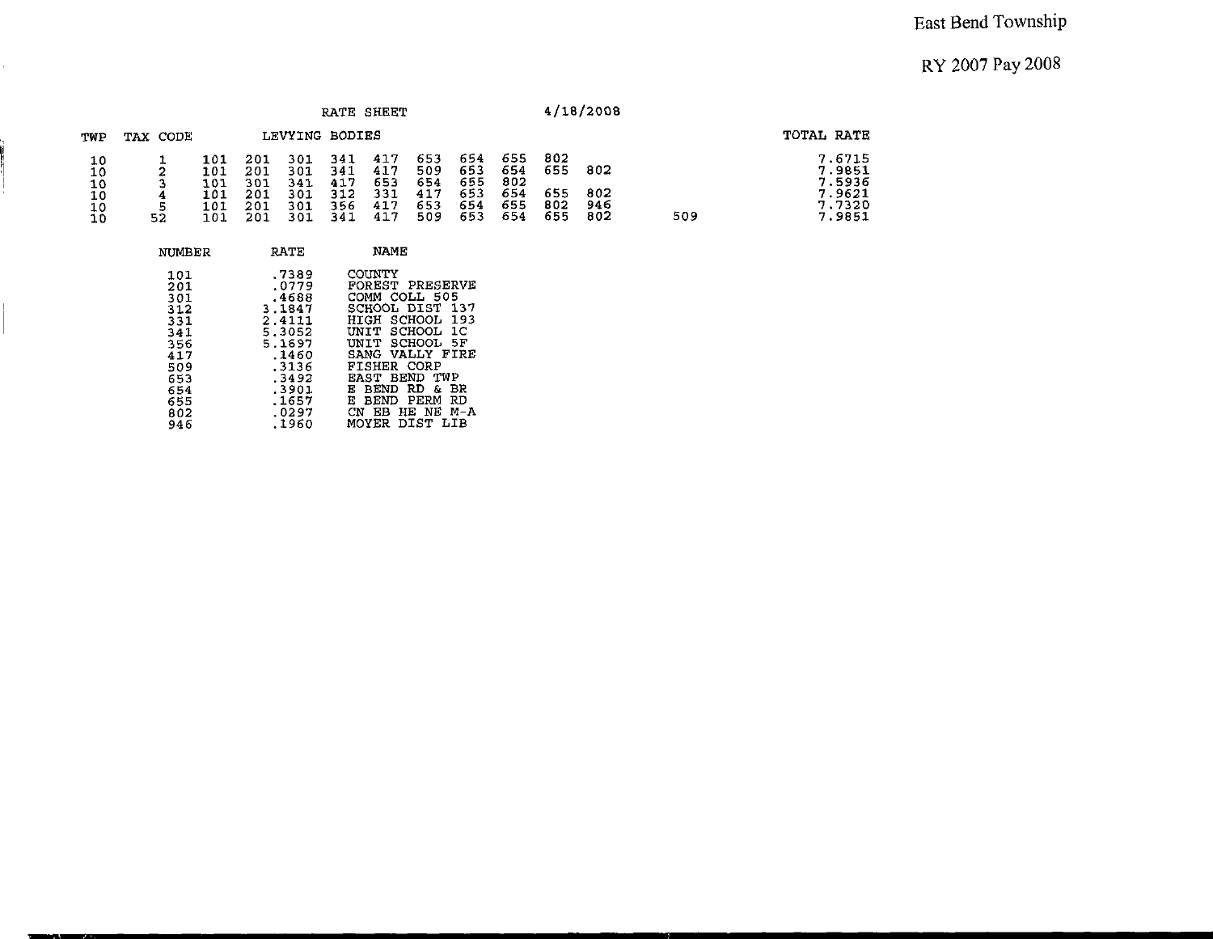|                                  |          |                                        |                                        |                                        |                                        | RATE SHEET                             |                                        |                                        |                                        |                                 | 4/18/2008                |     |                                                          |
|----------------------------------|----------|----------------------------------------|----------------------------------------|----------------------------------------|----------------------------------------|----------------------------------------|----------------------------------------|----------------------------------------|----------------------------------------|---------------------------------|--------------------------|-----|----------------------------------------------------------|
| TWP                              | TAX CODE |                                        |                                        |                                        | LEVYING BODIES                         |                                        |                                        |                                        |                                        |                                 |                          |     | TOTAL RATE                                               |
| 10<br>10<br>10<br>10<br>10<br>10 | 52       | 101<br>101<br>101<br>101<br>101<br>101 | 201<br>201<br>301<br>201<br>201<br>201 | 301<br>301<br>341<br>301<br>301<br>301 | 341<br>341<br>417<br>312<br>356<br>341 | 417<br>417<br>653<br>331<br>417<br>417 | 653<br>509<br>654<br>417<br>653<br>509 | 654<br>653<br>655<br>653<br>654<br>653 | 655<br>654<br>802<br>654<br>655<br>654 | 802<br>655<br>655<br>802<br>655 | 802<br>802<br>946<br>802 | 509 | 7.6715<br>7.9851<br>7.5936<br>7.9621<br>7.7320<br>7.9851 |

| NUMBER                                                                           | <b>RATE</b>                                                                                                           | <b>NAME</b>                                                                                                                                                                                                                                                                     |
|----------------------------------------------------------------------------------|-----------------------------------------------------------------------------------------------------------------------|---------------------------------------------------------------------------------------------------------------------------------------------------------------------------------------------------------------------------------------------------------------------------------|
| 101<br>201<br>301<br>312<br>331<br>341<br>356<br>417<br>509<br>653<br>654<br>655 | .7389<br>.0779<br>.4688<br>3.1847<br>2.4111<br>5.3052<br>5.1697<br>.1460<br>.3136<br>.3492<br>.3901<br>.1657<br>.0297 | COUNTY<br>FOREST PRESERVE<br>COMM COLL 505<br>SCHOOL DIST<br>-137<br>SCHOOL 193<br>HTCH<br>UNIT SCHOOL 1C<br>UNIT SCHOOL<br>- 5 F<br>SANG VALLY FIRE<br>FISHER CORP<br>EAST BEND TWP<br>BEND RD<br>вĸ<br>Е<br>s.<br>PERM<br>Е<br><b>BEND</b><br>RD.<br>HE NE<br>CN<br>EB<br>м-а |
| 802<br>946                                                                       | .1960                                                                                                                 | MOYER<br>DIST LIB                                                                                                                                                                                                                                                               |

 $\mathbf{r}^{(i)}$ 

J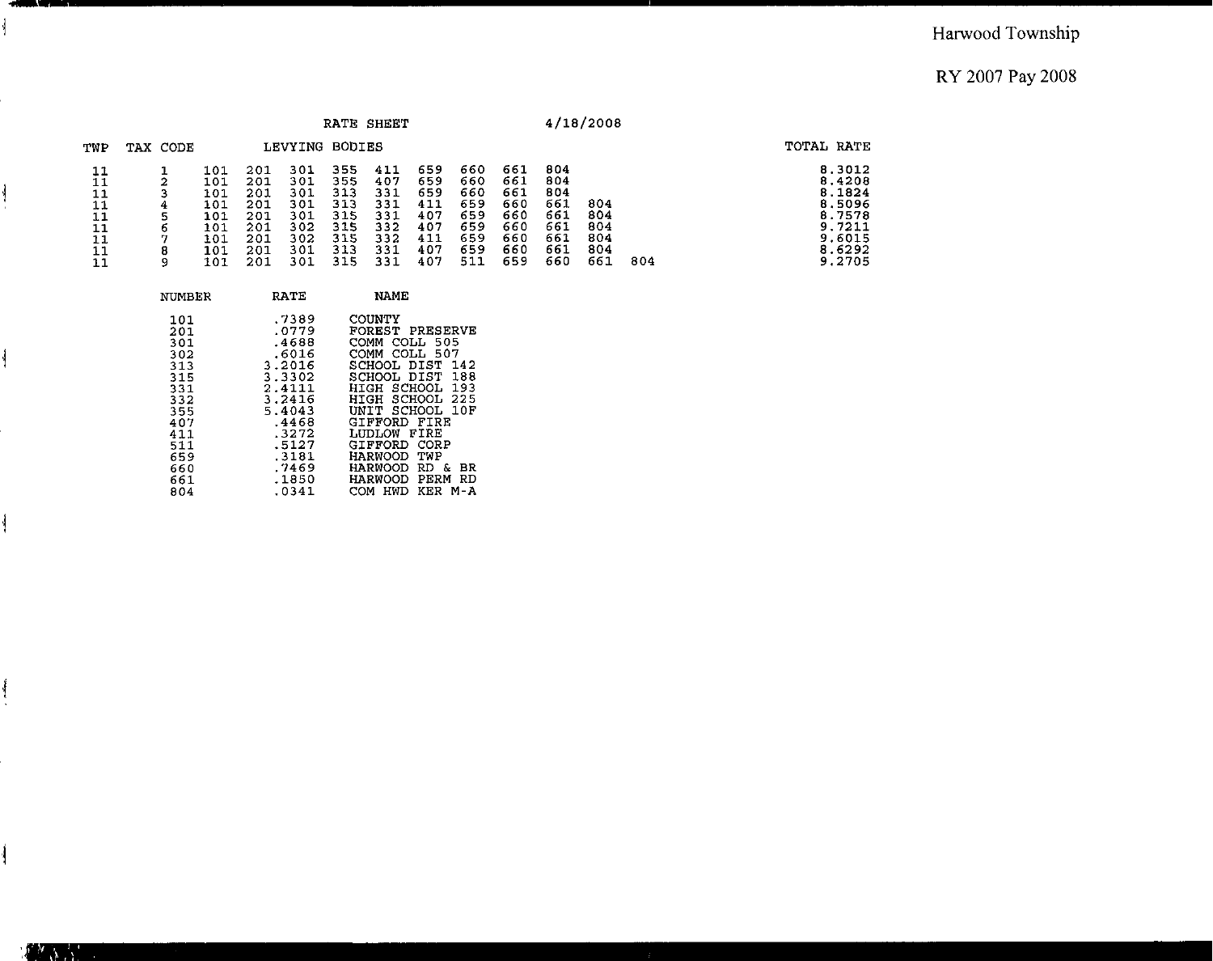|                                        |             |                                                             |                                                             |                                                             |                                                             | RATE SHEET                                                  |                                                             |                                                             |                                                             |                                                             | 4/18/2008                              |     |                                                                                        |
|----------------------------------------|-------------|-------------------------------------------------------------|-------------------------------------------------------------|-------------------------------------------------------------|-------------------------------------------------------------|-------------------------------------------------------------|-------------------------------------------------------------|-------------------------------------------------------------|-------------------------------------------------------------|-------------------------------------------------------------|----------------------------------------|-----|----------------------------------------------------------------------------------------|
| TWP                                    | TAX CODE    |                                                             |                                                             | LEVYING                                                     | <b>BODIES</b>                                               |                                                             |                                                             |                                                             |                                                             |                                                             |                                        |     | TOTAL RATE                                                                             |
| 11<br>11<br>11<br>11<br>11<br>11<br>11 | 6<br>8<br>9 | 101<br>101<br>101<br>101<br>101<br>101<br>101<br>101<br>101 | 201<br>201<br>201<br>201<br>201<br>201<br>201<br>201<br>201 | 301<br>301<br>301<br>301<br>301<br>302<br>302<br>301<br>301 | 355<br>355<br>313<br>313<br>315<br>315<br>315<br>313<br>315 | 411<br>407<br>331<br>331<br>331<br>332<br>332<br>331<br>331 | 659<br>659<br>659<br>411<br>407<br>407<br>411<br>407<br>407 | 660<br>660<br>660<br>659<br>659<br>659<br>659<br>659<br>511 | 661<br>661<br>661<br>660<br>660<br>660<br>660<br>660<br>659 | 804<br>804<br>804<br>661<br>661<br>661<br>661<br>661<br>660 | 804<br>804<br>804<br>804<br>804<br>661 | 804 | 8.3012<br>8.4208<br>8.1824<br>8.5096<br>8.7578<br>9.7211<br>9.6015<br>8.6292<br>9.2705 |

| NUMBER                                                                                         | RATE                                                                                                                            | NAME                                                                                                                                                                                                                                              |
|------------------------------------------------------------------------------------------------|---------------------------------------------------------------------------------------------------------------------------------|---------------------------------------------------------------------------------------------------------------------------------------------------------------------------------------------------------------------------------------------------|
| 101<br>201<br>301<br>302<br>313<br>315<br>331<br>332<br>355<br>407<br>411<br>511<br>659<br>660 | .7389<br>.0779<br>.4688<br>.6016<br>3.2016<br>3.3302<br>2.4111<br>3.2416<br>5.4043<br>.4468<br>.3272<br>.5127<br>.3181<br>.7469 | COUNTY<br>FOREST PRESERVE<br>COMM COLL 505<br>COMM COLL 507<br>SCHOOL DIST<br>142<br>SCHOOL DIST 188<br>HIGH SCHOOL 193<br>HIGH SCHOOL 225<br>UNIT SCHOOL 10F<br>GIFFORD FIRE<br>LUDLOW FIRE<br>GIFFORD CORP<br>HARWOOD TWP<br>HARWOOD RD &<br>вR |
| 661<br>804                                                                                     | .1850<br>.0341                                                                                                                  | HARWOOD PERM<br>RD<br>COM HWD<br>KFR M-A                                                                                                                                                                                                          |

 $\frac{1}{2}$ 

 $\overline{\mathbf{r}}$ 

Í

 $\frac{1}{2}$ 

 $\frac{1}{2}$ 

ł

 $\mathbb{R}^{N}$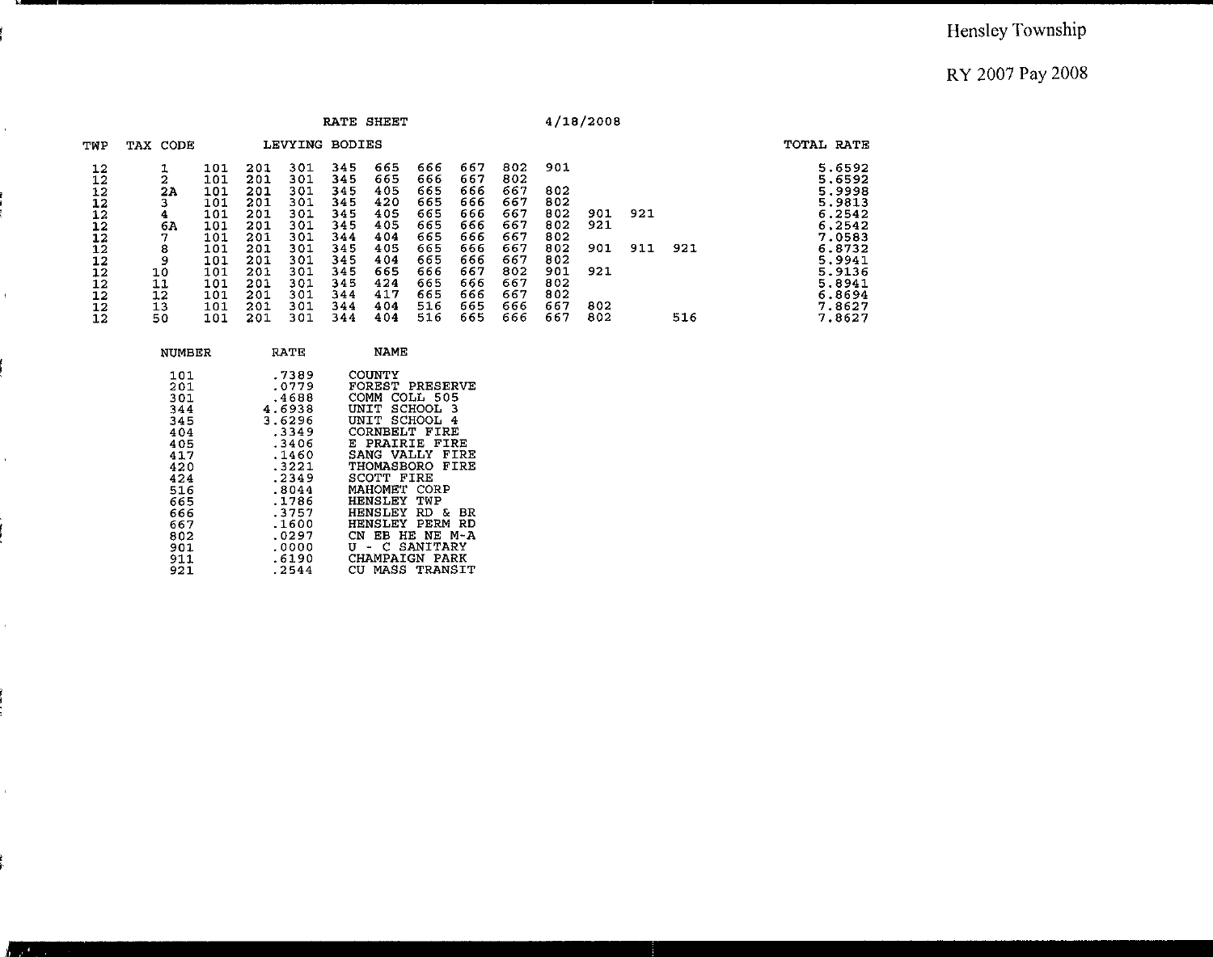#### Hensley Township

RY 2007 Pay 2008

|                                                                                  |                                                                  |                                                                                                |                                                                                                |                                                                                                |                                                                                                | RATE SHEET                                                                                     |                                                                                                |                                                                                                |                                                                                                |                                                                                         | 4/18/2008                              |            |            |                                                                                                                                          |
|----------------------------------------------------------------------------------|------------------------------------------------------------------|------------------------------------------------------------------------------------------------|------------------------------------------------------------------------------------------------|------------------------------------------------------------------------------------------------|------------------------------------------------------------------------------------------------|------------------------------------------------------------------------------------------------|------------------------------------------------------------------------------------------------|------------------------------------------------------------------------------------------------|------------------------------------------------------------------------------------------------|-----------------------------------------------------------------------------------------|----------------------------------------|------------|------------|------------------------------------------------------------------------------------------------------------------------------------------|
| TWP                                                                              | TAX CODE                                                         |                                                                                                |                                                                                                | LEVYING                                                                                        | <b>BODIES</b>                                                                                  |                                                                                                |                                                                                                |                                                                                                |                                                                                                |                                                                                         |                                        |            |            | TOTAL RATE                                                                                                                               |
| 12<br>12<br>12<br>12<br>12<br>12<br>12<br>12<br>12<br>12<br>12<br>12<br>12<br>12 | 2<br>2A<br>4.<br>6А<br>7<br>8<br>9<br>10<br>11<br>12<br>13<br>50 | 101<br>101<br>101<br>101<br>101<br>101<br>101<br>101<br>101<br>101<br>101<br>101<br>101<br>101 | 201<br>201<br>201<br>201<br>201<br>201<br>201<br>201<br>201<br>201<br>201<br>201<br>201<br>201 | 301<br>301<br>301<br>301<br>301<br>301<br>301<br>301<br>301<br>301<br>301<br>301<br>301<br>301 | 345<br>345<br>345<br>345<br>345<br>345<br>344<br>345<br>345<br>345<br>345<br>344<br>344<br>344 | 665<br>665<br>405<br>420<br>405<br>405<br>404<br>405<br>404<br>665<br>424<br>417<br>404<br>404 | 666<br>666<br>665<br>665<br>665<br>665<br>665<br>665<br>665<br>666<br>665<br>665<br>516<br>516 | 667<br>667<br>666<br>666<br>666<br>666<br>666<br>666<br>666<br>667<br>666<br>666<br>665<br>665 | 802<br>802<br>667<br>667<br>667<br>667<br>667<br>667<br>667<br>802<br>667<br>667<br>666<br>666 | 901<br>802<br>802<br>802<br>802<br>802<br>802<br>802<br>901<br>802<br>802<br>667<br>667 | 901<br>921<br>901<br>921<br>802<br>802 | 921<br>911 | 921<br>516 | 5.6592<br>5.6592<br>5.9998<br>5.9813<br>6.2542<br>6.2542<br>7.0583<br>6.8732<br>5.9941<br>5.9136<br>5.8941<br>6.8694<br>7.8627<br>7.8627 |
|                                                                                  | <b>NUMBER</b>                                                    |                                                                                                |                                                                                                | RATE                                                                                           |                                                                                                | <b>NAME</b>                                                                                    |                                                                                                |                                                                                                |                                                                                                |                                                                                         |                                        |            |            |                                                                                                                                          |

| 101<br>201<br>301<br>344<br>345<br>404<br>405<br>417 | .7389<br>.0779<br>.4688<br>4.6938<br>3.6296<br>.3349<br>.3406<br>.1460 | COUNTY<br>FOREST PRESERVE<br>COMM<br>COLL 505<br>UNIT SCHOOL 3<br>UNIT SCHOOL 4<br>CORNBELT FIRE<br>E PRAIRIE FIRE<br>SANG VALLY FIRE |
|------------------------------------------------------|------------------------------------------------------------------------|---------------------------------------------------------------------------------------------------------------------------------------|
| 420<br>424                                           | .3221<br>.2349                                                         | THOMASBORO FIRE<br>SCOTT FIRE                                                                                                         |
| 516<br>665                                           | .8044<br>.1786                                                         | MAHOMET CORP<br><b>HENSLEY TWP</b>                                                                                                    |
| 666                                                  | .3757                                                                  | <b>HENSLEY RD &amp;</b><br>BR                                                                                                         |
| 667<br>802                                           | .1600<br>.0297                                                         | HENSLEY PERM<br>RD<br>CN EB HE NE M-A                                                                                                 |
| 901<br>911                                           | .0000<br>.6190                                                         | U - C SANITARY<br><b>CHAMPAIGN PARK</b>                                                                                               |
| 921                                                  | .2544                                                                  | CU MASS TRANSIT                                                                                                                       |

i.

 $\hat{\mathbf{r}}$ 

 $\epsilon$ 

 $\bar{\rm r}$ 

 $\bar{V}$ 

 $\mathbf{v}$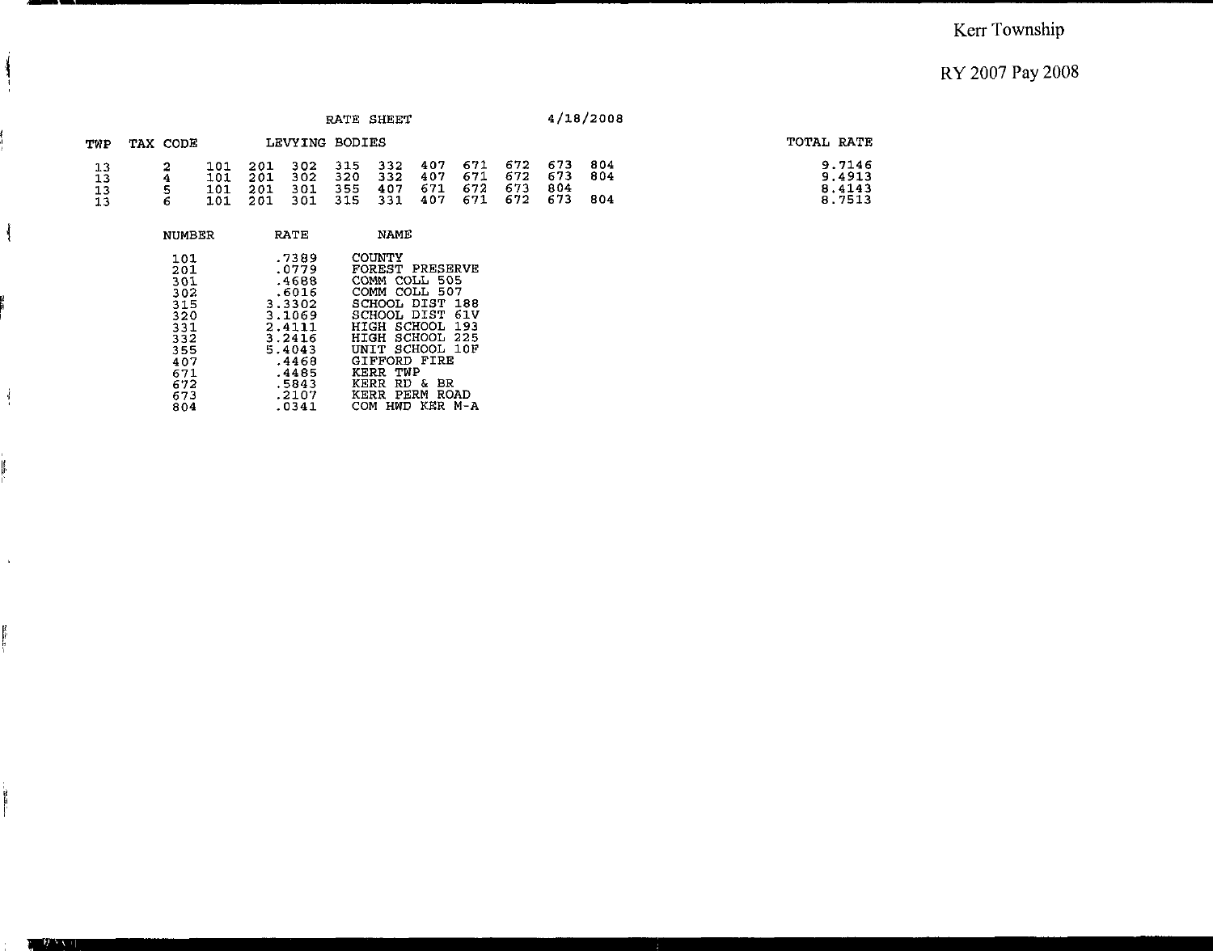|                      |          |                          |                          |                          |                          | RATE SHEET               |                          |                          |                          |                          | 4/18/2008         |                                      |
|----------------------|----------|--------------------------|--------------------------|--------------------------|--------------------------|--------------------------|--------------------------|--------------------------|--------------------------|--------------------------|-------------------|--------------------------------------|
| TWP                  | TAX CODE |                          |                          | LEVYING BODIES           |                          |                          |                          |                          |                          |                          |                   | TOTAL RATE                           |
| 13<br>13<br>13<br>13 | 6        | 101<br>101<br>101<br>101 | 201<br>201<br>201<br>201 | 302<br>302<br>301<br>301 | 315<br>320<br>355<br>315 | 332<br>332<br>407<br>331 | 407<br>407<br>671<br>407 | 671<br>671<br>672<br>671 | 672<br>672<br>673<br>672 | 673<br>673<br>804<br>673 | 804<br>804<br>804 | 9.7146<br>9.4913<br>8.4143<br>8.7513 |
|                      | NUMBER   |                          |                          | <b>RATE</b>              |                          | <b>NAME</b>              |                          |                          |                          |                          |                   |                                      |

|     | .7389  | COUNTY                 |
|-----|--------|------------------------|
| 101 | .0779  | <b>FOREST PRESERVE</b> |
| 201 |        |                        |
| 301 | .4688  | COMM COLL 505          |
| 302 | .6016  | COMM COLL 507          |
| 315 | 3.3302 | SCHOOL DIST 188        |
| 320 | 3.1069 | SCHOOL DIST 61V        |
| 331 | 2.4111 | HIGH SCHOOL 193        |
| 332 | 3.2416 | HIGH SCHOOL 225        |
| 355 | 5.4043 | UNIT SCHOOL 10F        |
| 407 | .4468  | GIFFORD FIRE           |
| 671 | .4485  | KERR TWP               |
| 672 | .5843  | RD & BR<br>KERR        |
| 673 | .2107  | KERR PERM ROAD         |
| 804 | .0341  | HWD KER M-A<br>COM     |

- --- - -

 $\frac{1}{2}$ 

 $\frac{1}{4}$ 

ļ

 $\Delta$ 

医学区

 $-22$ 

 $\mathcal{F}$   $\mathcal{F}$   $\mathcal{F}$   $\mathcal{F}$   $\mathcal{F}$   $\mathcal{F}$   $\mathcal{F}$   $\mathcal{F}$   $\mathcal{F}$   $\mathcal{F}$   $\mathcal{F}$   $\mathcal{F}$   $\mathcal{F}$   $\mathcal{F}$   $\mathcal{F}$   $\mathcal{F}$   $\mathcal{F}$   $\mathcal{F}$   $\mathcal{F}$   $\mathcal{F}$   $\mathcal{F}$   $\mathcal{F}$   $\mathcal{F}$   $\mathcal{F}$   $\mathcal{$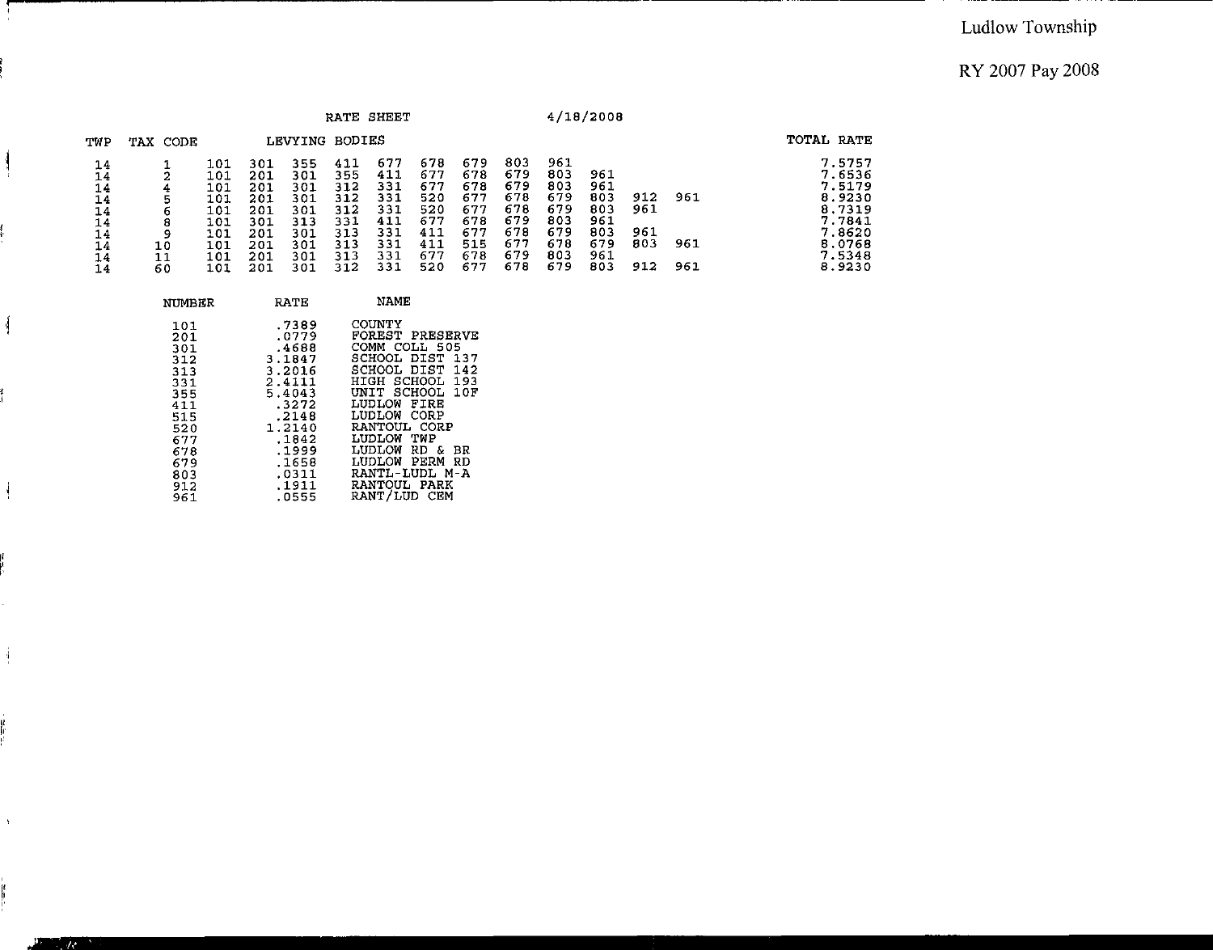|                                                          |                                         |                                                                    |                                                                    |                                                                    | RATE                                                               | SHEET                                                              |                                                                    |                                                                    |                                                                    |                                                                    | 4/18/2008                                                   |                                 |                   |                                                                                                  |
|----------------------------------------------------------|-----------------------------------------|--------------------------------------------------------------------|--------------------------------------------------------------------|--------------------------------------------------------------------|--------------------------------------------------------------------|--------------------------------------------------------------------|--------------------------------------------------------------------|--------------------------------------------------------------------|--------------------------------------------------------------------|--------------------------------------------------------------------|-------------------------------------------------------------|---------------------------------|-------------------|--------------------------------------------------------------------------------------------------|
| TWP                                                      | TAX CODE                                | BODIES<br>LEVYING                                                  |                                                                    |                                                                    |                                                                    |                                                                    |                                                                    |                                                                    |                                                                    |                                                                    |                                                             | TOTAL RATE                      |                   |                                                                                                  |
| 14<br>14<br>14<br>14<br>14<br>14<br>14<br>14<br>14<br>14 | 4<br>5<br>6<br>8<br>9<br>10<br>11<br>60 | 101<br>101<br>101<br>101<br>101<br>101<br>101<br>101<br>101<br>101 | 301<br>201<br>201<br>201<br>201<br>301<br>201<br>201<br>201<br>201 | 355<br>301<br>301<br>301<br>301<br>313<br>301<br>301<br>301<br>301 | 411<br>355<br>312<br>312<br>312<br>331<br>313<br>313<br>313<br>312 | 677<br>411<br>331<br>331<br>331<br>411<br>331<br>331<br>331<br>331 | 678<br>677<br>677<br>520<br>520<br>677<br>411<br>411<br>677<br>520 | 679<br>678<br>678<br>677<br>677<br>678<br>677<br>515<br>678<br>677 | 803<br>679<br>679<br>678<br>678<br>679<br>678<br>677<br>679<br>678 | 961<br>803<br>803<br>679<br>679<br>803<br>679<br>678<br>803<br>679 | 961<br>961<br>803<br>803<br>961<br>803<br>679<br>961<br>803 | 912<br>961<br>961<br>803<br>912 | 961<br>961<br>961 | 7.5757<br>7.6536<br>7.5179<br>8.9230<br>8.7319<br>7.7841<br>7.8620<br>8.0768<br>7.5348<br>8.9230 |

-----

| NUMBER                                 | RATE                                                   | NAME                                                                                                                           |
|----------------------------------------|--------------------------------------------------------|--------------------------------------------------------------------------------------------------------------------------------|
| 101<br>201<br>301<br>312               | .7389<br>.0779<br>.4688<br>3.1847                      | COUNTY<br>FOREST<br>PRESERVE<br>COMM COLL 505<br>SCHOOL<br>DIST<br>137                                                         |
| 313<br>331<br>355<br>411<br>515<br>520 | 3.2016<br>2.4111<br>5.4043<br>.3272<br>.2148<br>1.2140 | SCHOOL DIST<br>142<br>SCHOOL<br>HIGH<br>193<br>SCHOOL<br>10F<br>UNIT<br>FIRE<br>LUDLOW<br>CORP<br>LUDLOW<br>RANTOUL CORP       |
| 677<br>678<br>679<br>803<br>912<br>961 | .1842<br>.1999<br>.1658<br>.0311<br>.1911<br>.0555     | TWP<br>LUDLOW<br>LUDLOW<br>RD.<br>$\mathbf{r}$<br>ВR<br>LUDLOW<br>PERM<br>RD<br>RANTL-LUDL M-A<br>RANTOUL PARK<br>RANT/LUD CEM |

Ã.

 $\frac{1}{2}$ 

 $\frac{1}{2}$ 

i<br>In

 $\Lambda$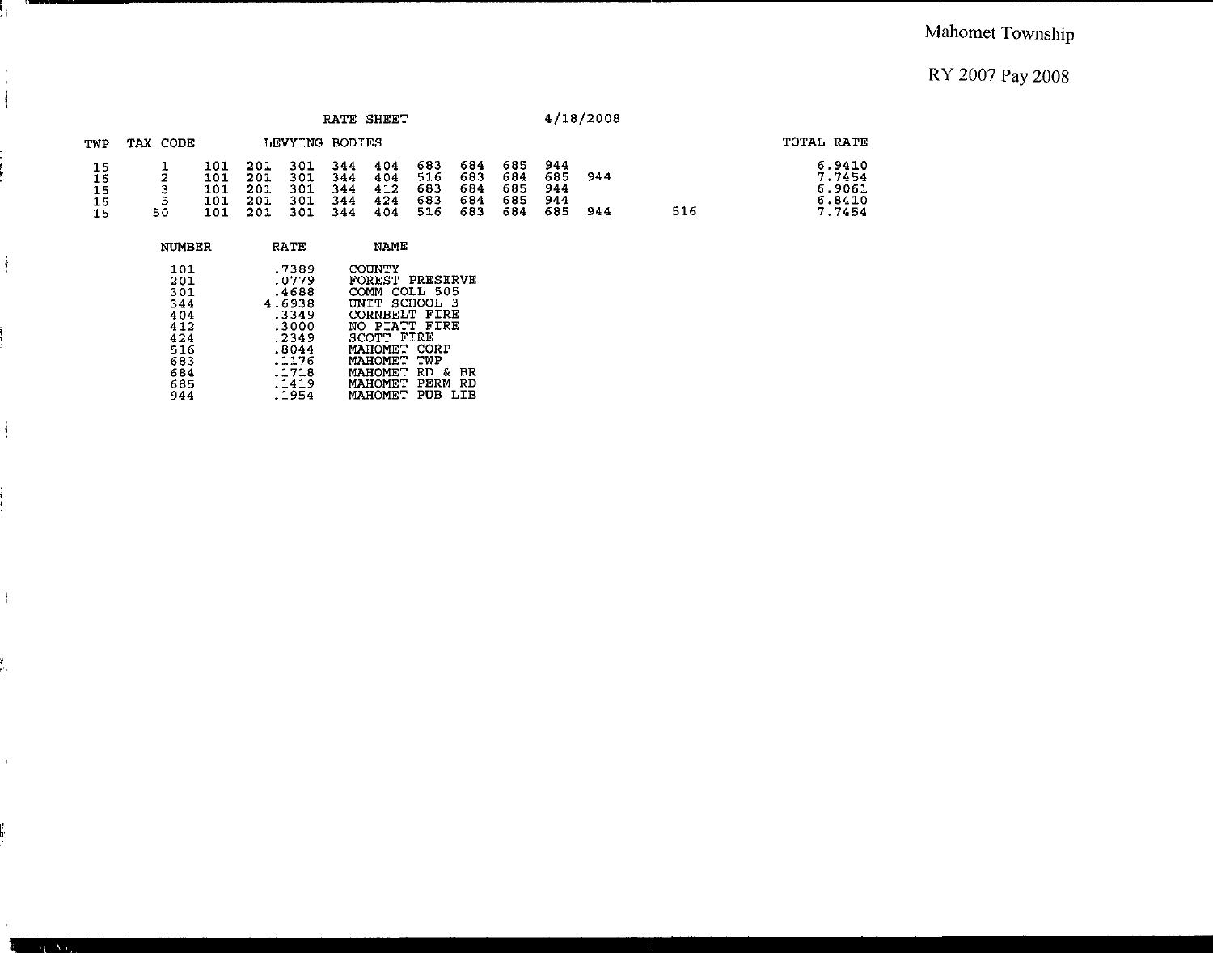#### Mahomet Township

### RY 2007 Pay 2008

|                            |              |                                 |                                 |                                 |                                 | RATE SHEET                      |                                 |                                 |                                 |                                 | 4/18/2008  |     |                                                |
|----------------------------|--------------|---------------------------------|---------------------------------|---------------------------------|---------------------------------|---------------------------------|---------------------------------|---------------------------------|---------------------------------|---------------------------------|------------|-----|------------------------------------------------|
| TWP                        | TAX CODE     |                                 |                                 | LEVYING BODIES                  |                                 |                                 |                                 |                                 |                                 |                                 |            |     | TOTAL RATE                                     |
| 15<br>15<br>15<br>15<br>15 | 2<br>5<br>50 | 101<br>101<br>101<br>101<br>101 | 201<br>201<br>201<br>201<br>201 | 301<br>301<br>301<br>301<br>301 | 344<br>344<br>344<br>344<br>344 | 404<br>404<br>412<br>424<br>404 | 683<br>516<br>683<br>683<br>516 | 684<br>683<br>684<br>684<br>683 | 685<br>684<br>685<br>685<br>684 | 944<br>685<br>944<br>944<br>685 | 944<br>944 | 516 | 6.9410<br>7.7454<br>6.9061<br>6.8410<br>7.7454 |
|                            | NUMBER       |                                 |                                 | RATE                            |                                 | NAME                            |                                 |                                 |                                 |                                 |            |     |                                                |

| 101 | .7389  | COUNTY                   |
|-----|--------|--------------------------|
| 201 | .0779  | FOREST PRESERVE          |
| 301 | .4688  | COMM COLL 505            |
| 344 | 4.6938 | UNIT SCHOOL 3            |
| 404 | .3349  | CORNBELT FIRE            |
| 412 | .3000  | NO PIATT FIRE            |
| 424 | .2349  | SCOTT FIRE               |
| 516 | .8044  | MAHOMET CORP             |
| 683 | .1176  | MAHOMET TWP              |
| 684 | .1718  | MAHOMET RD<br>вR<br>- 82 |
| 685 | .1419  | MAHOMET PERM<br>RD       |
| 944 | .1954  | MAHOMET PUB LIB          |

 $\frac{1}{1}$  ,

*I* 

 $\frac{1}{2}$ 

 $\frac{1}{2}$ 

 $\frac{q}{1}$ 

l.

 $\bar{V}$ 

 $\overline{A}$  As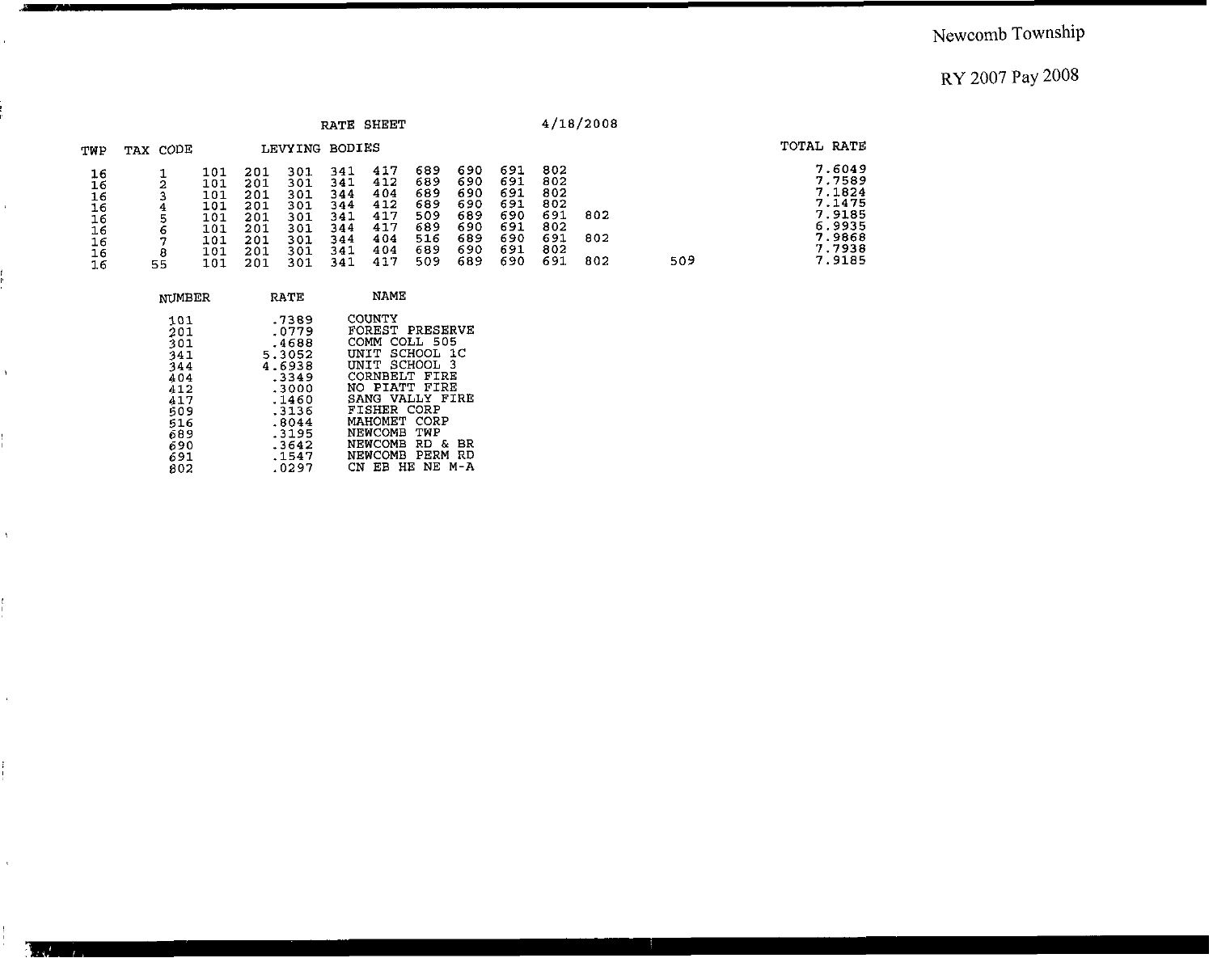## Newcomb Township

## RY 2007 Pay 2008

|                                                               |          |                                                             |                                                             |                                                             | <b>RATE</b>                                                 | SHEET                                                       |                                                             |                                                             |                                                             |                                                             | 4/18/2008         |     |                                                                                        |
|---------------------------------------------------------------|----------|-------------------------------------------------------------|-------------------------------------------------------------|-------------------------------------------------------------|-------------------------------------------------------------|-------------------------------------------------------------|-------------------------------------------------------------|-------------------------------------------------------------|-------------------------------------------------------------|-------------------------------------------------------------|-------------------|-----|----------------------------------------------------------------------------------------|
| TWP                                                           | TAX CODE |                                                             |                                                             | LEVYING BODIES                                              |                                                             |                                                             |                                                             |                                                             |                                                             |                                                             |                   |     | TOTAL RATE                                                                             |
| 16<br>16<br>16<br>16<br>16<br>16<br>16<br>16<br>$1.6^{\circ}$ | 6<br>55  | 101<br>101<br>101<br>101<br>101<br>101<br>101<br>101<br>101 | 201<br>201<br>201<br>201<br>201<br>201<br>201<br>201<br>201 | 301<br>301<br>301<br>301<br>301<br>301<br>301<br>301<br>301 | 341<br>341<br>344<br>344<br>341<br>344<br>344<br>341<br>341 | 417<br>412<br>404<br>412<br>417<br>417<br>404<br>404<br>417 | 689<br>689<br>689<br>689<br>509<br>689<br>516<br>689<br>509 | 690<br>690<br>690<br>690<br>689<br>690<br>689<br>690<br>689 | 691<br>691<br>691<br>691<br>690<br>691<br>690<br>691<br>690 | 802<br>802<br>802<br>802<br>691<br>802<br>691<br>802<br>691 | 802<br>802<br>802 | 509 | 7.6049<br>7.7589<br>7.1824<br>7.1475<br>7.9185<br>6.9935<br>7.9868<br>7.7938<br>7.9185 |

| NUMBER                                                                                  | <b>RATE</b>                                                                                                           | NAME                                                                                                                                                                                                                                                                   |
|-----------------------------------------------------------------------------------------|-----------------------------------------------------------------------------------------------------------------------|------------------------------------------------------------------------------------------------------------------------------------------------------------------------------------------------------------------------------------------------------------------------|
| 101<br>201<br>301<br>341<br>344<br>404<br>412<br>417<br>509<br>516<br>689<br>690<br>691 | .7389<br>.0779<br>.4688<br>5.3052<br>4.6938<br>.3349<br>.3000<br>. 1460<br>.3136<br>.8044<br>. 3195<br>.3642<br>.1547 | COUNTY<br>FOREST PRESERVE<br>COMM COLL 505<br>UNIT SCHOOL 1C<br>UNIT SCHOOL<br>-3<br>CORNBELT FIRE<br>NO PIATT FIRE<br>SANG VALLY FIRE<br><b>FISHER CORP</b><br>MAHOMET CORP<br>NEWCOMB TWP<br>NEWCOMB RD<br>- &<br>ВR<br>PERM<br>RD<br>NEWCOMB<br>HЕ<br>NE M-A<br>CN. |
| 802                                                                                     | .0297                                                                                                                 | EB                                                                                                                                                                                                                                                                     |

-- -

 $\bar{\mathbf{t}}$ 

 $\mathcal{A}^{\pm}$ 

 $\bar{Y}$ 

 $\frac{1}{1}$ 

 $\epsilon$ 

ŧ.

 $\epsilon$ 

 $\mathbf{A}$  and  $\mathbf{A}$  and  $\mathbf{A}$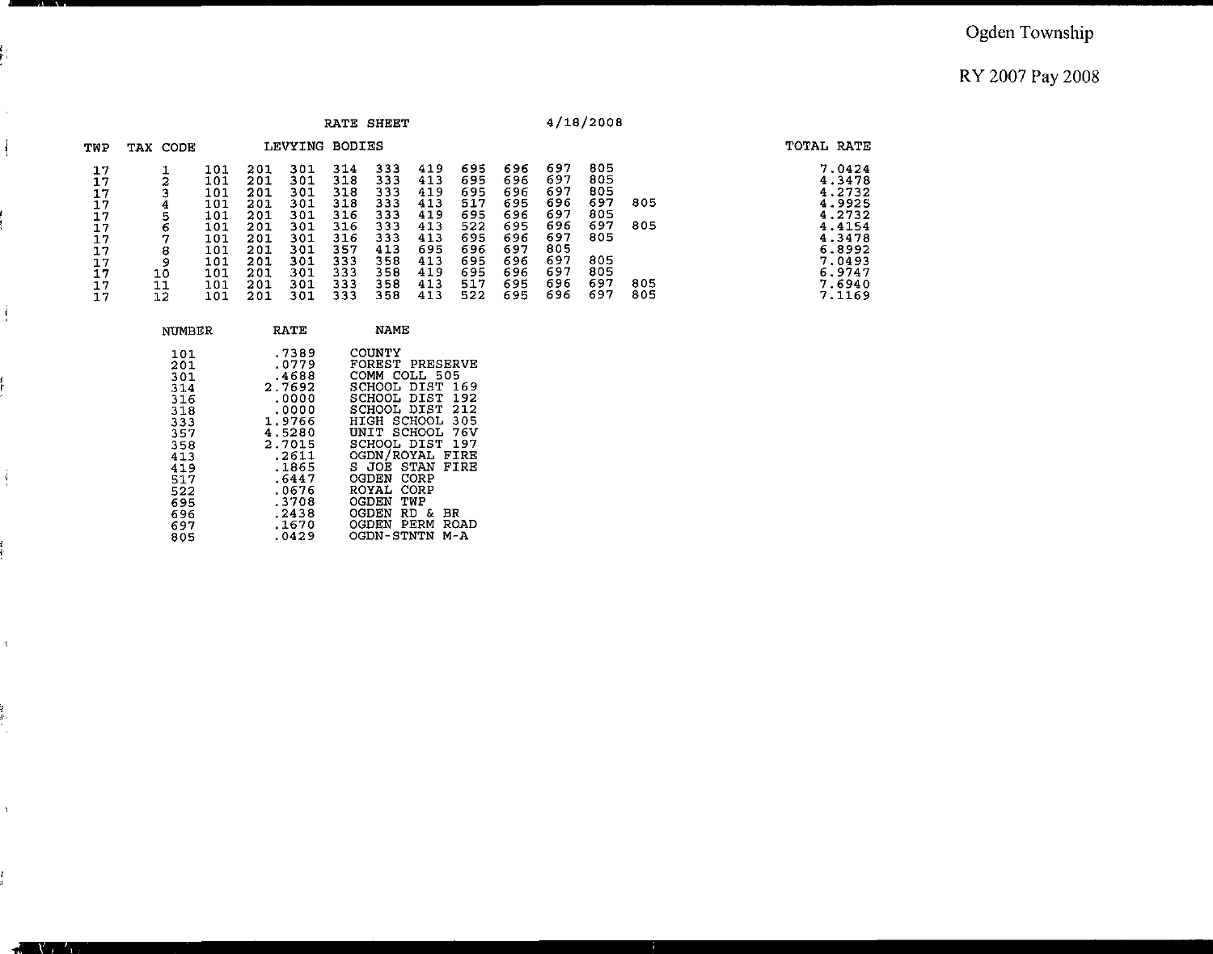#### Ogden Township

#### RY 2007 Pay 2008

|                                                                      |                |                                                                                  |                                                                                  |                                                                                  |                                                                                  | RATE SHEET                                                                       |                                                                                  |                                                                                  |                                                                                  |                                                                                  | 4/18/2008                                                                 |                          |                                                                                                                      |
|----------------------------------------------------------------------|----------------|----------------------------------------------------------------------------------|----------------------------------------------------------------------------------|----------------------------------------------------------------------------------|----------------------------------------------------------------------------------|----------------------------------------------------------------------------------|----------------------------------------------------------------------------------|----------------------------------------------------------------------------------|----------------------------------------------------------------------------------|----------------------------------------------------------------------------------|---------------------------------------------------------------------------|--------------------------|----------------------------------------------------------------------------------------------------------------------|
| TWP                                                                  | TAX CODE       |                                                                                  |                                                                                  | LEVYING BODIES                                                                   |                                                                                  |                                                                                  |                                                                                  |                                                                                  |                                                                                  |                                                                                  |                                                                           |                          | TOTAL RATE                                                                                                           |
| 17<br>17<br>17<br>17<br>17<br>17<br>17<br>17<br>17<br>17<br>17<br>17 | 10<br>11<br>12 | 101<br>101<br>101<br>101<br>101<br>101<br>101<br>101<br>101<br>101<br>101<br>101 | 201<br>201<br>201<br>201<br>201<br>201<br>201<br>201<br>201<br>201<br>201<br>201 | 301<br>301<br>301<br>301<br>301<br>301<br>301<br>301<br>301<br>301<br>301<br>301 | 314<br>318<br>318<br>318<br>316<br>316<br>316<br>357<br>333<br>333<br>333<br>333 | 333<br>333<br>333<br>333<br>333<br>333<br>333<br>413<br>358<br>358<br>358<br>358 | 419<br>413<br>419<br>413<br>419<br>413<br>413<br>695<br>413<br>419<br>413<br>413 | 695<br>695<br>695<br>517<br>695<br>522<br>695<br>696<br>695<br>695<br>517<br>522 | 696<br>696<br>696<br>695<br>696<br>695<br>696<br>697<br>696<br>696<br>695<br>695 | 697<br>697<br>697<br>696<br>697<br>696<br>697<br>805<br>697<br>697<br>696<br>696 | 805<br>805<br>805<br>697<br>805<br>697<br>805<br>805<br>805<br>697<br>697 | 805<br>805<br>805<br>805 | 7.0424<br>4.3478<br>4.2732<br>4.9925<br>4.2732<br>4.4154<br>4.3478<br>6.8992<br>7.0493<br>6.9747<br>7.6940<br>7.1169 |

|   | NUMBER                                        | RATE                                                           | <b>NAME</b>                                                                                                                      |
|---|-----------------------------------------------|----------------------------------------------------------------|----------------------------------------------------------------------------------------------------------------------------------|
|   | 101<br>201<br>301<br>314<br>316<br>318        | .7389<br>.0779<br>.4688<br>2.7692<br>.0000<br>.0000            | COUNTY<br>FOREST PRESERVE<br>COMM COLL 505<br>SCHOOL DIST 169<br>SCHOOL DIST<br>192<br>SCHOOL DIST 212                           |
| i | 333<br>357<br>358<br>413<br>419<br>517<br>522 | 1.9766<br>4.5280<br>2.7015<br>.2611<br>.1865<br>.6447<br>.0676 | HIGH SCHOOL 305<br>UNIT SCHOOL 76V<br>SCHOOL DIST 197<br>OGDN/ROYAL<br>FIRE<br>S JOE STAN<br>FIRE<br>CORP<br>OGDEN<br>ROYAL CORP |
|   | 695<br>696<br>697<br>805                      | .3708<br>.2438<br>.1670<br>.0429                               | OGDEN<br>TWP<br>OGDEN<br>RD.<br>Æ.<br>BR.<br>PERM<br>OGDEN<br>ROAD<br>OGDN-STNTN<br>$M - A$                                      |

'I

 $\mathfrak{q}$ 

tri<br>Tu

 $\bar{Y}$ 

f.<br>1

A Maria  $\mathbf{r}_{\text{t}}$ 

č.<br>Pil

 $\hat{\boldsymbol{\beta}}$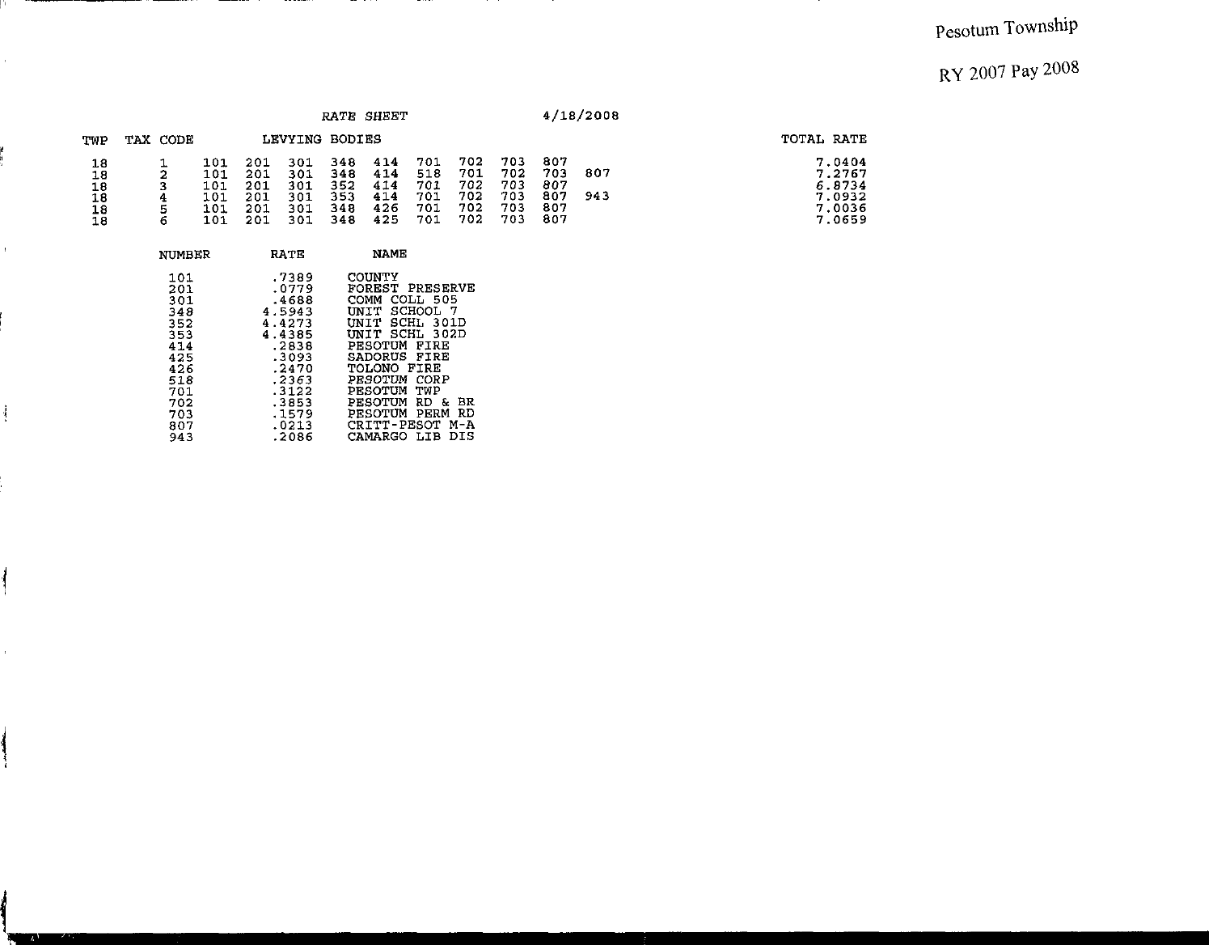|                                                                                                       |             |                                        |                                        |                                        |                                        | RATE SHEET                             |                                        |                                        |                                        |                                        | 4/18/2008  |                                                          |
|-------------------------------------------------------------------------------------------------------|-------------|----------------------------------------|----------------------------------------|----------------------------------------|----------------------------------------|----------------------------------------|----------------------------------------|----------------------------------------|----------------------------------------|----------------------------------------|------------|----------------------------------------------------------|
| TWP                                                                                                   | TAX CODE    |                                        |                                        | LEVYING BODIES                         |                                        |                                        |                                        |                                        |                                        |                                        |            | TOTAL RATE                                               |
| $\frac{18}{18}$<br>$\begin{array}{c} 18 \\ 18 \end{array}$<br>$\begin{array}{c} 18 \\ 18 \end{array}$ | 2<br>4<br>6 | 101<br>101<br>101<br>101<br>101<br>101 | 201<br>201<br>201<br>201<br>201<br>201 | 301<br>301<br>301<br>301<br>301<br>301 | 348<br>348<br>352<br>353<br>348<br>348 | 414<br>414<br>414<br>414<br>426<br>425 | 701<br>518<br>701<br>701<br>701<br>701 | 702<br>701<br>702<br>702<br>702<br>702 | 703<br>702<br>703<br>703<br>703<br>703 | 807<br>703<br>807<br>807<br>807<br>807 | 807<br>943 | 7.0404<br>7.2767<br>6.8734<br>7.0932<br>7.0036<br>7.0659 |

 $-$ 

| NUMBER | RA TE  | NAME            |
|--------|--------|-----------------|
| 101    | .7389  | COUNTY          |
| 201    | .0779  | FOREST PRESERVE |
| 301    | .4688  | COMM COLL 505   |
| 348    | 4.5943 | UNIT SCHOOL 7   |
| 352    | 4.4273 | UNIT SCHL 301D  |
| 353    | 4.4385 | UNIT SCHL 302D  |
| 414    | .2838  | PESOTUM FIRE    |
| 425    | .3093  | SADORUS FIRE    |
| 426    | .2470  | TOLONO FIRE     |
| 518    | .2363  | PESOTUM CORP    |
| 701    | .3122  | PESOTUM TWP     |
| 702    | .3853  | PESOTUM RD & BR |
| 703    | .1579  | PESOTUM PERM RD |
| 807    | .0213  | CRITT-PESOT M-A |
| 943    | .2086  | CAMARGO LIB DIS |

------

 $-$ 

p.

 $\hat{\mathcal{E}}$ 

i<br>H

 $\bar{V}$ 

 $\frac{1}{2}$ 

 $\overline{\phantom{a}}$ 

 $\alpha$ 

in the color

**The Contract of Street**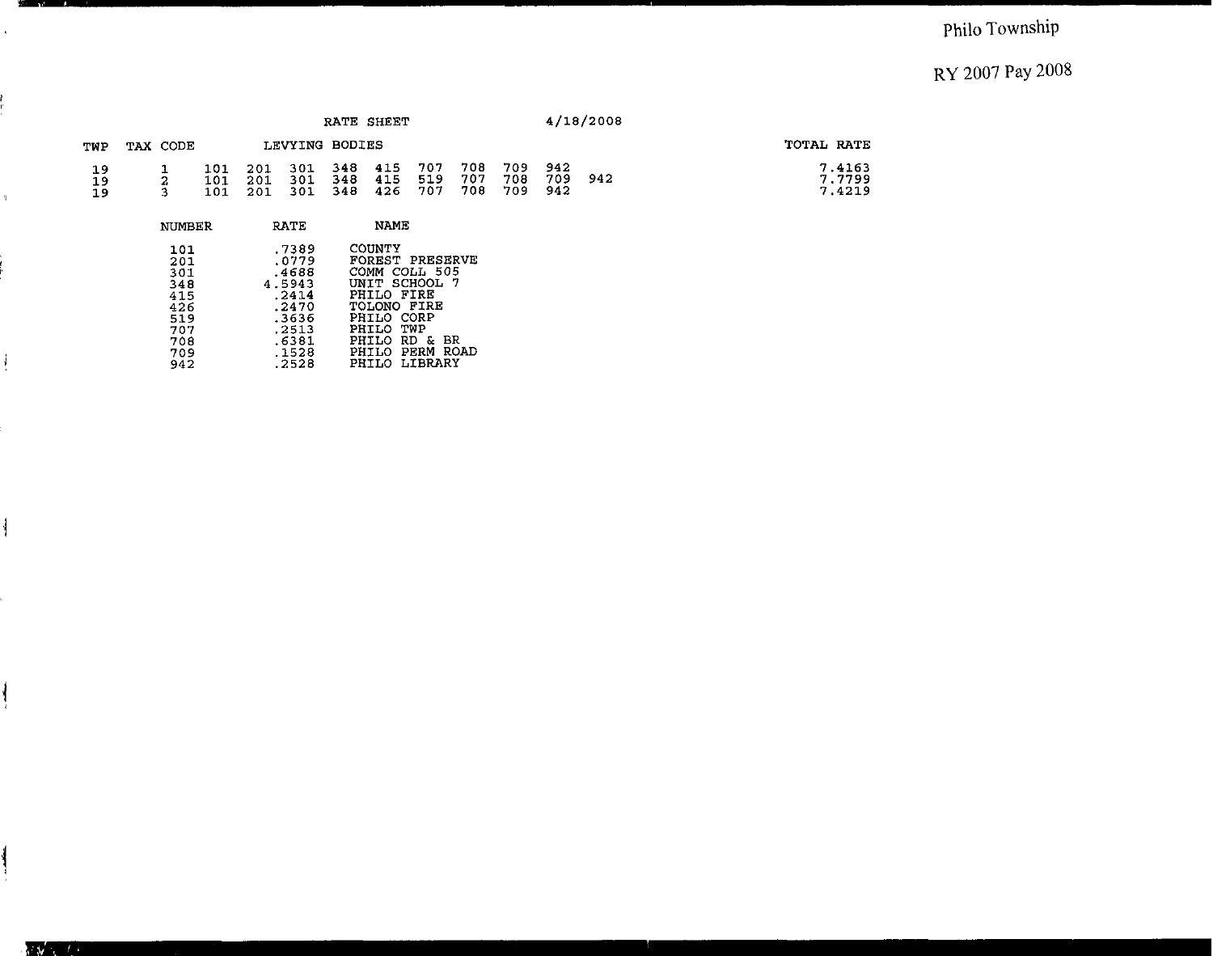## Philo Township

## RY 2007 Pay 2008

|                |                            |                   |                   |                       | RATE SHEET        |                                                                            |                   |                   |                   |                   | 4/18/2008 |                            |
|----------------|----------------------------|-------------------|-------------------|-----------------------|-------------------|----------------------------------------------------------------------------|-------------------|-------------------|-------------------|-------------------|-----------|----------------------------|
| TWP            | TAX CODE                   |                   |                   |                       | LEVYING BODIES    |                                                                            |                   |                   |                   |                   |           | TOTAL RATE                 |
| 19<br>19<br>19 | 2<br>3                     | 101<br>101<br>101 | 201<br>201<br>201 | 301<br>301<br>301     | 348<br>348<br>348 | 415<br>415<br>426                                                          | 707<br>519<br>707 | 708<br>707<br>708 | 709<br>708<br>709 | 942<br>709<br>942 | 942       | 7.4163<br>7.7799<br>7.4219 |
|                | NUMBER                     |                   |                   | RATE                  |                   | <b>NAME</b>                                                                |                   |                   |                   |                   |           |                            |
|                | 101<br>201<br><b>BRACK</b> |                   |                   | .7389<br>0779<br>1000 |                   | COUNTY<br>FOREST PRESERVE<br>$M\triangle MMS$ $M\triangle T$ $\triangle T$ |                   |                   |                   |                   |           |                            |

| 3 U L | . 4000 | comm conn sus   |
|-------|--------|-----------------|
| 348   | 4.5943 | UNIT SCHOOL 7   |
| 415   | .2414  | PHILO FIRE      |
| 426   | .2470  | TOLONO FIRE     |
| 519   | .3636  | PHILO CORP      |
| 707   | .2513  | PHILO TWP       |
| 708   | .6381  | PHILO RD & BR   |
| 709   | .1528  | PHILO PERM ROAD |
| 942   | .2528  | PHILO LIBRARY   |
|       |        |                 |

ii

 $\bar{\rm t}$ 

 $\frac{1}{2}$ 

 $\mathbf{\mathbf{\mathcal{i}}}$ 

 $\overline{\mathcal{C}}$ 

REV.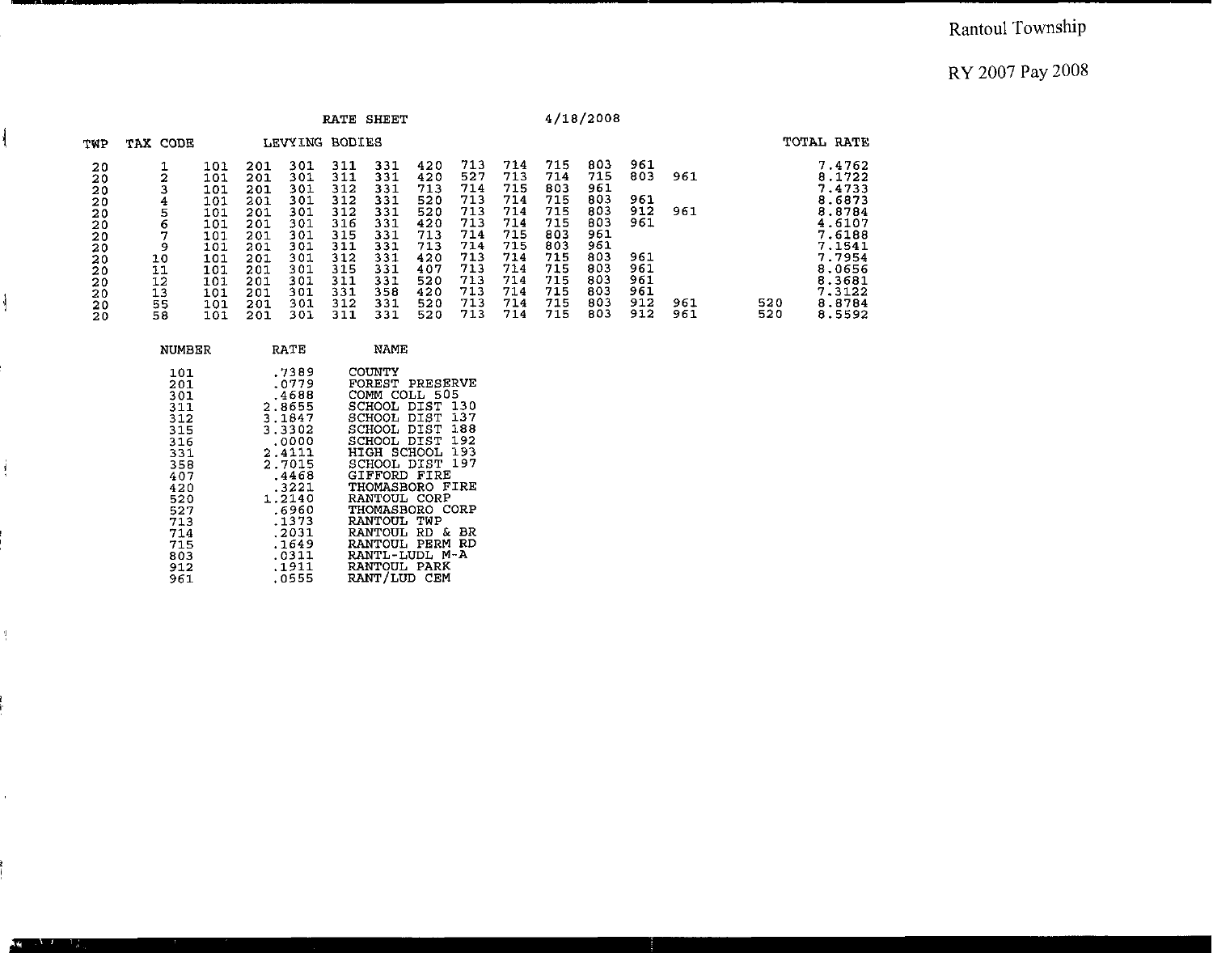#### Rantoul Township

#### RY 2007 Pay 2008

| TWP            |                |                   |                                                                                                                                                                                     |                   |                                                                                                                                                                                                                          |                   |                                                      |                                                               |                                                                                                                                                                                                                                                                                                                                       |                   |                   |                   |                  |            | TOTAL RATE                           |
|----------------|----------------|-------------------|-------------------------------------------------------------------------------------------------------------------------------------------------------------------------------------|-------------------|--------------------------------------------------------------------------------------------------------------------------------------------------------------------------------------------------------------------------|-------------------|------------------------------------------------------|---------------------------------------------------------------|---------------------------------------------------------------------------------------------------------------------------------------------------------------------------------------------------------------------------------------------------------------------------------------------------------------------------------------|-------------------|-------------------|-------------------|------------------|------------|--------------------------------------|
| 20<br>20       | ı<br>2         | 101<br>101        | 201<br>201                                                                                                                                                                          | 301<br>301        | 311<br>311                                                                                                                                                                                                               | 331<br>331        | 420<br>420                                           | 713<br>527                                                    | 714<br>713                                                                                                                                                                                                                                                                                                                            | 715<br>714        | 803<br>715        | 961<br>803        | 961              |            | 7.4762<br>$8.1722$<br>7.4733         |
| 20<br>20<br>20 | 4<br>5<br>6    | 101<br>101<br>101 | 201<br>201<br>201                                                                                                                                                                   | 301<br>301<br>301 | 312<br>312<br>316                                                                                                                                                                                                        | 331<br>331<br>331 | 520<br>520<br>420                                    | 713<br>713<br>713                                             | 714<br>714<br>714                                                                                                                                                                                                                                                                                                                     | 715<br>715<br>715 | 803<br>803<br>803 | 961<br>912<br>961 | 961              |            | 8.6873<br>8.8784<br>4.6107           |
| 20<br>20<br>20 | 9<br>10<br>11  | 101<br>101<br>101 | 201<br>201<br>201                                                                                                                                                                   | 301<br>301<br>301 | 311<br>312<br>315                                                                                                                                                                                                        | 331<br>331<br>331 | 713<br>420<br>407                                    | 714<br>713<br>713                                             | 715<br>714<br>714                                                                                                                                                                                                                                                                                                                     | 803<br>715<br>715 | 961<br>803<br>803 | 961<br>961        |                  |            | 7.6188<br>7.1541<br>7.7954<br>8.0656 |
| 20<br>20<br>20 | 13<br>55<br>58 | 101<br>101<br>101 | 201<br>201<br>201                                                                                                                                                                   | 301<br>301<br>301 | 331<br>312<br>311                                                                                                                                                                                                        | 358<br>331<br>331 | 420<br>520<br>520                                    | 713<br>713<br>713                                             | 714<br>714<br>714                                                                                                                                                                                                                                                                                                                     | 715<br>715<br>715 | 803<br>803<br>803 | 961<br>912<br>912 | 961<br>961       | 520<br>520 | 8.3681<br>7.3122<br>8.8784<br>8.5592 |
|                |                |                   |                                                                                                                                                                                     |                   |                                                                                                                                                                                                                          |                   |                                                      |                                                               |                                                                                                                                                                                                                                                                                                                                       |                   |                   |                   |                  |            |                                      |
|                |                |                   |                                                                                                                                                                                     |                   |                                                                                                                                                                                                                          |                   |                                                      |                                                               |                                                                                                                                                                                                                                                                                                                                       |                   |                   |                   |                  |            |                                      |
|                | 20<br>20<br>20 | 3<br>7<br>12      | TAX CODE<br>101<br>101<br>101<br><b>NUMBER</b><br>101<br>201<br>301<br>311<br>312<br>315<br>316<br>331<br>358<br>407<br>420<br>520<br>527<br>713<br>714<br>715<br>803<br>912<br>961 | 201<br>201<br>201 | 301<br>301<br>301<br><b>RATE</b><br>,7389<br>.0779<br>.4688<br>2.8655<br>3.1847<br>3.3302<br>$0000$<br>2.4111<br>2.7015<br>.4468<br>$.3221$<br>1.2140<br>.6960<br>.1373<br>.2031<br>$.1649$<br>$.0311$<br>.1911<br>.0555 | 312<br>315<br>311 | <b>LEVYING BODIES</b><br>331<br>331<br>331<br>COUNTY | RATE SHEET<br>713<br>713<br>520<br><b>NAME</b><br>RANTOUL TWP | 714<br>714<br>713<br>FOREST PRESERVE<br>COMM COLL 505<br>SCHOOL DIST 130<br>SCHOOL DIST 137<br>SCHOOL DIST 188<br>SCHOOL DIST 192<br>HIGH SCHOOL 193<br>SCHOOL DIST 197<br>GIFFORD FIRE<br>THOMASBORO FIRE<br>RANTOUL CORP<br>THOMASBORO CORP<br>RANTOUL RD & BR<br>RANTOUL PERM RD<br>RANTL-LUDL M-A<br>RANTOUL PARK<br>RANT/LUD CEM | 715<br>715<br>714 | 803<br>803<br>715 | 961<br>961<br>803 | 4/18/2008<br>961 |            |                                      |

ł

j

 $\frac{4}{3}$ 

 $\bar{1}$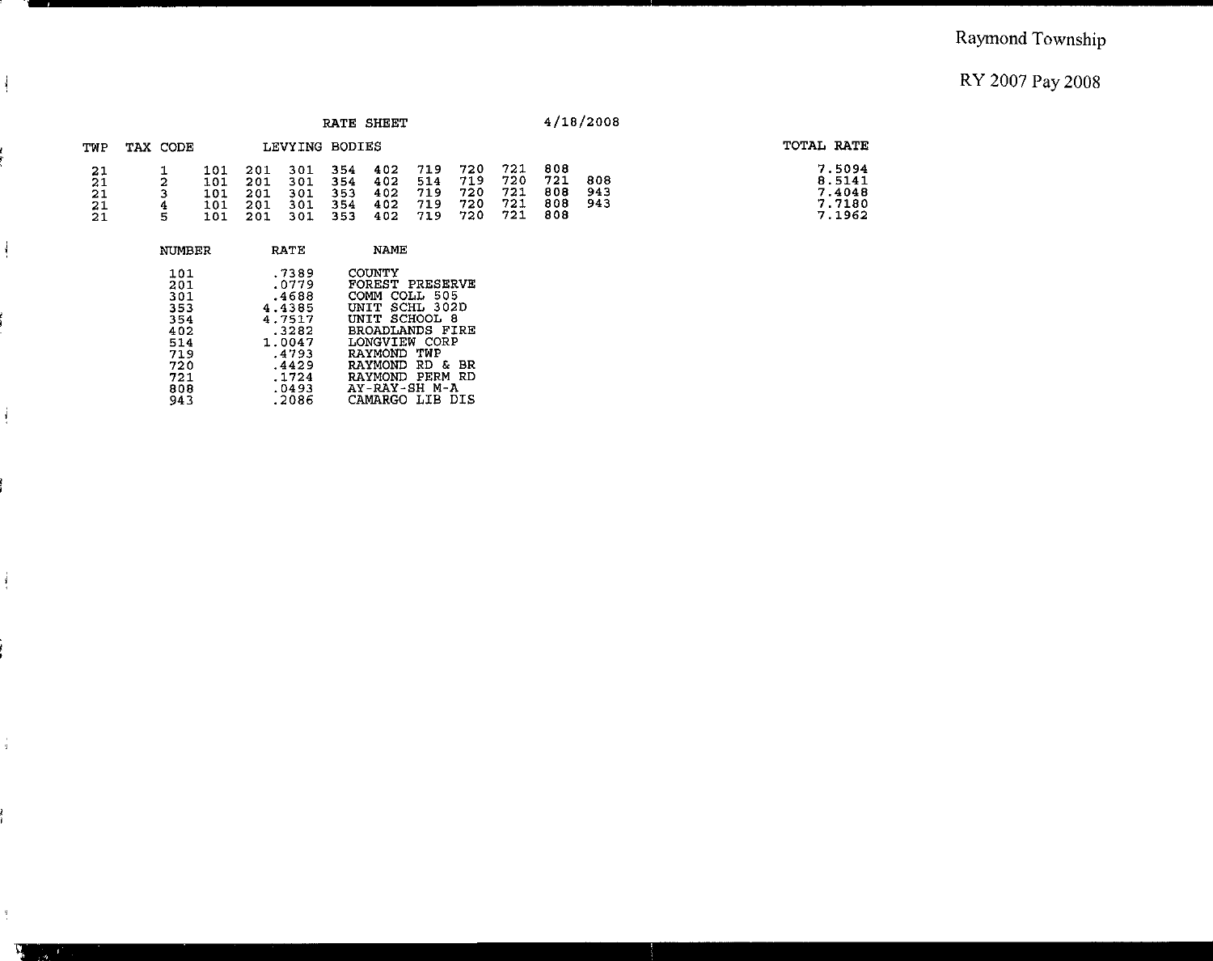|                                         |                                                                                  |                                 |                                 |                                                                                                             |                                 | RATE SHEET                                                                                                                                                                                                        |                                 |                                 |                                 |                                 | 4/18/2008         |                                                |
|-----------------------------------------|----------------------------------------------------------------------------------|---------------------------------|---------------------------------|-------------------------------------------------------------------------------------------------------------|---------------------------------|-------------------------------------------------------------------------------------------------------------------------------------------------------------------------------------------------------------------|---------------------------------|---------------------------------|---------------------------------|---------------------------------|-------------------|------------------------------------------------|
| TWP                                     | TAX CODE                                                                         |                                 |                                 | LEVYING BODIES                                                                                              |                                 |                                                                                                                                                                                                                   |                                 |                                 |                                 |                                 |                   | TOTAL RATE                                     |
| 21<br>21<br>$\overline{21}$<br>21<br>21 | 2<br>4<br>5                                                                      | 101<br>101<br>101<br>101<br>101 | 201<br>201<br>201<br>201<br>201 | 301<br>301<br>301<br>301<br>301                                                                             | 354<br>354<br>353<br>354<br>353 | 402<br>402<br>402<br>402<br>402                                                                                                                                                                                   | 719<br>514<br>719<br>719<br>719 | 720<br>719<br>720<br>720<br>720 | 721<br>720<br>721<br>721<br>721 | 808<br>721<br>808<br>808<br>808 | 808<br>943<br>943 | 7.5094<br>8.5141<br>7.4048<br>7.7180<br>7.1962 |
|                                         | <b>NUMBER</b>                                                                    |                                 |                                 | <b>RATE</b>                                                                                                 |                                 | <b>NAME</b>                                                                                                                                                                                                       |                                 |                                 |                                 |                                 |                   |                                                |
|                                         | 101<br>201<br>301<br>353<br>354<br>402<br>514<br>719<br>720<br>721<br>808<br>943 |                                 |                                 | .7389<br>.0779<br>.4688<br>4.4385<br>4.7517<br>.3282<br>1.0047<br>.4793<br>.4429<br>.1724<br>.0493<br>.2086 |                                 | <b>COUNTY</b><br>FOREST PRESERVE<br>COMM COLL 505<br>UNIT SCHL 302D<br>UNIT SCHOOL 8<br>BROADLANDS FIRE<br>LONGVIEW CORP<br>RAYMOND TWP<br>RAYMOND RD & BR<br>RAYMOND PERM RD<br>AY-RAY-SH M-A<br>CAMARGO LIB DIS |                                 |                                 |                                 |                                 |                   |                                                |

 $\frac{1}{2}$ 

 $\frac{1}{2}$ 

 $\frac{1}{4}$ 

 $\frac{1}{4}$ 

 $\frac{q}{\epsilon}$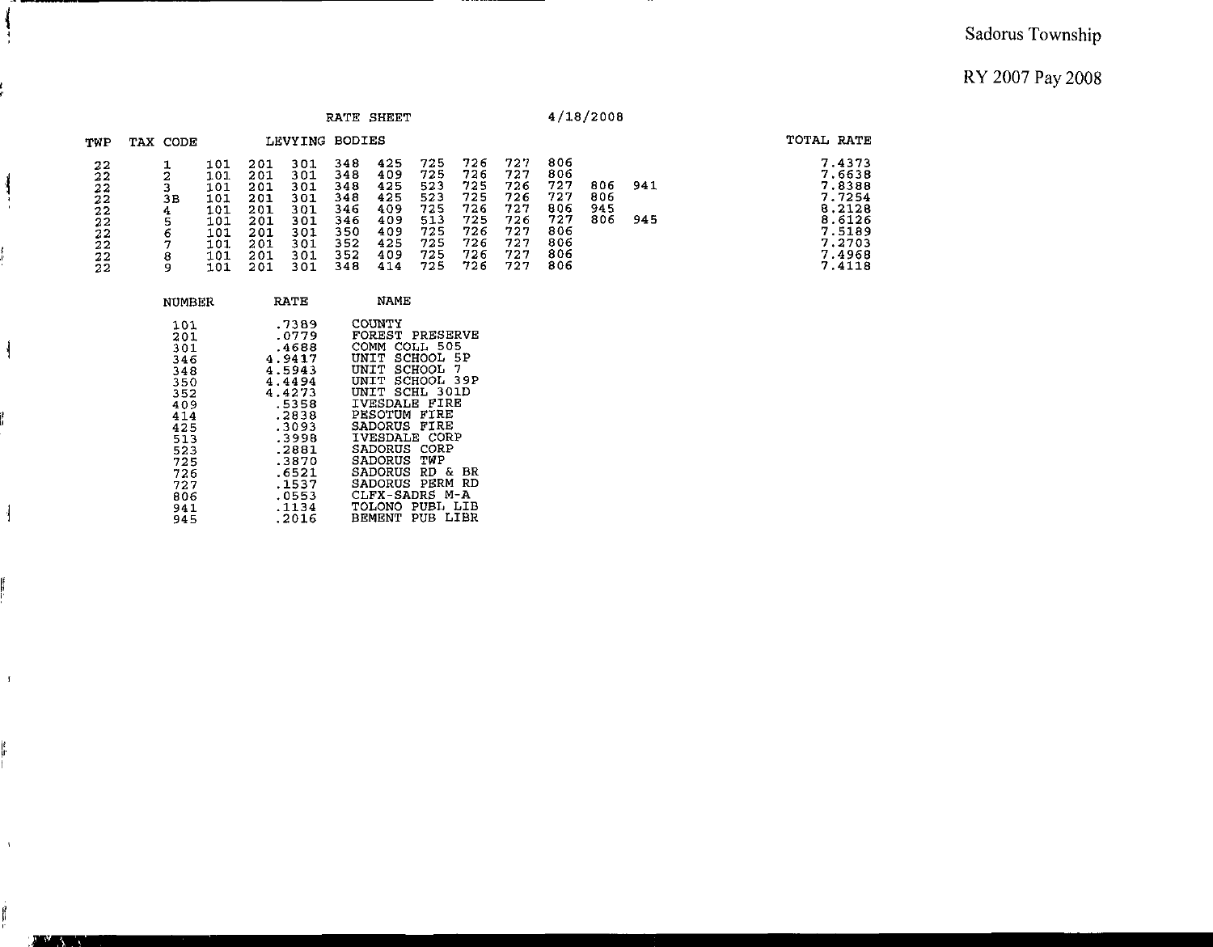#### Sadorus **Township**

**RY 2007 Pay** 2008

| RATE SHEET                                    |  |                                                                                                                            |                                                                    |                                                                    |                                                                                                                                                                    |                                                                    | 4/18/2008                                                                                                                                                                                                                                                                                                    |                                                                    |                                                                    |                                                                    |                                                                    |                          |            |                                                                                                  |
|-----------------------------------------------|--|----------------------------------------------------------------------------------------------------------------------------|--------------------------------------------------------------------|--------------------------------------------------------------------|--------------------------------------------------------------------------------------------------------------------------------------------------------------------|--------------------------------------------------------------------|--------------------------------------------------------------------------------------------------------------------------------------------------------------------------------------------------------------------------------------------------------------------------------------------------------------|--------------------------------------------------------------------|--------------------------------------------------------------------|--------------------------------------------------------------------|--------------------------------------------------------------------|--------------------------|------------|--------------------------------------------------------------------------------------------------|
| TWP                                           |  | TAX CODE                                                                                                                   |                                                                    |                                                                    | LEVYING BODIES                                                                                                                                                     |                                                                    |                                                                                                                                                                                                                                                                                                              |                                                                    |                                                                    |                                                                    |                                                                    |                          |            | TOTAL RATE                                                                                       |
| 22<br>$\bar{2}2$<br>22222222<br>$\frac{2}{2}$ |  | 1<br>2<br>3<br>3B<br>4<br>$\frac{5}{6}$<br>7<br>8<br>9                                                                     | 101<br>101<br>101<br>101<br>101<br>101<br>101<br>101<br>101<br>101 | 201<br>201<br>201<br>201<br>201<br>201<br>201<br>201<br>201<br>201 | 301<br>301<br>301<br>301<br>301<br>301<br>301<br>301<br>301<br>301                                                                                                 | 348<br>348<br>348<br>348<br>346<br>346<br>350<br>352<br>352<br>348 | 425<br>409<br>425<br>425<br>409<br>409<br>409<br>425<br>409<br>414                                                                                                                                                                                                                                           | 725<br>725<br>523<br>523<br>725<br>513<br>725<br>725<br>725<br>725 | 726<br>726<br>725<br>725<br>726<br>725<br>726<br>726<br>726<br>726 | 727<br>727<br>726<br>726<br>727<br>726<br>727<br>727<br>727<br>727 | 806<br>806<br>727<br>727<br>806<br>727<br>806<br>806<br>806<br>806 | 806<br>806<br>945<br>806 | 941<br>945 | 7.4373<br>7.6638<br>7.8388<br>7.7254<br>8.2128<br>8.6126<br>7.5189<br>7.2703<br>7.4968<br>7.4118 |
|                                               |  | <b>NUMBER</b>                                                                                                              |                                                                    |                                                                    | RATE                                                                                                                                                               |                                                                    | <b>NAME</b>                                                                                                                                                                                                                                                                                                  |                                                                    |                                                                    |                                                                    |                                                                    |                          |            |                                                                                                  |
|                                               |  | 101<br>201<br>301<br>346<br>348<br>350<br>352<br>409<br>414<br>425<br>513<br>523<br>725<br>726<br>727<br>806<br>941<br>945 |                                                                    |                                                                    | .7389<br>.0779<br>.4688<br>4.9417<br>4.5943<br>4.4494<br>4.4273<br>5358.<br>2838.<br>.3093<br>.3998<br>.2881<br>.3870<br>.6521<br>.1537<br>.0553<br>.1134<br>.2016 |                                                                    | COUNTY<br>FOREST PRESERVE<br>COMM COLL 505<br>UNIT SCHOOL 5P<br>UNIT SCHOOL 7<br>UNIT SCHOOL 39P<br>UNIT SCHL 301D<br>IVESDALE FIRE<br>PESOTUM FIRE<br>SADORUS FIRE<br><b>IVESDALE CORP</b><br>SADORUS CORP<br>SADORUS<br>SADORUS<br>SADORUS PERM RD<br>CLFX-SADRS M-A<br>TOLONO PUBL LIB<br>BEMENT PUB LIBR | TWP<br>RD & BR                                                     |                                                                    |                                                                    |                                                                    |                          |            |                                                                                                  |

ĵ ÷

 $\frac{1}{2}$ 

ł

 $\frac{1}{2}$ 

 $\mathcal{A}$ 

 $\bar{A}$ 

**SALE**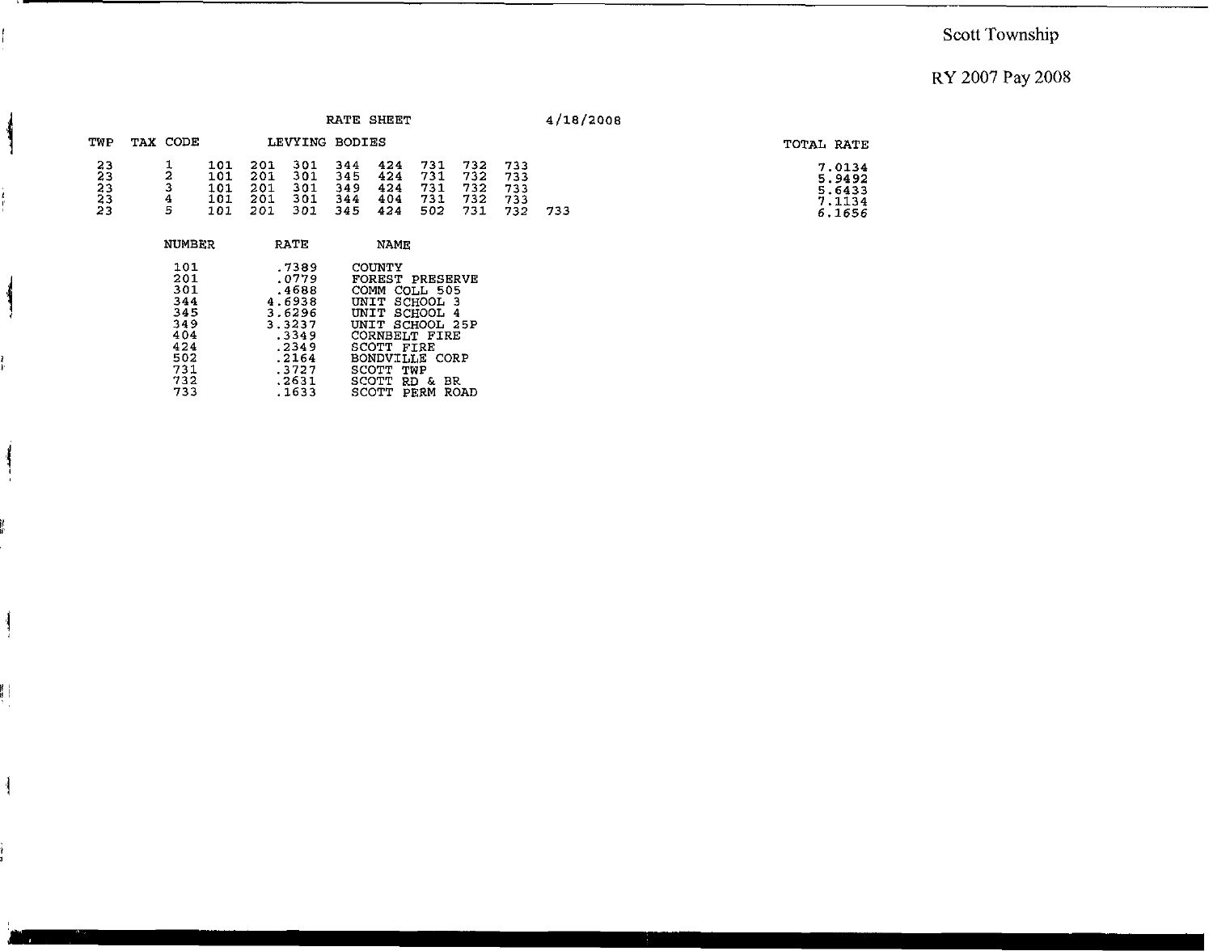#### I **Scott Township**

### RY 2007 Pay 2008

|                                         |             |                                 |                                 |                                 |                                 | RATE SHEET                      |                                 |                                 |                                 | 4/18/2008 |                                                |
|-----------------------------------------|-------------|---------------------------------|---------------------------------|---------------------------------|---------------------------------|---------------------------------|---------------------------------|---------------------------------|---------------------------------|-----------|------------------------------------------------|
| TWP                                     | TAX CODE    |                                 |                                 | LEVYING BODIES                  |                                 |                                 |                                 |                                 |                                 |           | TOTAL RATE                                     |
| 23<br>23<br>23<br>23<br>$\overline{23}$ | 2<br>4<br>5 | 101<br>101<br>101<br>101<br>101 | 201<br>201<br>201<br>201<br>201 | 301<br>301<br>301<br>301<br>301 | 344<br>345<br>349<br>344<br>345 | 424<br>424<br>424<br>404<br>424 | 731<br>731<br>731<br>731<br>502 | 732<br>732<br>732<br>732<br>731 | 733<br>733<br>733<br>733<br>732 | 733       | 7.0134<br>5.9492<br>5.6433<br>7.1134<br>6.1656 |
|                                         | NUMBER      |                                 |                                 | <b>RATE</b>                     |                                 | <b>NAME</b>                     |                                 |                                 |                                 |           |                                                |

| 101 | .7389  | COUNTY                 |
|-----|--------|------------------------|
| 201 | .0779  | <b>FOREST PRESERVE</b> |
| 301 | .4688  | COMM COLL 505          |
| 344 | 4.6938 | UNIT SCHOOL 3          |
| 345 | 3.6296 | UNIT SCHOOL 4          |
| 349 | 3.3237 | UNIT SCHOOL 25P        |
| 404 | .3349  | CORNBELT FIRE          |
| 424 | .2349  | SCOTT FIRE             |
| 502 | .2164  | BONDVILLE CORP         |
| 731 | .3727  | SCOTT TWP              |
| 732 | .2631  | SCOTT RD &<br>-BR      |
| 733 | .1633  | SCOTT PERM ROAD        |

 $\mathbf{\mathcal{L}}$ 

 $\frac{1}{2}$ 

 $\overline{\mathcal{L}}$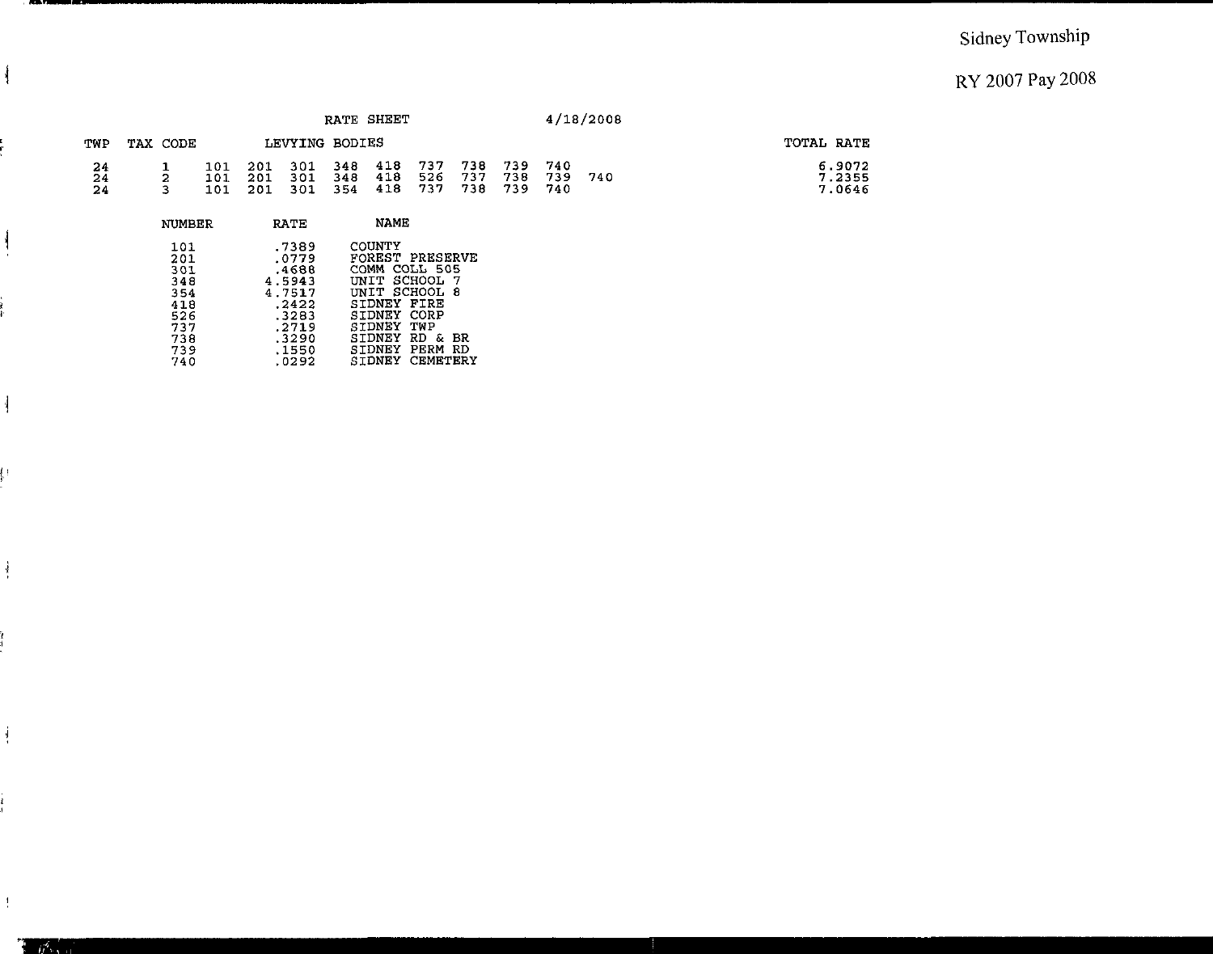### Sidney Township

### RY 2007 Pay 2008

|                       |          |                   |                   |                   |     | <b>RATE SHEET</b>         |                       |                   |                    |                   | 4/18/2008 |                            |
|-----------------------|----------|-------------------|-------------------|-------------------|-----|---------------------------|-----------------------|-------------------|--------------------|-------------------|-----------|----------------------------|
| TWP                   | TAX CODE |                   |                   | LEVYING BODIES    |     |                           |                       |                   |                    |                   |           | TOTAL RATE                 |
| $\frac{24}{24}$<br>24 |          | 101<br>101<br>101 | 201<br>201<br>201 | 301<br>301<br>301 | 354 | 348 418<br>348 418<br>418 | - 737<br>526<br>- 737 | 738<br>737<br>738 | 739<br>738<br>-739 | 740<br>739<br>740 | 740       | 6.9072<br>7.2355<br>7.0646 |

| NUMBER                                                             | RATE                                                                                     | NAME                                                                                                                                                                                            |
|--------------------------------------------------------------------|------------------------------------------------------------------------------------------|-------------------------------------------------------------------------------------------------------------------------------------------------------------------------------------------------|
| 101<br>201<br>301<br>348<br>354<br>418<br>526<br>737<br>738<br>739 | .7389<br>.0779<br>.4688<br>4.5943<br>4.7517<br>.2422<br>.3283<br>.2719<br>.3290<br>.1550 | COUNTY<br>FOREST PRESERVE<br>COMM<br>COLL 505<br>UNIT SCHOOL<br>- 7<br>UNIT SCHOOL<br>-8<br>FTRF<br>STDNEY<br>CORP<br>SIDNEY<br>SIDNEY<br>TWP<br>SIDNEY<br>RD &<br>-BR<br>PFRM<br>STDNEY<br>-RD |
| 740                                                                | .0292                                                                                    | CEMETERY<br>STDNEY                                                                                                                                                                              |

 $\mathcal{N}$ 

 $\sum_{i=1}^n$ 

 $\frac{1}{2}$ 

ļ÷

 $\frac{1}{2}$ 

 $\frac{1}{2}$ 

 $\frac{1}{2}$ 

 $\mathcal{W}^{\bullet}$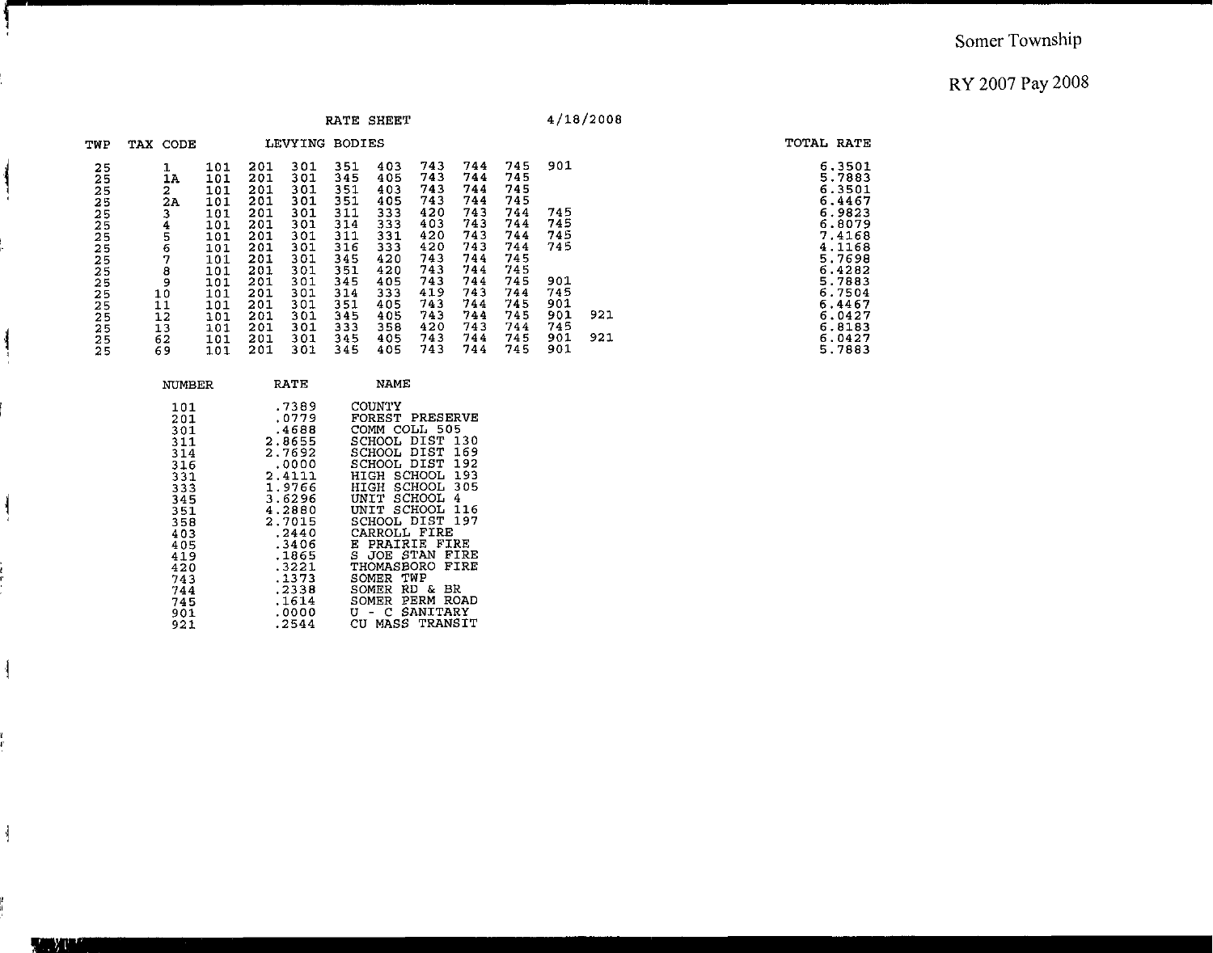|                                                                                              |                                                                                     |                                                                                                              |                                                                                                              |                                                                                                              | RATE SHEET                                                                                                   |                                                                                                              |                                                                                                              |                                                                                                              |                                                                                                              |                                                                           | 4/18/2008  |                                                                                                                                                              |
|----------------------------------------------------------------------------------------------|-------------------------------------------------------------------------------------|--------------------------------------------------------------------------------------------------------------|--------------------------------------------------------------------------------------------------------------|--------------------------------------------------------------------------------------------------------------|--------------------------------------------------------------------------------------------------------------|--------------------------------------------------------------------------------------------------------------|--------------------------------------------------------------------------------------------------------------|--------------------------------------------------------------------------------------------------------------|--------------------------------------------------------------------------------------------------------------|---------------------------------------------------------------------------|------------|--------------------------------------------------------------------------------------------------------------------------------------------------------------|
| TWP                                                                                          | TAX CODE                                                                            |                                                                                                              |                                                                                                              | LEVYING BODIES                                                                                               |                                                                                                              |                                                                                                              |                                                                                                              |                                                                                                              |                                                                                                              |                                                                           |            | TOTAL RATE                                                                                                                                                   |
| 25<br>25<br>25<br>25<br>25<br>25<br>25<br>25<br>25<br>25<br>25<br>25<br>25<br>25<br>25<br>25 | 1<br>17<br>2<br>2Α<br>з<br>4<br>5<br>6<br>7<br>8<br>9<br>10<br>11<br>12<br>13<br>62 | 101<br>101<br>101<br>101<br>101<br>TOT<br>101<br>101<br>101<br>101<br>101<br>101<br>101<br>101<br>101<br>101 | 201<br>201<br>201<br>201<br>201<br>201<br>201<br>201<br>201<br>201<br>201<br>201<br>201<br>201<br>201<br>201 | 301<br>301<br>301<br>301<br>301<br>301<br>301<br>301<br>301<br>301<br>301<br>301<br>301<br>301<br>301<br>301 | 351<br>345<br>351<br>351<br>311<br>314<br>311<br>316<br>345<br>351<br>345<br>314<br>351<br>345<br>333<br>345 | 403<br>405<br>403<br>405<br>333<br>333<br>331<br>333<br>420<br>420<br>405<br>333<br>405<br>405<br>358<br>405 | 743<br>743<br>743<br>743<br>420<br>403<br>420<br>420<br>743<br>743<br>743<br>419<br>743<br>743<br>420<br>743 | 744<br>744<br>744<br>744<br>743<br>743<br>743<br>743<br>744<br>744<br>744<br>743<br>744<br>744<br>743<br>744 | 745<br>745<br>745<br>745<br>744<br>744<br>744<br>744<br>745<br>745<br>745<br>744<br>745<br>745<br>744<br>745 | 901<br>745<br>745<br>745<br>745<br>901<br>745<br>901<br>901<br>745<br>901 | 921<br>921 | 6.3501<br>5.7883<br>6.3501<br>6.4467<br>6.9823<br>6.8079<br>7.4168<br>4.1168<br>5.7698<br>6.4282<br>5.7883<br>6.7504<br>6.4467<br>6.0427<br>6.8183<br>6.0427 |
| 25                                                                                           | 69                                                                                  | 101                                                                                                          | 201                                                                                                          | 301                                                                                                          | 345                                                                                                          | 405                                                                                                          | 743                                                                                                          | 744                                                                                                          | 745                                                                                                          | 901                                                                       |            | 5.7883                                                                                                                                                       |

| NUMBER                                                                                                                                   | RATE                                                                                                                                                                                    | NAME                                                                                                                                                                                                                                                                                                                                                                                                   |
|------------------------------------------------------------------------------------------------------------------------------------------|-----------------------------------------------------------------------------------------------------------------------------------------------------------------------------------------|--------------------------------------------------------------------------------------------------------------------------------------------------------------------------------------------------------------------------------------------------------------------------------------------------------------------------------------------------------------------------------------------------------|
| 101<br>201<br>301<br>311<br>314<br>316<br>331<br>333<br>345<br>351<br>358<br>403<br>405<br>419<br>420<br>743<br>744<br>745<br>901<br>921 | .7389<br>.0779<br>.4688<br>2.8655<br>2.7692<br>.0000<br>2.4111<br>1.9766<br>3.6296<br>4.2880<br>2.7015<br>.2440<br>.3406<br>.1865<br>.3221<br>.1373<br>.2338<br>.1614<br>.0000<br>.2544 | COUNTY<br><b>FOREST PRESERVE</b><br>COMM COLL 505<br>SCHOOL DIST 130<br>169<br>SCHOOL DIST<br>192<br>SCHOOL DIST<br>HIGH SCHOOL 193<br>305<br>SCHOOL<br>HIGH<br>4<br>UNIT SCHOOL<br>UNIT SCHOOL 116<br>SCHOOL DIST 197<br>CARROLL FIRE<br>PRAIRIE FIRE<br>Е<br>S JOE STAN FIRE<br>THOMASBORO<br>FIRE<br>TWP<br>SOMER<br>вR<br>SOMER RD &<br>SOMER PERM<br>ROAD<br>SANITARY<br>U - C<br>CU MASS TRANSIT |
|                                                                                                                                          |                                                                                                                                                                                         |                                                                                                                                                                                                                                                                                                                                                                                                        |

Ĭ.

 $\overline{\phantom{a}}$ 

 $\frac{1}{2}$ 

 $\mathbf{I}$ 

 $\overline{\mathcal{L}}$ 

 $\frac{1}{2}$ 

**TANK**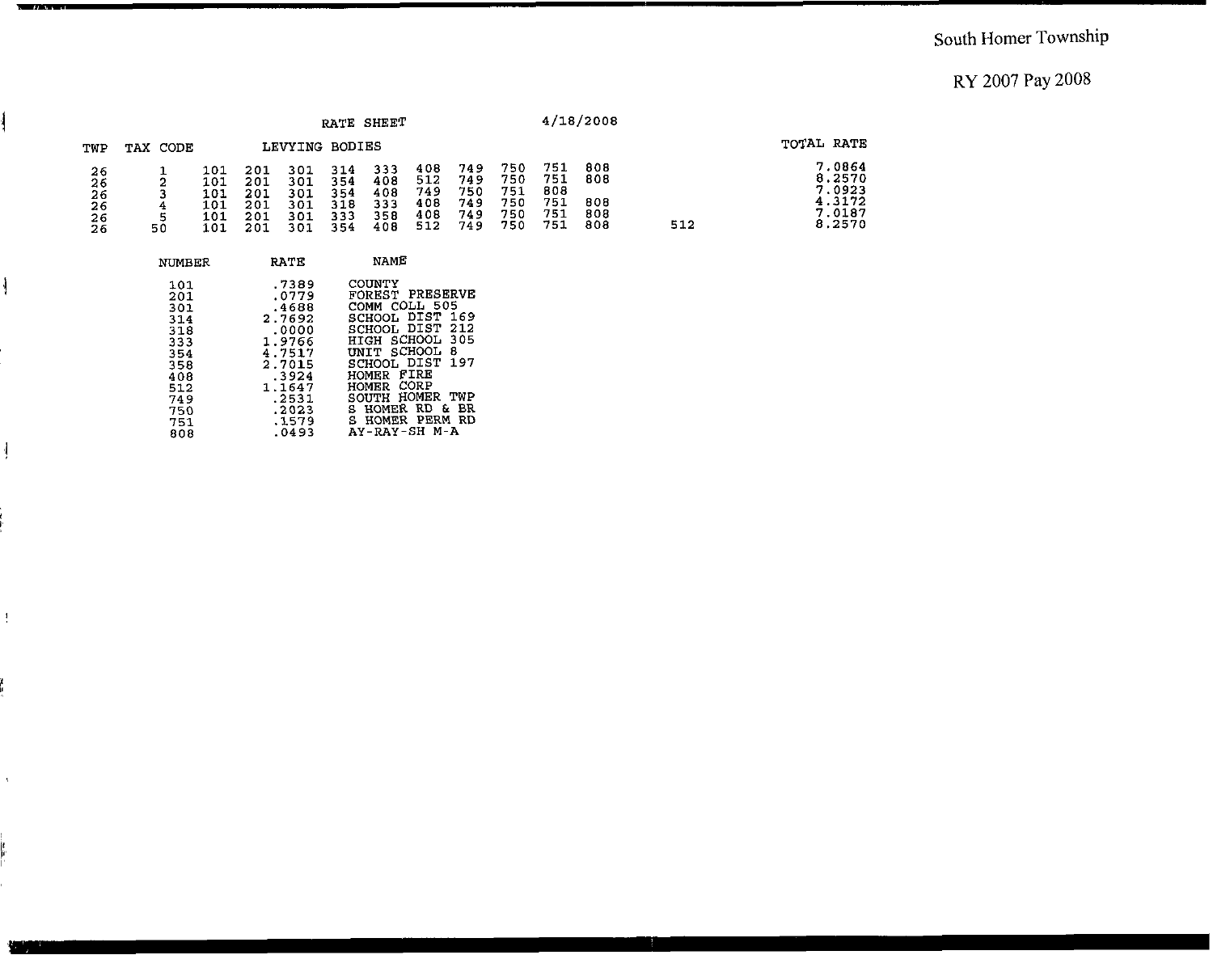|                                  |          |                                        |                                        |                                        |                                        | RATE SHEET                             |                                        |                                        |                                        |                                        | 4/18/2008                       |     |                                                          |
|----------------------------------|----------|----------------------------------------|----------------------------------------|----------------------------------------|----------------------------------------|----------------------------------------|----------------------------------------|----------------------------------------|----------------------------------------|----------------------------------------|---------------------------------|-----|----------------------------------------------------------|
| TWP                              | TAX CODE |                                        |                                        | LEVYING BODIES                         |                                        |                                        |                                        |                                        |                                        |                                        |                                 |     | TOTAL RATE                                               |
| 26<br>26<br>26<br>26<br>26<br>26 | 50       | 101<br>101<br>101<br>101<br>101<br>101 | 201<br>201<br>201<br>201<br>201<br>201 | 301<br>301<br>301<br>301<br>301<br>301 | 314<br>354<br>354<br>318<br>333<br>354 | 333<br>408<br>408<br>333<br>358<br>408 | 408<br>512<br>749<br>408<br>408<br>512 | 749<br>749<br>750<br>749<br>749<br>749 | 750<br>750<br>751<br>750<br>750<br>750 | 751<br>751<br>808<br>751<br>751<br>751 | 808<br>808<br>808<br>808<br>808 | 512 | 7.0864<br>8.2570<br>7.0923<br>4.3172<br>7.0187<br>8.2570 |

| NUMBER                                                                           | RATE                                                                                                          | NAME                                                                                                                                                                                                                   |
|----------------------------------------------------------------------------------|---------------------------------------------------------------------------------------------------------------|------------------------------------------------------------------------------------------------------------------------------------------------------------------------------------------------------------------------|
| 101<br>201<br>301<br>314<br>318<br>333<br>354<br>358<br>408<br>512<br>749<br>750 | .7389<br>.0779<br>.4688<br>2.7692<br>.0000<br>1.9766<br>4.7517<br>2.7015<br>-3924<br>1.1647<br>.2531<br>.2023 | COUNTY<br>FOREST PRESERVE<br>COMM COLL 505<br>SCHOOL DIST 169<br>SCHOOL DIST<br>-212<br>HIGH SCHOOL 305<br>UNIT SCHOOL<br>8<br>SCHOOL DIST 197<br>HOMER FIRE<br>HOMER CORP<br>SOUTH HOMER<br>TWP<br>S HOMER RD &<br>BR |
| 751<br>808                                                                       | .1579<br>.0493                                                                                                | S HOMER PERM<br>RD.<br>AY-RAY-SH M-A                                                                                                                                                                                   |

**Read of America** 

 $\frac{1}{2}$ 

 $\frac{1}{2}$ 

 $\frac{4}{3}$ 

 $\Lambda$ 

ļ.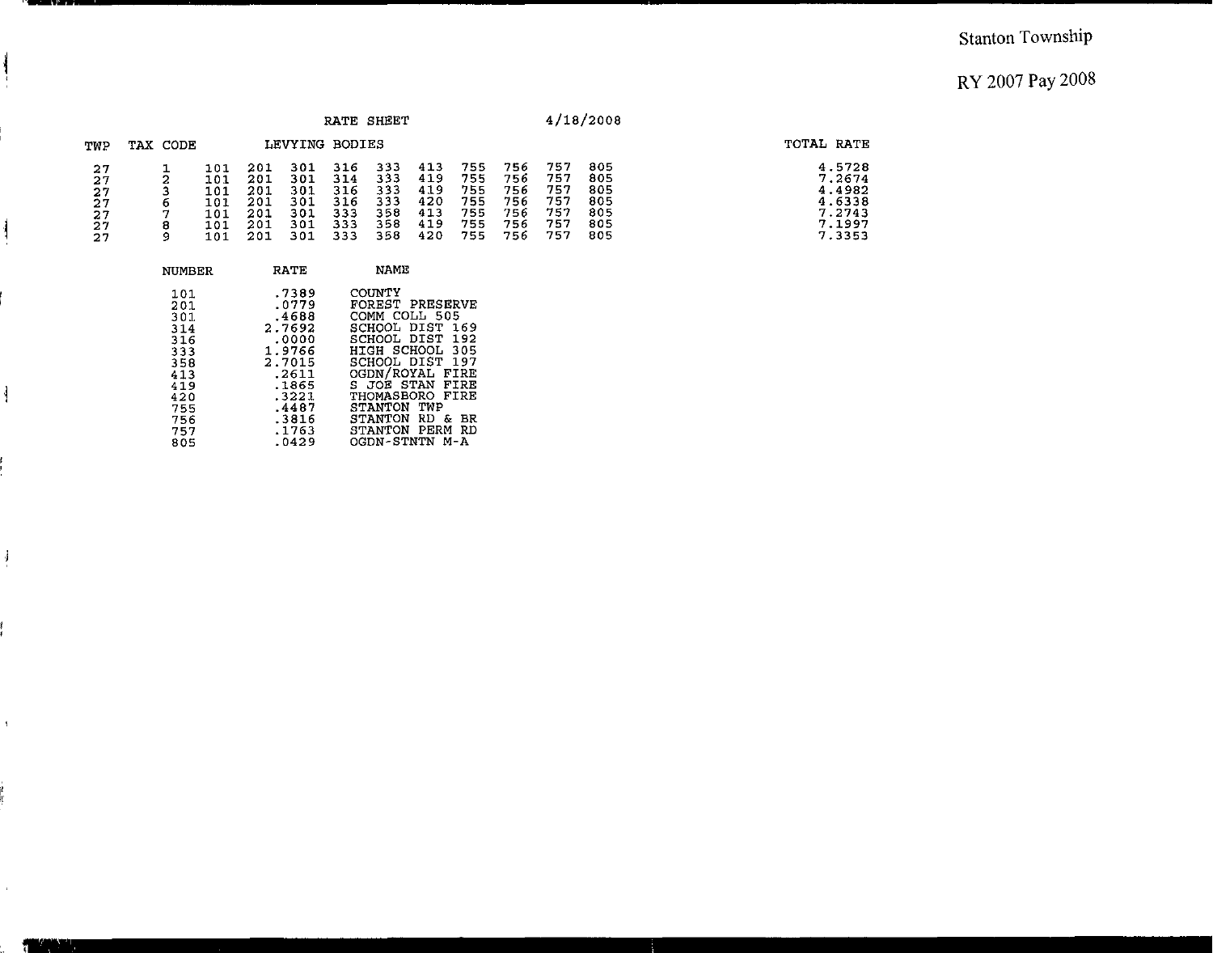TOTAL RATE

 $4.5728$ <br>  $7.2674$ <br>  $4.4982$ <br>  $4.6338$ <br>  $7.2743$ <br>  $7.1997$ <br>  $7.3353$ 

|                                        |                  |                                               |                                               |                                               |                                               | RATE SHEET                                    |                                               |                                               |                                               |                                               | 4/18/2008                                     |
|----------------------------------------|------------------|-----------------------------------------------|-----------------------------------------------|-----------------------------------------------|-----------------------------------------------|-----------------------------------------------|-----------------------------------------------|-----------------------------------------------|-----------------------------------------------|-----------------------------------------------|-----------------------------------------------|
| TWP                                    | TAX CODE         |                                               |                                               | LEVYING                                       | BODIES                                        |                                               |                                               |                                               |                                               |                                               |                                               |
| 27<br>27<br>27<br>27<br>27<br>27<br>27 | 6<br>⇁<br>8<br>9 | 101<br>101<br>101<br>101<br>101<br>101<br>101 | 201<br>201<br>201<br>201<br>201<br>201<br>201 | 301<br>301<br>301<br>301<br>301<br>301<br>301 | 316<br>314<br>316<br>316<br>333<br>333<br>333 | 333<br>333<br>333<br>333<br>358<br>358<br>358 | 413<br>419<br>419<br>420<br>413<br>419<br>420 | 755<br>755<br>755<br>755<br>755<br>755<br>755 | 756<br>756<br>756<br>756<br>756<br>756<br>756 | 757<br>757<br>757<br>757<br>757<br>757<br>757 | 805<br>805<br>805<br>805<br>805<br>805<br>805 |

| NUMBER | <b>RATE</b> | NAME            |
|--------|-------------|-----------------|
| 101    | .7389       | COUNTY          |
| 201    | .0779       | FOREST PRESERVE |
| 301    | .4688       | COMM COLL 505   |
| 314    | 2.7692      | SCHOOL DIST 169 |
| 316    | .0000       | SCHOOL DIST 192 |
| 333    | 1.9766      | HIGH SCHOOL 305 |
| 358    | 2.7015      | SCHOOL DIST 197 |
| 413    | .2611       | OGDN/ROYAL FIRE |
| 419    | .1865       | S JOE STAN FIRE |
| 420    | .3221       | THOMASBORO FIRE |
| 755    | .4487       | STANTON TWP     |
| 756    | .3816       | STANTON RD & BR |
| 757    | .1763       | STANTON PERM RD |
| 805    | .0429       | OGDN-STNTN M-A  |

 $\mathcal{J}_{\mathcal{A}}$ 

 $\frac{1}{2}$ 

 $\mathfrak{g}^{\pm}$ 

Ì

 $\mathcal{A}^{\pm}$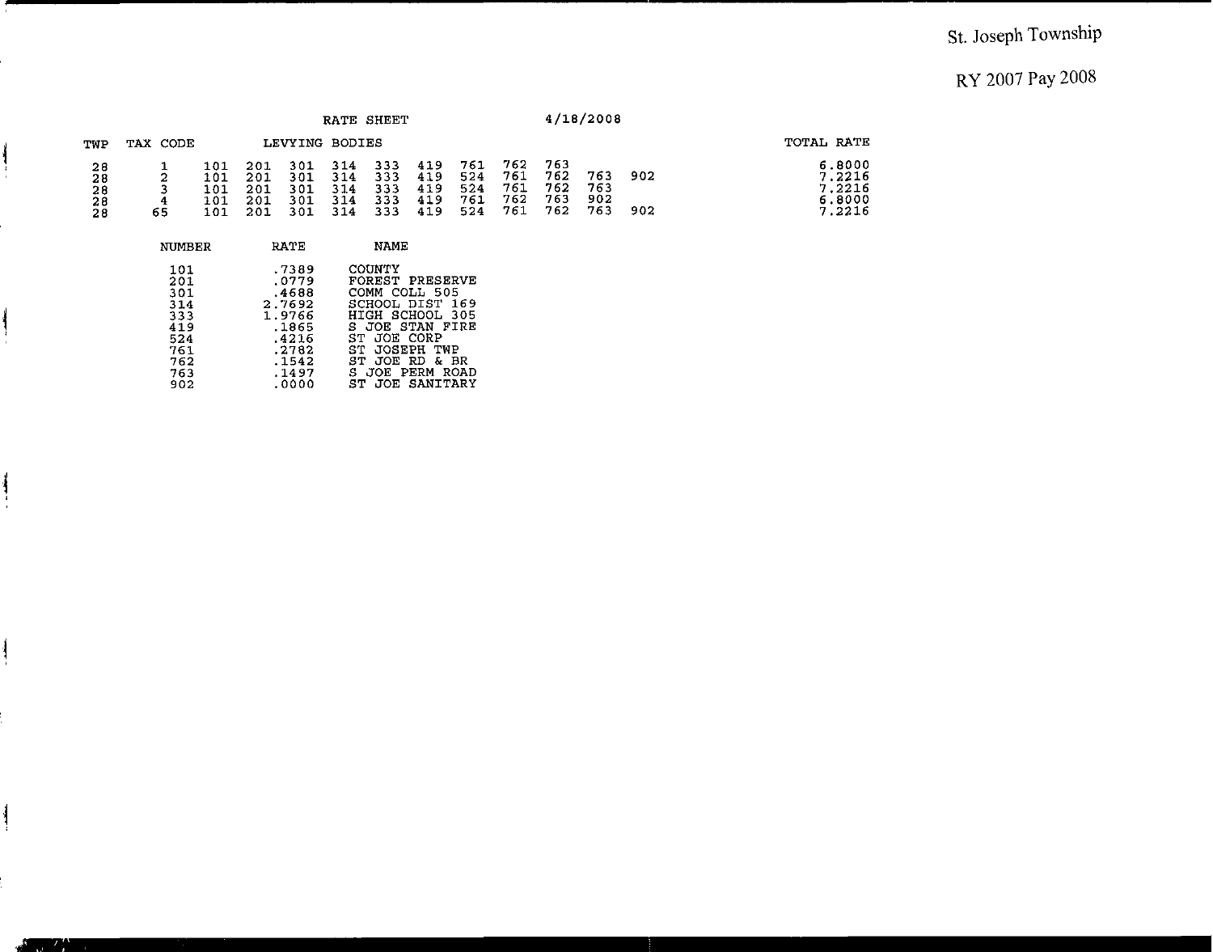## St. Joseph Township

### RY 2007 Pay 2008

|                                                           |               |                                 |                                 |                                 |                                 | RATE SHEET                      |                                 |                                 |                                 |                                  | 4/18/2008                |            |                                                |
|-----------------------------------------------------------|---------------|---------------------------------|---------------------------------|---------------------------------|---------------------------------|---------------------------------|---------------------------------|---------------------------------|---------------------------------|----------------------------------|--------------------------|------------|------------------------------------------------|
| TWP                                                       | TAX CODE      |                                 |                                 | LEVYING BODIES                  |                                 |                                 |                                 |                                 |                                 |                                  |                          |            | TOTAL RATE                                     |
| 28<br>28<br>$\begin{array}{c} 28 \\ 28 \end{array}$<br>28 | 4<br>65       | 101<br>101<br>101<br>101<br>101 | 201<br>201<br>201<br>201<br>201 | 301<br>301<br>301<br>301<br>301 | 314<br>314<br>314<br>314<br>314 | 333<br>333<br>333<br>333<br>333 | 419<br>419<br>419<br>419<br>419 | 761<br>524<br>524<br>761<br>524 | 762<br>761<br>761<br>762<br>761 | 763<br>762<br>762<br>763<br>762. | 763<br>763<br>902<br>763 | 902<br>902 | 6.8000<br>7.2216<br>7.2216<br>6.8000<br>7.2216 |
|                                                           | <b>NUMBER</b> |                                 |                                 | RATE                            |                                 | <b>NAME</b>                     |                                 |                                 |                                 |                                  |                          |            |                                                |

| 101 | .7389  | COUNTY          |
|-----|--------|-----------------|
| 201 | .0779  | FOREST PRESERVE |
| 301 | .4688  | COMM COLL 505   |
| 314 | 2.7692 | SCHOOL DIST 169 |
| 333 | 1.9766 | HIGH SCHOOL 305 |
| 419 | .1865  | S JOE STAN FIRE |
| 524 | .4216  | ST JOE CORP     |
| 761 | .2782  | ST JOSEPH TWP   |
| 762 | .1542  | ST JOE RD & BR  |
| 763 | .1497  | S JOE PERM ROAD |
| 902 | .0000  | ST JOE SANITARY |

ļ

 $\mathbf{I}$ 

 $\mathcal{L}$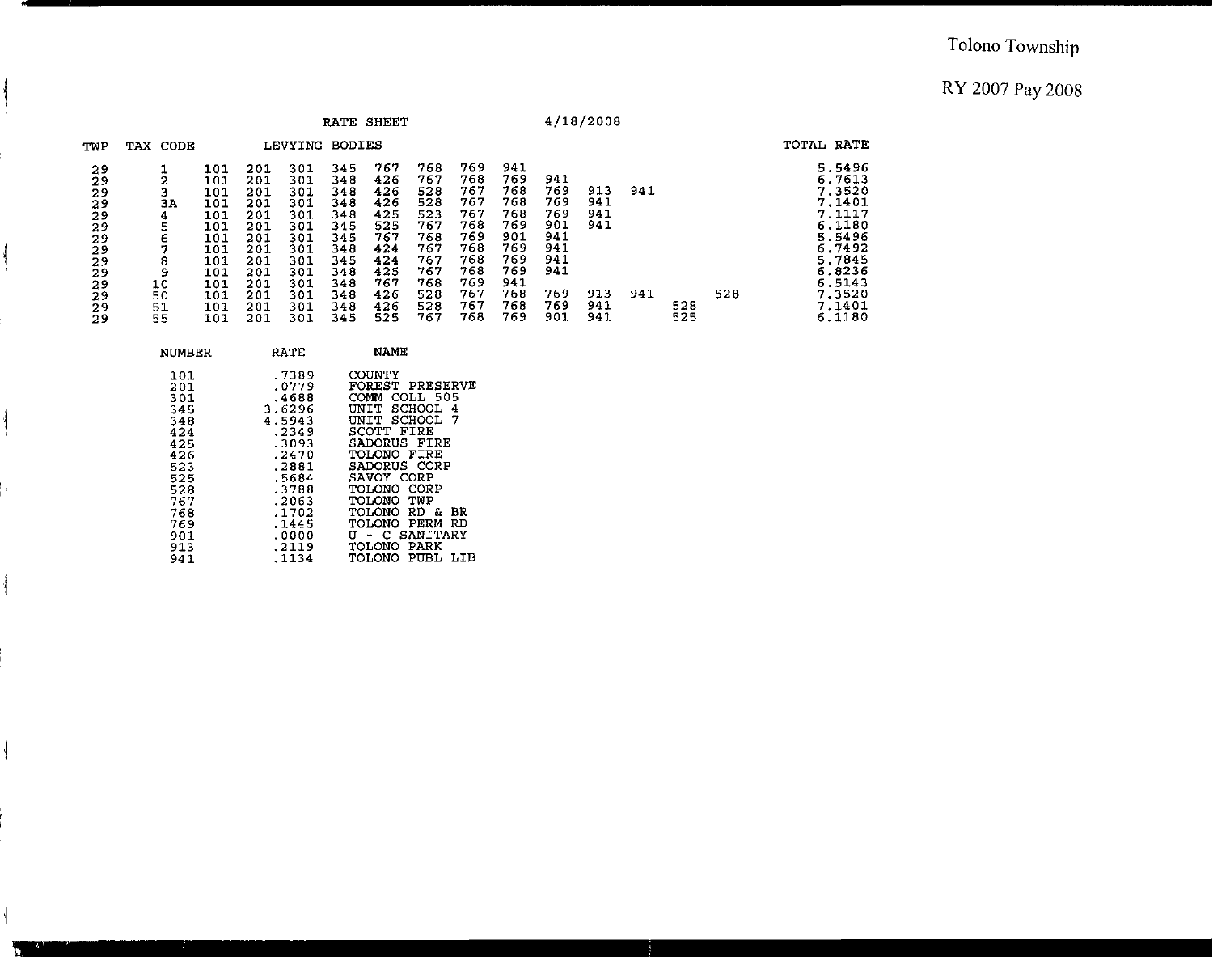|                                                                                  |                                                          |                                                                                                |                                                                                                |                                                                                                | RATE SHEET                                                                                     |                                                                                                |                                                                                                |                                                                                                |                                                                                                |                                                                                  | 4/18/2008                                     |            |            |     |                                                                                                                                          |
|----------------------------------------------------------------------------------|----------------------------------------------------------|------------------------------------------------------------------------------------------------|------------------------------------------------------------------------------------------------|------------------------------------------------------------------------------------------------|------------------------------------------------------------------------------------------------|------------------------------------------------------------------------------------------------|------------------------------------------------------------------------------------------------|------------------------------------------------------------------------------------------------|------------------------------------------------------------------------------------------------|----------------------------------------------------------------------------------|-----------------------------------------------|------------|------------|-----|------------------------------------------------------------------------------------------------------------------------------------------|
| TWP                                                                              | TAX CODE                                                 |                                                                                                |                                                                                                | LEVYING                                                                                        | <b>BODIES</b>                                                                                  |                                                                                                |                                                                                                |                                                                                                |                                                                                                |                                                                                  |                                               |            |            |     | TOTAL RATE                                                                                                                               |
| 29<br>29<br>29<br>29<br>29<br>29<br>29<br>29<br>29<br>29<br>29<br>29<br>29<br>29 | 2<br>3A<br>4<br>5<br>6<br>8<br>9<br>10<br>50<br>51<br>55 | 101<br>101<br>101<br>101<br>101<br>101<br>101<br>101<br>101<br>101<br>101<br>101<br>101<br>101 | 201<br>201<br>201<br>201<br>201<br>201<br>201<br>201<br>201<br>201<br>201<br>201<br>201<br>201 | 301<br>301<br>301<br>301<br>301<br>301<br>301<br>301<br>301<br>301<br>301<br>301<br>301<br>301 | 345<br>348<br>348<br>348<br>348<br>345<br>345<br>348<br>345<br>348<br>348<br>348<br>348<br>345 | 767<br>426<br>426<br>426<br>425<br>525<br>767<br>424<br>424<br>425<br>767<br>426<br>426<br>525 | 768<br>767<br>528<br>528<br>523<br>767<br>768<br>767<br>767<br>767<br>768<br>528<br>528<br>767 | 769<br>768<br>767<br>767<br>767<br>768<br>769<br>768<br>768<br>768<br>769<br>767<br>767<br>768 | 941<br>769<br>768<br>768<br>768<br>769<br>901<br>769<br>769<br>769<br>941<br>768<br>768<br>769 | 941<br>769<br>769<br>769<br>901<br>941<br>941<br>941<br>941<br>769<br>769<br>901 | 913<br>941<br>941<br>941<br>913<br>941<br>941 | 941<br>941 | 528<br>525 | 528 | 5.5496<br>6.7613<br>7.3520<br>7.1401<br>7.1117<br>6.1180<br>5.5496<br>6.7492<br>5.7845<br>6.8236<br>6.5143<br>7.3520<br>7.1401<br>6.1180 |

| NUMBER                                                                                                              | RATE                                                                                                                                                    | <b>NAME</b>                                                                                                                                                                                                                                                                                                 |
|---------------------------------------------------------------------------------------------------------------------|---------------------------------------------------------------------------------------------------------------------------------------------------------|-------------------------------------------------------------------------------------------------------------------------------------------------------------------------------------------------------------------------------------------------------------------------------------------------------------|
| 101<br>201<br>301<br>345<br>348<br>424<br>425<br>426<br>523<br>525<br>528<br>767<br>768<br>769<br>901<br>913<br>941 | .7389<br>.0779<br>.4688<br>3.6296<br>4.5943<br>.2349<br>.3093<br>.2470<br>.2881<br>.5684<br>.3788<br>.2063<br>.1702<br>.1445<br>.0000<br>.2119<br>.1134 | <b>COUNTY</b><br>FOREST PRESERVE<br>COLL 505<br>COMM<br>SCHOOL<br>UNIT<br>-4<br>UNIT SCHOOL 7<br>SCOTT FIRE<br>SADORUS FIRE<br>TOLONO FIRE<br>SADORUS CORP<br>SAVOY CORP<br>TOLONO CORP<br>TOLONO TWP<br><b>TOLONO RD &amp;</b><br>ΒR<br>TOLONO PERM RD<br>U - C SANITARY<br>TOLONO PARK<br>TOLONO PUBL LIB |
|                                                                                                                     |                                                                                                                                                         |                                                                                                                                                                                                                                                                                                             |

ł

 $\frac{1}{2}$ 

ł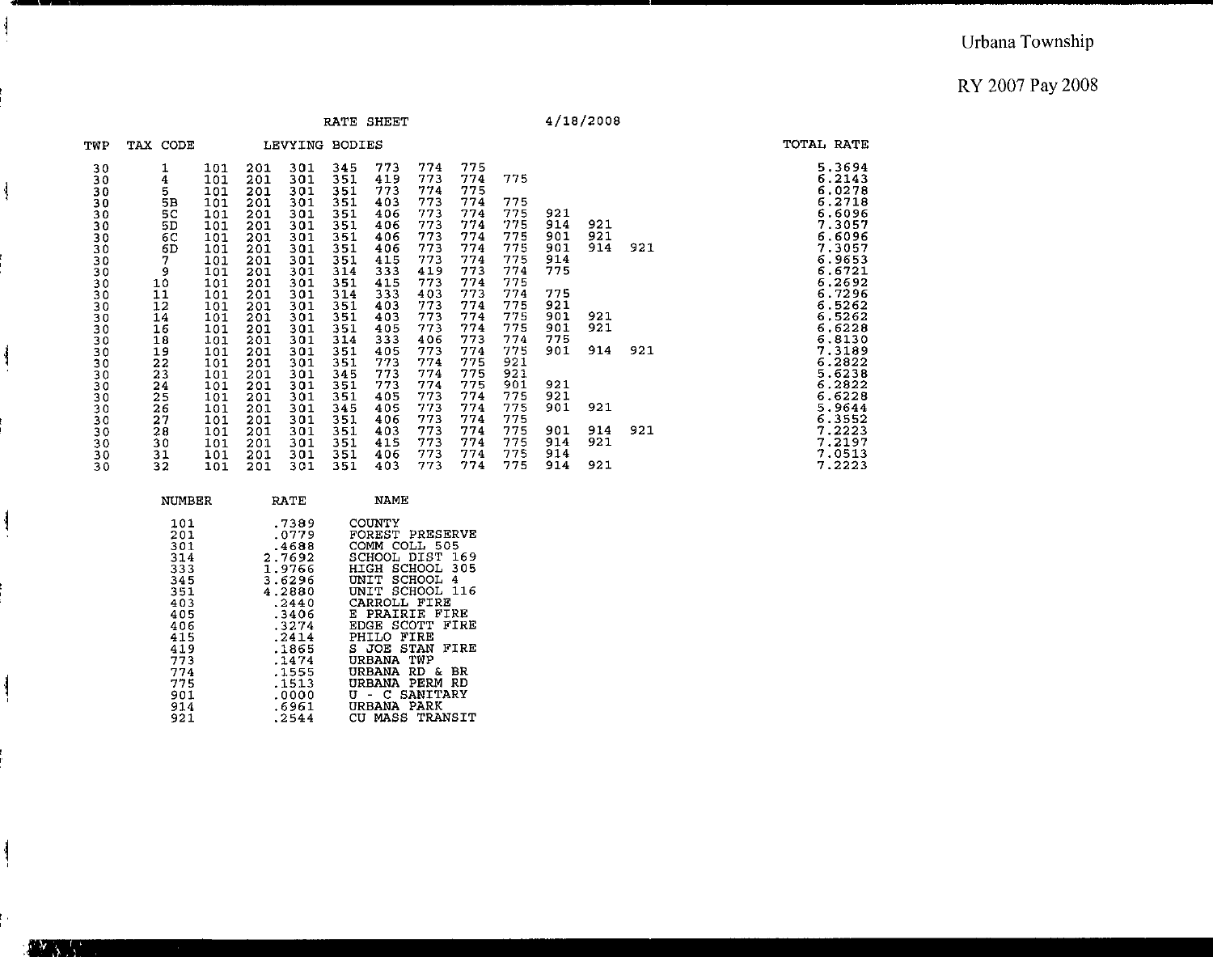TOTAL RATE<br>
5.3694<br>
6.2143<br>
6.0278<br>
6.02718<br>
6.6096<br>
7.3057<br>
7.3057<br>
7.3057

 $6.9653$ <br>  $6.27296$ <br>  $6.27296$ <br>  $6.52622$ <br>  $6.52622$ <br>  $6.52228$ <br>  $6.52228$ <br>  $6.52238$ <br>  $6.52238$ <br>  $6.52223$ <br>  $6.52223$ <br>  $6.52223$ <br>  $6.552223$ <br>  $7.21213$ <br>  $7.2223$ 

ł

 $\frac{1}{2}$ 

ا

M.

#### RATE SHEET **4/18/2008**

- -

| TWP      | TAX CODE      |            |            | LEVYING BODIES |            |            |            |            |            |            |            |     |  |
|----------|---------------|------------|------------|----------------|------------|------------|------------|------------|------------|------------|------------|-----|--|
| 30<br>30 | $\frac{1}{4}$ | 101<br>101 | 201<br>201 | 301<br>301     | 345<br>351 | 773<br>419 | 774<br>773 | 775<br>774 | 775        |            |            |     |  |
| 30       | 5             | 101        | 201        | 301            | 351        | 773        | 774        | 775        |            |            |            |     |  |
| 30       | 5B            | 101        | 201        | 301            | 351        | 403        | 773        | 774        | 775        |            |            |     |  |
| 30       | 5C            | 101        | 201        | 301            | 351        | 406        | 773        | 774        | 775        | 921        |            |     |  |
| 30       | 5D            | 101        | 201        | 301            | 351        | 406        | 773        | 774        | 775        | 914<br>901 | 921<br>921 |     |  |
| 30<br>30 | 6C<br>6D      | 101<br>101 | 201<br>201 | 301<br>301     | 351<br>351 | 406<br>406 | 773<br>773 | 774<br>774 | 775<br>775 | 901        | 914        | 921 |  |
| 30       | 7.            | 101        | 201        | 301            | 351        | 415        | 773        | 774        | 775        | 914        |            |     |  |
| 30       | 9             | 101        | 201        | 301            | 314        | 333        | 419        | 773        | 774        | 775        |            |     |  |
| 30       | 10            | 101        | 201        | 301            | 351        | 415        | 773        | 774        | 775        |            |            |     |  |
| 30       | 11            | 101        | 201        | 301            | 314        | 333        | 403        | 773<br>774 | 774<br>775 | 775<br>921 |            |     |  |
| 30<br>30 | 12<br>14      | 101<br>101 | 201<br>201 | 301<br>301     | 351<br>351 | 403<br>403 | 773<br>773 | 774        | 775        | 901        | 921        |     |  |
| 30       | 16            | 101        | 201        | 301            | 351        | 405        | 773        | 774        | 775        | 901        | 921        |     |  |
| 30       | 18            | 101        | 201        | 301            | 314        | 333        | 406        | 773        | 774        | 775        |            |     |  |
| 30       | 19            | 101        | 201        | 301            | 351        | 405        | 773        | 774        | 775        | 901        | 914        | 921 |  |
| 30       | 22            | 101        | 201        | 301            | 351        | 773        | 774        | 775        | 921        |            |            |     |  |
| 30<br>30 | 23<br>24      | 101<br>101 | 201<br>201 | 301<br>301     | 345<br>351 | 773<br>773 | 774<br>774 | 775<br>775 | 921<br>901 | 921        |            |     |  |
| 30       | 25            | 101        | 201        | 301            | 351        | 405        | 773        | 774        | 775        | 921        |            |     |  |
| 30       | 26            | 101        | 201        | 301            | 345        | 405        | 773        | 774        | 775        | 901        | 921        |     |  |
| 30       | 27            | 101        | 201        | 301            | 351        | 406        | 773        | 774        | 775        |            |            |     |  |
| 30       | 28            | 101        | 201        | 301            | 351        | 403        | 773        | 774        | 775        | 901        | 914        | 921 |  |
| 30       | 30<br>31      | 101<br>101 | 201<br>201 | 301<br>301     | 351<br>351 | 415<br>406 | 773<br>773 | 774<br>774 | 775<br>775 | 914<br>914 | 921        |     |  |
| 30<br>30 | 32            | 101        | 201        | 301            | 351        | 403        | 773        | 774        | 775        | 914        | 921        |     |  |

| NUMBER | RATE   | NAME                        |
|--------|--------|-----------------------------|
|        |        |                             |
| 101    | .7389  | COUNTY                      |
| 201    | .0779  | FOREST PRESERVE             |
| 301    | .4688  | COMM COLL 505               |
| 314    | 2.7692 | SCHOOL DIST<br>-169         |
| 333    | 1.9766 | HIGH SCHOOL 305             |
| 345    | 3.6296 | SCHOOL<br>UNIT<br>4         |
| 351    | 4.2880 | UNIT SCHOOL 116             |
| 403    | .2440  | CARROLL FIRE                |
| 405    | .3406  | E PRAIRIE FIRE              |
| 406    | .3274  | EDGE SCOTT<br>FIRE          |
|        |        | FIRE                        |
| 415    | .2414  | PHILO                       |
| 419    | .1865  | FIRE<br>S JOE STAN          |
| 773    | .1474  | URBANA TWP                  |
| 774    | .1555  | BR<br><b>URBANA</b><br>RD & |
| 775    | .1513  | PERM RD<br>URBANA           |
| 901    | .0000  | U - C SANITARY              |
| 914    | .6961  | URBANA<br>PARK              |
| 921    | .2544  | CU MASS<br>TRANSIT          |
|        |        |                             |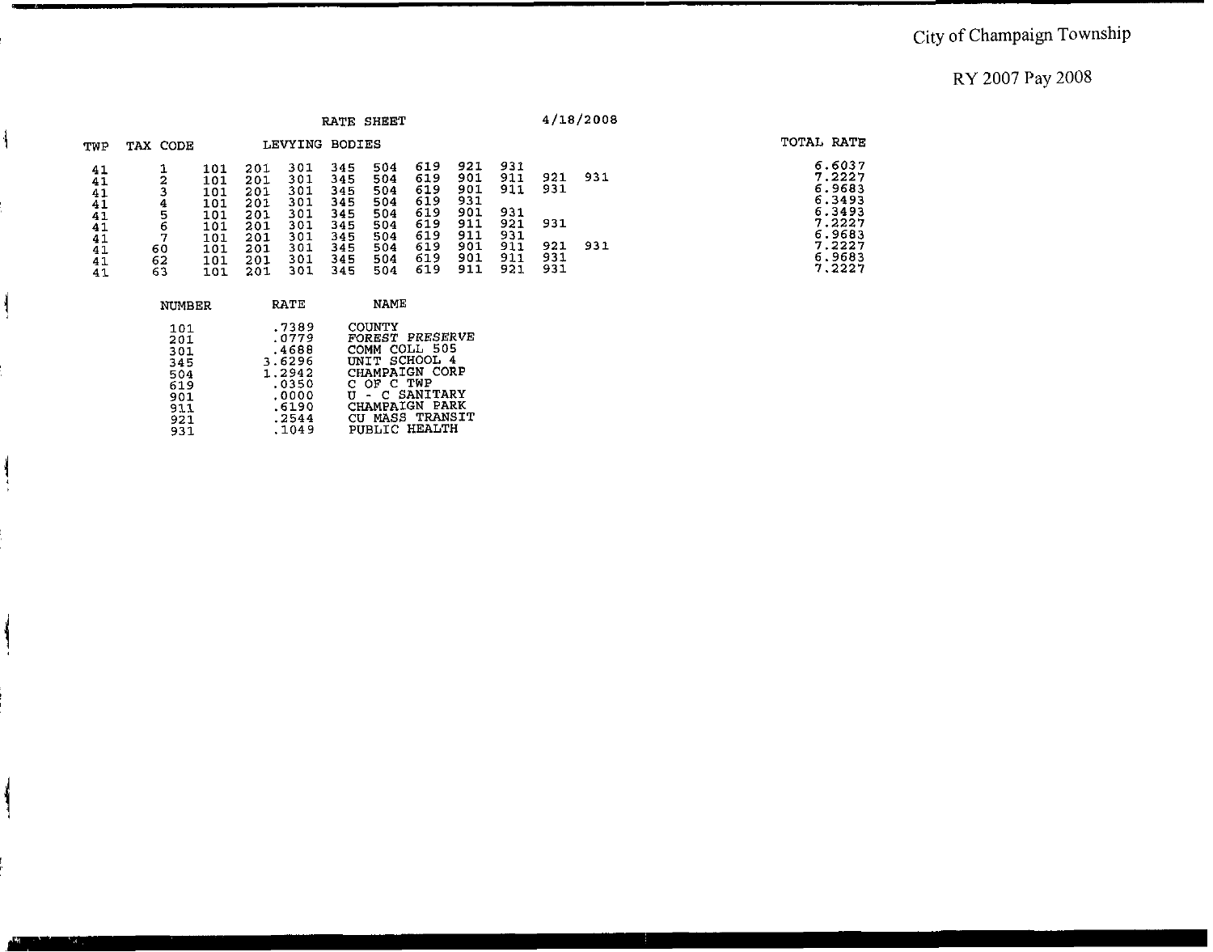|                                                          |                                          |                                                                    |                                                                    |                                                                    | RATE SHEET                                                         |                                                                    |                                                                    |                                                                    |                                                             |                                        | 4/18/2008  |                                                                                                  |
|----------------------------------------------------------|------------------------------------------|--------------------------------------------------------------------|--------------------------------------------------------------------|--------------------------------------------------------------------|--------------------------------------------------------------------|--------------------------------------------------------------------|--------------------------------------------------------------------|--------------------------------------------------------------------|-------------------------------------------------------------|----------------------------------------|------------|--------------------------------------------------------------------------------------------------|
| TWP                                                      | TAX CODE                                 |                                                                    |                                                                    | LEVYING BODIES                                                     |                                                                    |                                                                    |                                                                    |                                                                    |                                                             |                                        |            | TOTAL RATE                                                                                       |
| 41<br>41<br>41<br>41<br>41<br>41<br>41<br>41<br>41<br>41 | ◠<br>Æ.<br>4<br>5<br>ь<br>60<br>62<br>63 | 101<br>101<br>101<br>101<br>101<br>101<br>101<br>101<br>101<br>101 | 201<br>201<br>201<br>201<br>201<br>201<br>201<br>201<br>201<br>201 | 301<br>301<br>301<br>301<br>301<br>301<br>301<br>301<br>301<br>301 | 345<br>345<br>345<br>345<br>345<br>345<br>345<br>345<br>345<br>345 | 504<br>504<br>504<br>504<br>504<br>504<br>504<br>504<br>504<br>504 | 619<br>619<br>619<br>619<br>619<br>619<br>619<br>619<br>619<br>619 | 921<br>901<br>901<br>931<br>901<br>911<br>911<br>901<br>901<br>911 | 931<br>911<br>911<br>931<br>921<br>931<br>911<br>911<br>921 | 921<br>931<br>931<br>921<br>931<br>931 | 931<br>931 | 6.6037<br>7.2227<br>6.9683<br>6.3493<br>6.3493<br>7.2227<br>6.9683<br>7.2227<br>6.9683<br>7.2227 |

| .7389<br>COUNTY<br>101<br>FOREST PRESERVE<br>.0779<br>201<br>COMM COLL 505<br>.4688<br>301<br>INIT SCHOOL 4<br>3.6296<br>345<br>CHAMPAIGN CORP<br>1.2942<br>504<br>C OF C TWP<br>.0350<br>619<br>- C SANITARY<br>.0000<br>901<br>CHAMPAIGN PARK<br>.6190<br>911<br>CU MASS TRANSIT | NUMBER | RATE  | NAME |
|------------------------------------------------------------------------------------------------------------------------------------------------------------------------------------------------------------------------------------------------------------------------------------|--------|-------|------|
| PUBLIC HEALTH<br>.1049<br>931                                                                                                                                                                                                                                                      | 921    | .2544 |      |

 $\overline{\mathbf{w}}$ 

 $\overline{\mathcal{L}}$ 

ļ

۱,

المناصف.<br>التي تقدم المناسبة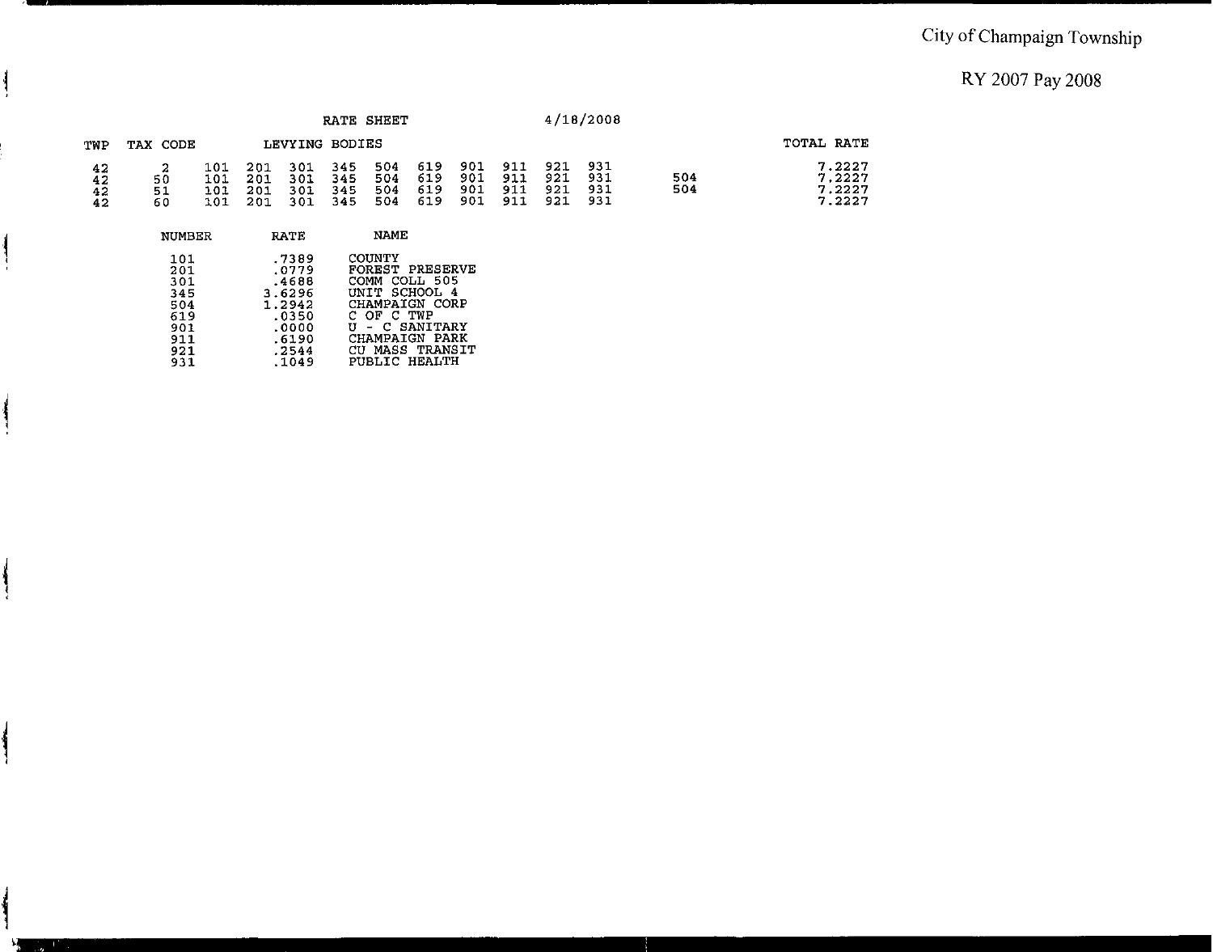## City of Champaign Township

RY 2007 Pay 2008

|                      |                 |                          |                          |                          |                          | RATE SHEET               |                          |                          |                          |                          | 4/18/2008                |            |                                      |
|----------------------|-----------------|--------------------------|--------------------------|--------------------------|--------------------------|--------------------------|--------------------------|--------------------------|--------------------------|--------------------------|--------------------------|------------|--------------------------------------|
| TWP                  | TAX CODE        |                          |                          | LEVYING BODIES           |                          |                          |                          |                          |                          |                          |                          |            | TOTAL RATE                           |
| 42<br>42<br>42<br>42 | 50<br>-51<br>60 | 101<br>101<br>101<br>101 | 201<br>201<br>201<br>201 | 301<br>301<br>301<br>301 | 345<br>345<br>345<br>345 | 504<br>504<br>504<br>504 | 619<br>619<br>619<br>619 | 901<br>901<br>901<br>901 | 911<br>911<br>911<br>911 | 921<br>921<br>921<br>921 | 931<br>931<br>931<br>931 | 504<br>504 | 7.2227<br>7.2227<br>7.2227<br>7.2227 |

| NUMBER | <b>RATE</b> | NAME               |
|--------|-------------|--------------------|
| 101    | .7389       | COUNTY             |
| 201    | .0779       | FOREST PRESERVE    |
| 301    | .4688       | COLL 505<br>COMM   |
| 345    | 3.6296      | UNIT SCHOOL 4      |
| 504    | 1.2942      | CHAMPAIGN CORP     |
| 619    | .0350       | OF C TWP           |
| 901    | .0000       | - C SANITARY       |
| 911    | .6190       | CHAMPAIGN PARK     |
| 921    | .2544       | MASS TRANSIT<br>CU |
| 931    | .1049       | PUBLIC HEALTH      |
|        |             |                    |

ł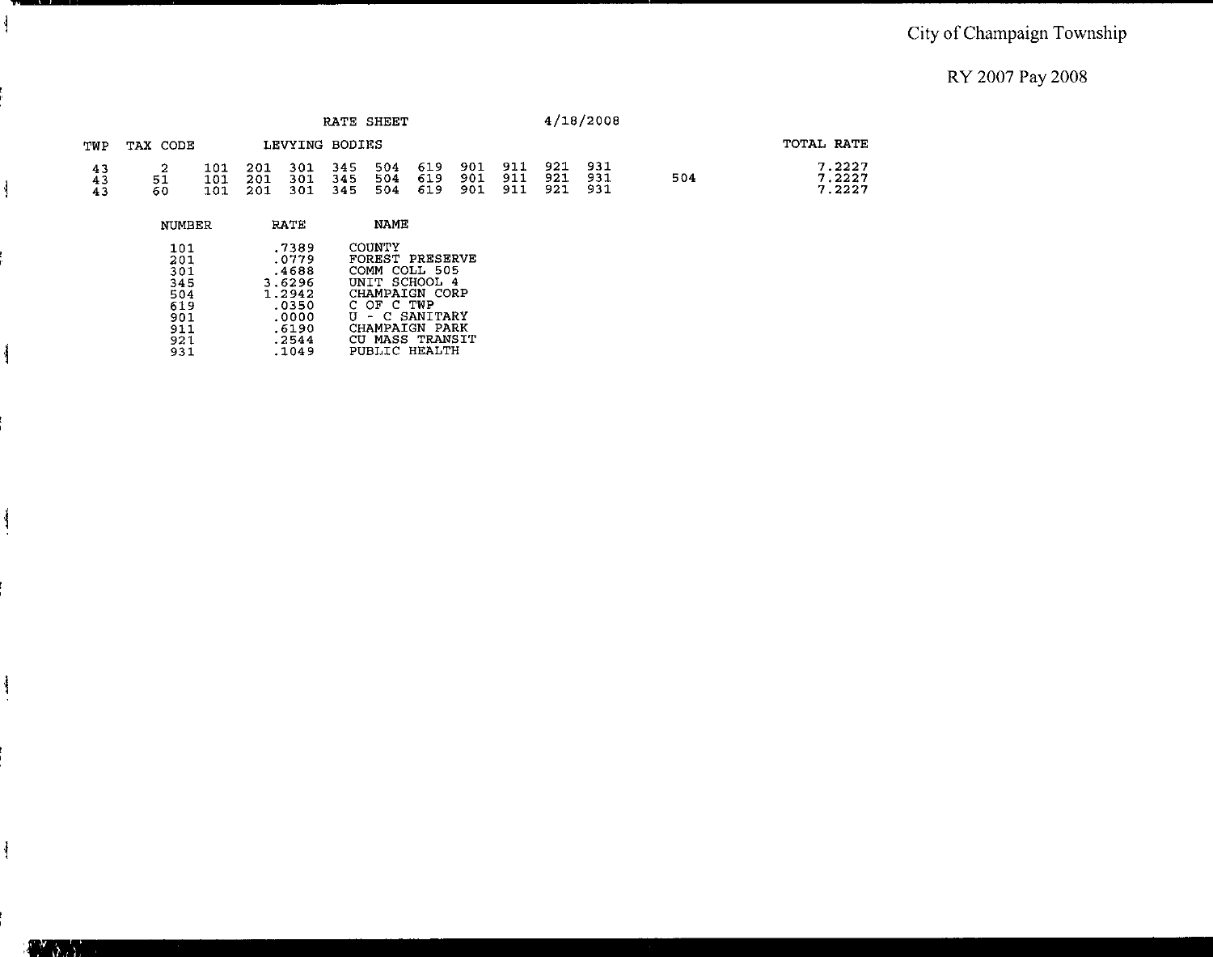#### City of Champaign Township

RY 2007 Pay 2008

|                |           |                   |                   |                   |                   | RATE SHEET        |                   |                   |                   |                   | 4/18/2008         |     |                            |
|----------------|-----------|-------------------|-------------------|-------------------|-------------------|-------------------|-------------------|-------------------|-------------------|-------------------|-------------------|-----|----------------------------|
| TWP            | TAX CODE  |                   |                   | LEVYING BODIES    |                   |                   |                   |                   |                   |                   |                   |     | TOTAL RATE                 |
| 43<br>43<br>43 | 51<br>-60 | 101<br>101<br>101 | 201<br>201<br>201 | 301<br>301<br>301 | 345<br>345<br>345 | 504<br>504<br>504 | 619<br>619<br>619 | 901<br>901<br>901 | 911<br>911<br>911 | 921<br>921<br>921 | 931<br>931<br>931 | 504 | 7.2227<br>7.2227<br>7.2227 |
|                | NUMBER    |                   |                   | <b>RATE</b>       |                   | NAME              |                   |                   |                   |                   |                   |     |                            |

| .7389  | COUNTY          |
|--------|-----------------|
| .0779  | FOREST PRESERVE |
| .4688  | COMM COLL 505   |
| 3.6296 | UNIT SCHOOL 4   |
| 1.2942 | CHAMPAIGN CORP  |
| .0350  | C OF C TWP      |
| .0000  | U - C SANITARY  |
| .6190  | CHAMPAIGN PARK  |
| .2544  | CU MASS TRANSIT |
| .1049  | PUBLIC HEALTH   |
|        |                 |

 $\mathcal{I}$ 

ł

 $\mathbf{I}$ 

 $\frac{1}{2}$ 

 $\frac{1}{2}$ 

 $\mathbb{P}^1$  ,  $\mathbb{P}^1$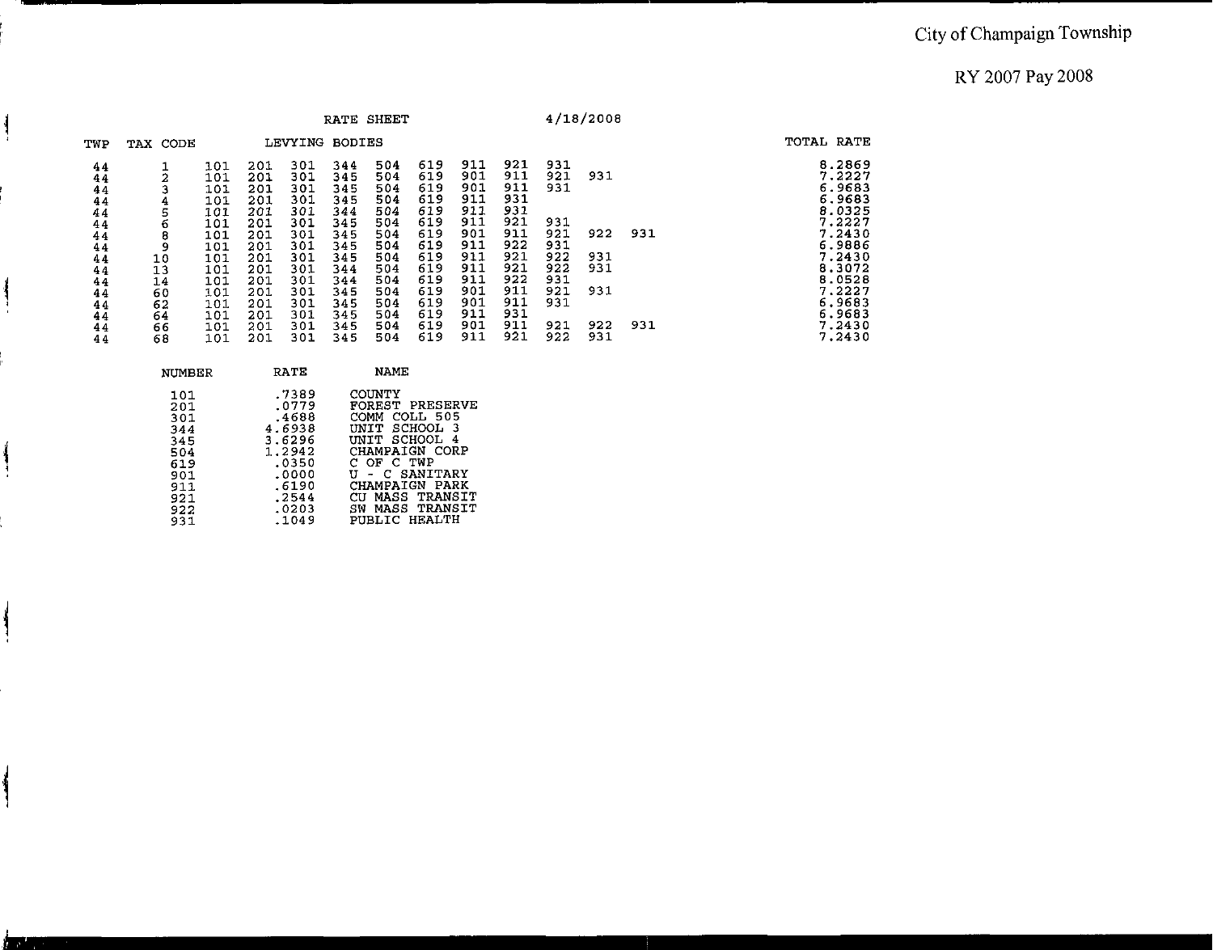|                                                    |                                        |                                                             |                                                                    |                                                                    |                                                                    | RATE SHEET                                                         |                                                                    |                                                                    |                                                                    |                                                      | 4/18/2008                |     |                                                                                                  |
|----------------------------------------------------|----------------------------------------|-------------------------------------------------------------|--------------------------------------------------------------------|--------------------------------------------------------------------|--------------------------------------------------------------------|--------------------------------------------------------------------|--------------------------------------------------------------------|--------------------------------------------------------------------|--------------------------------------------------------------------|------------------------------------------------------|--------------------------|-----|--------------------------------------------------------------------------------------------------|
| TWP                                                | TAX CODE                               |                                                             |                                                                    | LEVYING                                                            | BODIES                                                             |                                                                    |                                                                    |                                                                    |                                                                    |                                                      |                          |     | TOTAL RATE                                                                                       |
| 44<br>44<br>44<br>44<br>44<br>44<br>44<br>44<br>44 | 2<br>4<br>5<br>6<br>8<br>9<br>10       | 101<br>101<br>101<br>101<br>101<br>101<br>101<br>101<br>101 | 201<br>201<br>201<br>201<br>201<br>201<br>201<br>201<br>201<br>201 | 301<br>301<br>301<br>301<br>301<br>301<br>301<br>301<br>301<br>301 | 344<br>345<br>345<br>345<br>344<br>345<br>345<br>345<br>345<br>344 | 504<br>504<br>504<br>504<br>504<br>504<br>504<br>504<br>504<br>504 | 619<br>619<br>619<br>619<br>619<br>619<br>619<br>619<br>619<br>619 | 911<br>901<br>901<br>911<br>911<br>911<br>901<br>911<br>911<br>911 | 921<br>911<br>911<br>931<br>931<br>921<br>911<br>922<br>921<br>921 | 931<br>921<br>931<br>931<br>921<br>931<br>922<br>922 | 931<br>922<br>931<br>931 | 931 | 8.2869<br>7.2227<br>6.9683<br>6.9683<br>8.0325<br>7.2227<br>7.2430<br>6.9886<br>7.2430<br>8.3072 |
| 44<br>44<br>44<br>44<br>44<br>44<br>44             | 13<br>14<br>60<br>62<br>64<br>66<br>68 | 101<br>101<br>101<br>101<br>101<br>101<br>101               | 201<br>201<br>201<br>201<br>201<br>201                             | 301<br>301<br>301<br>301<br>301<br>301                             | 344<br>345<br>345<br>345<br>345<br>345                             | 504<br>504<br>504<br>504<br>504<br>504                             | 619<br>619<br>619<br>619<br>619<br>619                             | 911<br>901<br>901<br>911<br>901<br>911                             | 922<br>911<br>911<br>931<br>911<br>921                             | 931<br>921<br>931<br>921<br>922                      | 931<br>922<br>931        | 931 | 8.0528<br>7.2227<br>6.9683<br>6.9683<br>7.2430<br>7.2430                                         |

| NUMBER | RATE   | <b>NAME</b>        |
|--------|--------|--------------------|
| 101    | .7389  | COUNTY             |
| 201    | .0779  | FOREST PRESERVE    |
| 301    | .4688  | COMM COLL 505      |
| 344    | 4.6938 | UNIT SCHOOL<br>- 3 |
| 345    | 3.6296 | UNIT SCHOOL 4      |
| 504    | 1.2942 | CHAMPAIGN CORP     |
| 619    | .0350  | C OF C TWP         |
| 901    | .0000  | U - C SANITARY     |
| 911    | .6190  | CHAMPAIGN PARK     |
| 921    | .2544  | CU MASS TRANSIT    |
| 922    | .0203  | SW MASS TRANSIT    |
| 931    | .1049  | PUBLIC HEALTH      |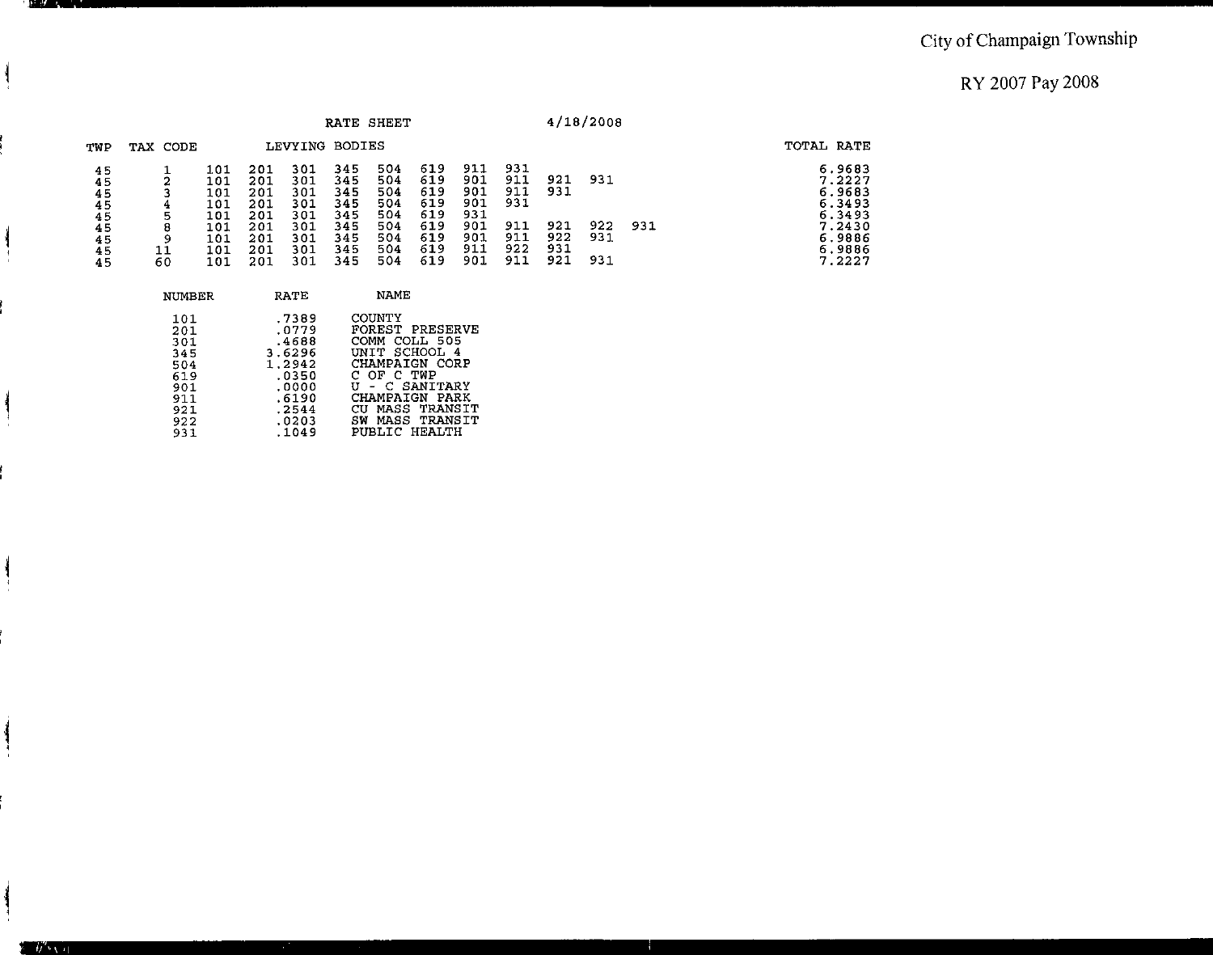|                                                    |                             |                                                              |                                                             |                                                             |                                                             | RATE SHEET                                                  |                                                             |                                                             |                                                      |                                        | 4/18/2008                |     |                                                                                        |
|----------------------------------------------------|-----------------------------|--------------------------------------------------------------|-------------------------------------------------------------|-------------------------------------------------------------|-------------------------------------------------------------|-------------------------------------------------------------|-------------------------------------------------------------|-------------------------------------------------------------|------------------------------------------------------|----------------------------------------|--------------------------|-----|----------------------------------------------------------------------------------------|
| TWP                                                | TAX CODE                    |                                                              |                                                             | LEVYING BODIES                                              |                                                             |                                                             |                                                             |                                                             |                                                      |                                        |                          |     | TOTAL RATE                                                                             |
| 45<br>45<br>45<br>45<br>45<br>45<br>45<br>45<br>45 | ◠<br>4<br>5<br>8<br>9<br>60 | 101<br>101<br>101<br>101<br>101<br>101<br>10 T<br>101<br>101 | 201<br>201<br>201<br>201<br>201<br>201<br>201<br>201<br>201 | 301<br>301<br>301<br>301<br>301<br>301<br>301<br>301<br>301 | 345<br>345<br>345<br>345<br>345<br>345<br>345<br>345<br>345 | 504<br>504<br>504<br>504<br>504<br>504<br>504<br>504<br>504 | 619<br>619<br>619<br>619<br>619<br>619<br>619<br>619<br>619 | 911<br>901<br>901<br>901<br>931<br>901<br>901<br>911<br>901 | 931<br>911<br>911<br>931<br>911<br>911<br>922<br>911 | 921<br>931<br>921<br>922<br>931<br>921 | 931<br>922<br>931<br>931 | 931 | 6.9683<br>7.2227<br>6.9683<br>6.3493<br>6.3493<br>7.2430<br>6.9886<br>6.9886<br>7.2227 |

| NUMBER                                                                    | RATE                                                                                              | NAME                                                                                                                                                                                          |
|---------------------------------------------------------------------------|---------------------------------------------------------------------------------------------------|-----------------------------------------------------------------------------------------------------------------------------------------------------------------------------------------------|
| 101<br>201<br>301<br>345<br>504<br>619<br>901<br>911<br>921<br>922<br>931 | .7389<br>.0779<br>.4688<br>3.6296<br>1.2942<br>.0350<br>.0000<br>.6190<br>.2544<br>.0203<br>.1049 | COUNTY<br><b>FOREST PRESERVE</b><br>COMM COLL 505<br>UNIT SCHOOL 4<br>CHAMPAIGN CORP<br>C OF C TWP<br>U - C SANITARY<br>CHAMPAIGN PARK<br>CU MASS TRANSIT<br>SW MASS TRANSIT<br>PUBLIC HEALTH |
|                                                                           |                                                                                                   |                                                                                                                                                                                               |

л

 $y'$   $\rightarrow$   $y$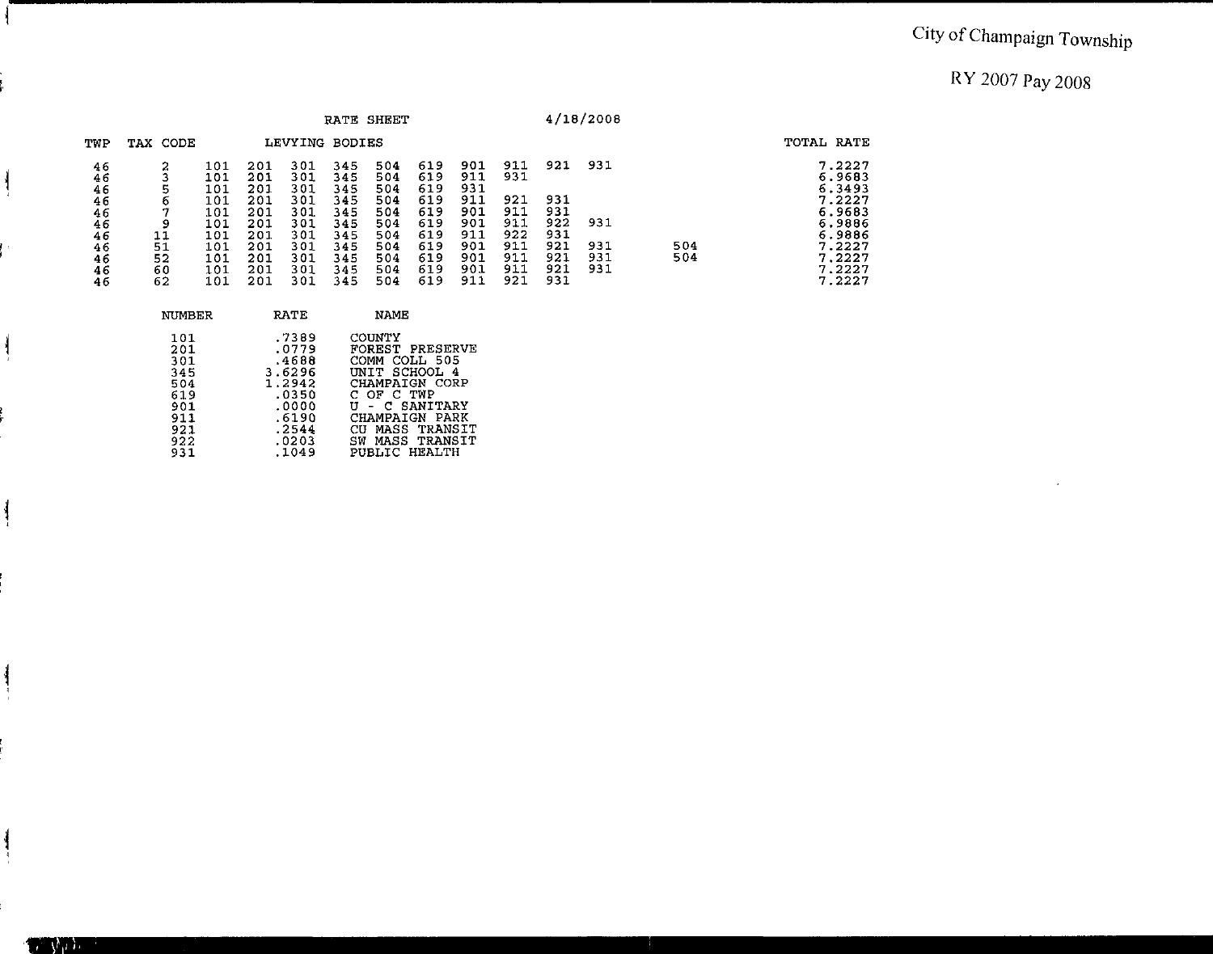# <sup>I</sup>**City of Champaign Township**

RY 2007 Pay 2008

|                      |                |                          |                          |                          |                          | RATE SHEET               |                          |                          |                          |                          | 4/18/2008  |     |                                      |
|----------------------|----------------|--------------------------|--------------------------|--------------------------|--------------------------|--------------------------|--------------------------|--------------------------|--------------------------|--------------------------|------------|-----|--------------------------------------|
| TWP                  | TAX CODE       |                          |                          | LEVYING BODIES           |                          |                          |                          |                          |                          |                          |            |     | TOTAL RATE                           |
| 46<br>46<br>46<br>46 | o              | 101<br>101<br>101<br>101 | 201<br>201<br>201<br>201 | 301<br>301<br>301<br>301 | 345<br>345<br>345<br>345 | 504<br>504<br>504<br>504 | 619<br>619<br>619<br>619 | 901<br>911<br>931<br>911 | 911<br>931<br>921        | 921<br>931               | 931        |     | 7.2227<br>6.9683<br>6.3493<br>7.2227 |
| 46<br>46<br>46<br>46 | q<br>11<br>51  | 101<br>101<br>101<br>101 | 201<br>201<br>201<br>201 | 301<br>301<br>301<br>301 | 345<br>345<br>345<br>345 | 504<br>504<br>504<br>504 | 619<br>619<br>619<br>619 | 901<br>901<br>911<br>901 | 911<br>911<br>922<br>911 | 931<br>922<br>931<br>921 | 931<br>931 | 504 | 6.9683<br>6.9886<br>6.9886<br>7.2227 |
| 46<br>46<br>46       | 52<br>60<br>62 | 101<br>-01<br>101        | 201<br>201<br>201        | 301<br>301<br>301        | 345<br>345<br>345        | 504<br>504<br>504        | 619<br>619<br>619        | 901<br>901<br>911        | 911<br>911<br>921        | 921<br>921<br>931        | 931<br>931 | 504 | 7.2227<br>7.2227<br>7.2227           |

| NUMBER | <b>RATE</b> | NAME                 |
|--------|-------------|----------------------|
| 101    | .7389       | COUNTY               |
| 201    | .0779       | FOREST PRESERVE      |
| 301    | .4688       | COMM COLL 505        |
| 345    | 3.6296      | UNIT SCHOOL 4        |
| 504    | 1.2942      | CHAMPAIGN CORP       |
| 619    | .0350       | C OF C TWP           |
| 901    | .0000       | U - C SANITARY       |
| 911    | .6190       | CHAMPAIGN PARK       |
| 921    | .2544       | CU MASS TRANSIT      |
| 922    | .0203       | SW MASS TRANSIT      |
| 931    | .1049       | <b>PUBLIC HEALTH</b> |

 $\frac{1}{2}$ 

 $\overline{\phantom{a}}$ 

**TANADI**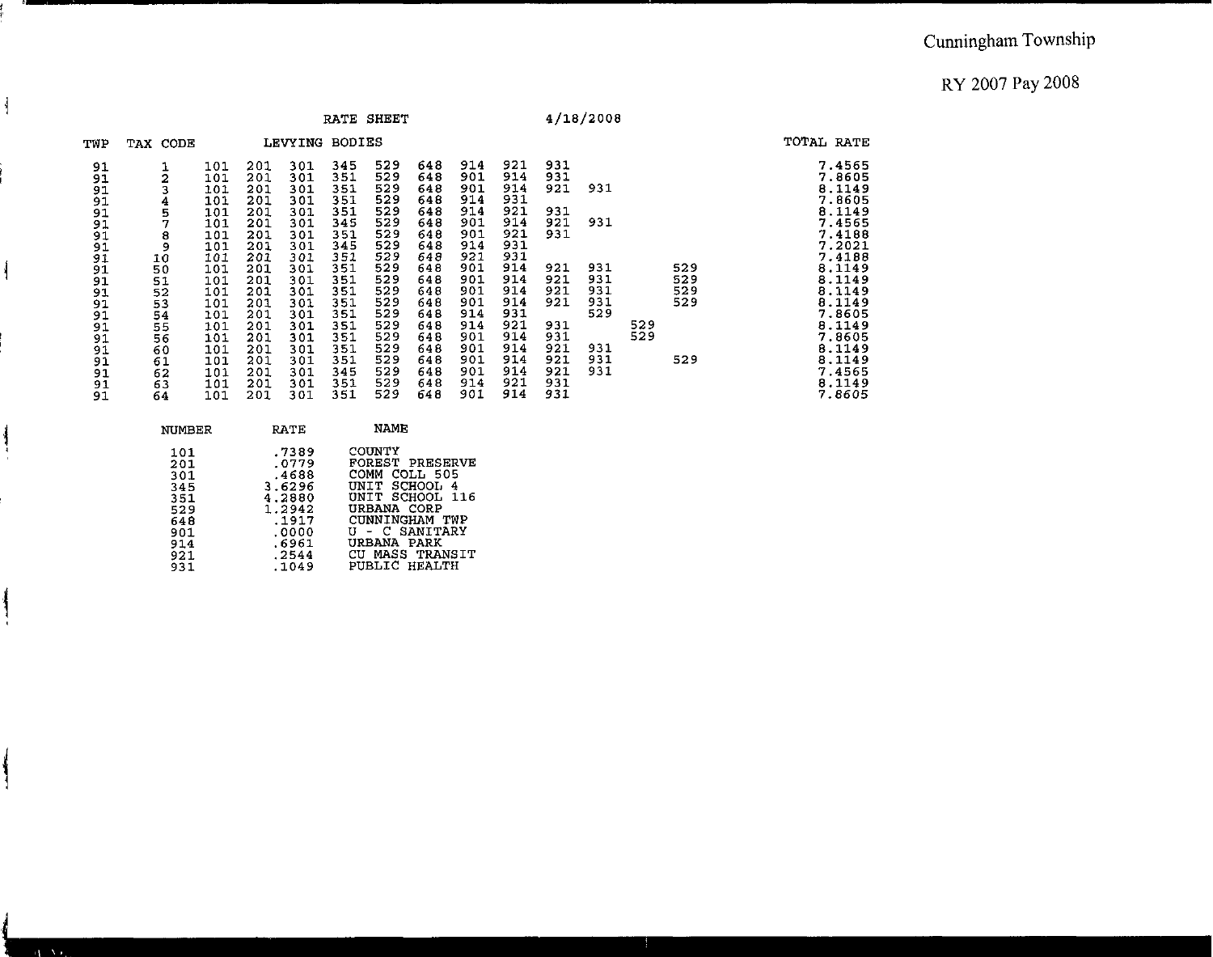|                |                         |                   |                   |                   |                   | RATE SHEET        |                   |                   |                   |                   | 4/18/2008  |     |            |                            |
|----------------|-------------------------|-------------------|-------------------|-------------------|-------------------|-------------------|-------------------|-------------------|-------------------|-------------------|------------|-----|------------|----------------------------|
| TWP            | TAX CODE                |                   |                   | <b>LEVYING</b>    | <b>BODIES</b>     |                   |                   |                   |                   |                   |            |     |            | TOTAL RATE                 |
| 91<br>91       | $\overline{\mathbf{c}}$ | 101<br>101<br>101 | 201<br>201<br>201 | 301<br>301<br>301 | 345<br>351<br>351 | 529<br>529<br>529 | 648<br>648<br>648 | 914<br>901<br>901 | 921<br>914<br>914 | 931<br>931<br>921 | 931        |     |            | 7.4565<br>7.8605<br>8.1149 |
| 91<br>91       | 4                       | 101<br>101        | 201<br>201        | 301<br>301        | 351<br>351        | 529<br>529        | 648<br>648        | 914<br>914        | 931<br>921        | 931               |            |     |            | 7.8605<br>8.1149           |
| 91<br>91       | $\frac{5}{7}$           | 101<br>101        | 201<br>201        | 301<br>301        | 345<br>351        | 529<br>529        | 648<br>648        | 901<br>901        | 914<br>921        | 921<br>931        | 931        |     |            | 7.4565<br>7.4188           |
| 91<br>91<br>91 | 8<br>9<br>10            | 101<br>101        | 201<br>201        | 301<br>301        | 345<br>351        | 529<br>529        | 648<br>648        | 914<br>921        | 931<br>931        |                   |            |     |            | 7.2021<br>7.4188           |
| 91<br>91       | 50<br>51                | 101<br>101        | 201<br>201        | 301<br>301        | 351<br>351        | 529<br>529        | 648<br>648        | 901<br>901        | 914<br>914        | 921<br>921        | 931<br>931 |     | 529<br>529 | 8.1149<br>8.1149           |
| 91<br>91       | 52<br>53                | 101<br>101        | 201<br>201        | 301<br>301        | 351<br>351        | 529<br>529        | 648<br>648        | 901<br>901        | 914<br>914        | 921<br>921        | 931<br>931 |     | 529<br>529 | 8.1149<br>8.1149           |
| 91<br>91       | 54<br>55                | 101<br>101        | 201<br>201        | 301<br>301        | 351<br>351        | 529<br>529        | 648<br>648        | 914<br>914        | 931<br>921        | 931               | 529        | 529 |            | 7.8605<br>8.1149           |
| 91<br>91       | 56<br>60                | <b>101</b><br>101 | 201<br>201        | 301<br>301        | 351<br>351        | 529<br>529        | 648<br>648        | 901<br>901        | 914<br>914        | 931<br>921        | 931        | 529 |            | 7.8605<br>8.1149           |
| 91<br>91       | 61<br>62                | 101<br>101        | 201<br>201        | 301<br>301        | 351<br>345        | 529<br>529        | 648<br>648        | 901<br>901        | 914<br>914        | 921<br>921        | 931<br>931 |     | 529        | 8.1149<br>7.4565           |
| 91<br>91       | 63<br>64                | 101<br>101        | 201<br>201        | 301<br>301        | 351<br>351        | 529<br>529        | 648<br>648        | 914<br>901        | 921<br>914        | 931<br>931        |            |     |            | 8.1149<br>7.8605           |

| NUMBER | RATE   | NAME            |
|--------|--------|-----------------|
| 101    | .7389  | COUNTY          |
| 201    | .0779  | FOREST PRESERVE |
| 301    | .4688  | COMM COLL 505   |
| 345    | 3.6296 | UNIT SCHOOL 4   |
| 351    | 4.2880 | UNIT SCHOOL 116 |
| 529    | 1.2942 | URBANA CORP     |
| 648    | .1917  | CUNNINGHAM TWP  |
| 901    | .0000. | U - C SANITARY  |
| 914    | .6961  | URBANA PARK     |
| 921    | .2544  | CU MASS TRANSIT |
| 931    | .1049  | PUBLIC HEALTH   |

ł

 $\mathcal{A} \in \mathbf{V}$  is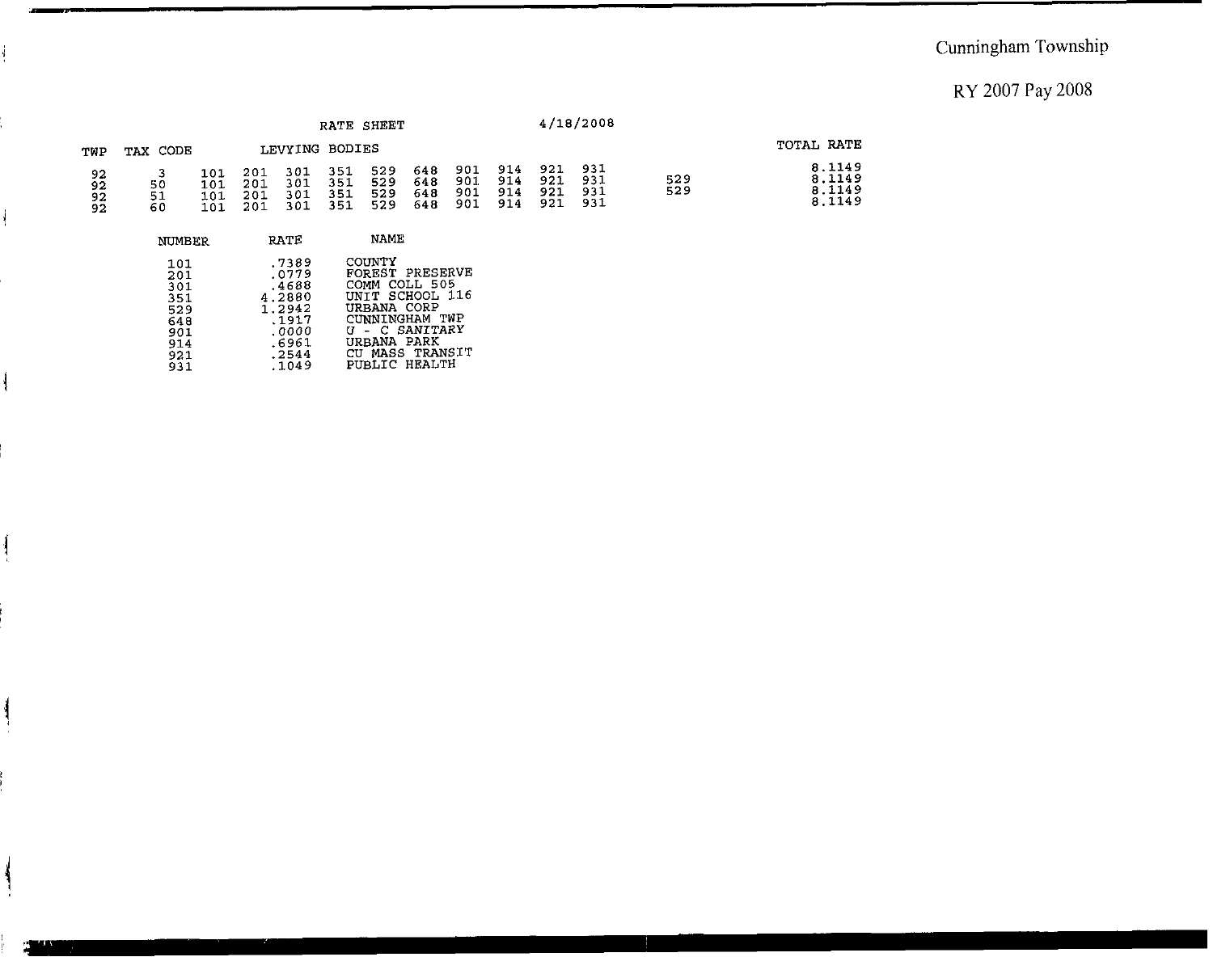## 'j Cunningham Township

#### RY 2007 Pay 2008

|                             |                |                          |                          |                          |                          | RATE SHEET               |                          |                          |                          |                          | 4/18/2008                |            |                                      |  |
|-----------------------------|----------------|--------------------------|--------------------------|--------------------------|--------------------------|--------------------------|--------------------------|--------------------------|--------------------------|--------------------------|--------------------------|------------|--------------------------------------|--|
| TWP                         | TAX CODE       |                          | LEVYING BODIES           |                          |                          |                          |                          |                          |                          |                          |                          | TOTAL RATE |                                      |  |
| 92<br>92<br>$\frac{92}{92}$ | 50<br>51<br>60 | 101<br>101<br>101<br>101 | 201<br>201<br>201<br>201 | 301<br>301<br>301<br>301 | 351<br>351<br>351<br>351 | 529<br>529<br>529<br>529 | 648<br>648<br>648<br>648 | 901<br>901<br>901<br>901 | 914<br>914<br>914<br>914 | 921<br>921<br>921<br>921 | 931<br>931<br>931<br>931 | 529<br>529 | 8.1149<br>8.1149<br>8.1149<br>8.1149 |  |

| NUMBER | RATE   | NAME            |
|--------|--------|-----------------|
| 101    | .7389  | COUNTY          |
| 201    | .0779  | FOREST PRESERVE |
| 301    | .4688  | COMM COLL 505   |
| 351    | 4.2880 | UNIT SCHOOL 116 |
| 529    | 1.2942 | URBANA CORP     |
| 648    | .1917  | CUNNINGHAM TWP  |
| 901    | .0000  | U - C SANITARY  |
| 914    | .6961  | URBANA PARK     |
| 921    | .2544  | CU MASS TRANSIT |
| 931    | .1049  | PUBLIC HEALTH   |

 $\frac{1}{2}$ 

 $\overline{\mathcal{A}}$ 

 $\mathbf{I}$ 

ļ

۱